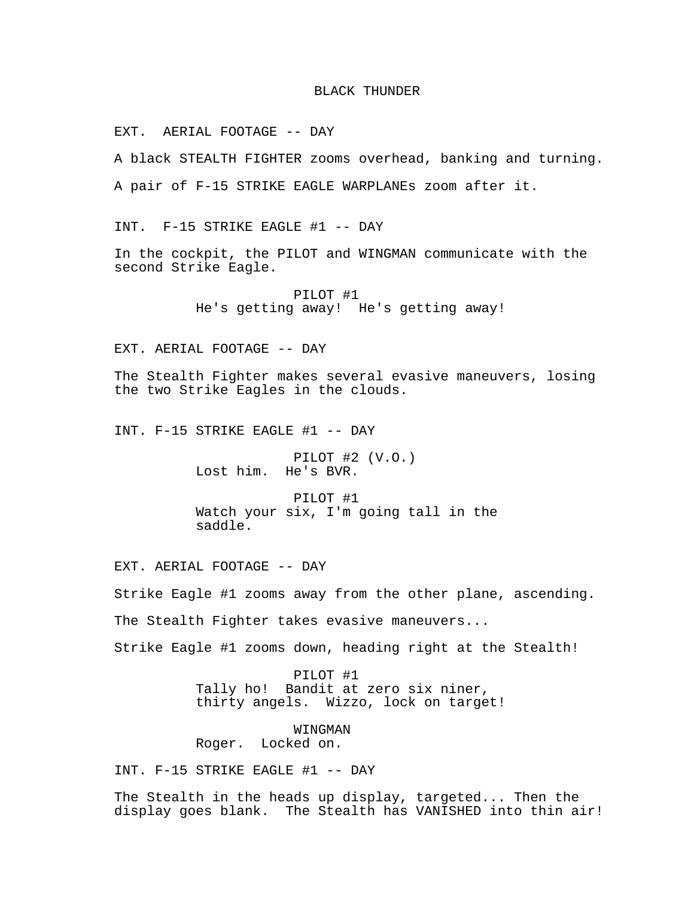## BLACK THUNDER

EXT. AERIAL FOOTAGE -- DAY

A black STEALTH FIGHTER zooms overhead, banking and turning.

A pair of F-15 STRIKE EAGLE WARPLANEs zoom after it.

INT. F-15 STRIKE EAGLE #1 -- DAY

In the cockpit, the PILOT and WINGMAN communicate with the second Strike Eagle.

> PILOT #1 He's getting away! He's getting away!

EXT. AERIAL FOOTAGE -- DAY

The Stealth Fighter makes several evasive maneuvers, losing the two Strike Eagles in the clouds.

INT. F-15 STRIKE EAGLE #1 -- DAY

PILOT #2 (V.O.) Lost him. He's BVR.

PILOT #1 Watch your six, I'm going tall in the saddle.

EXT. AERIAL FOOTAGE -- DAY

Strike Eagle #1 zooms away from the other plane, ascending.

The Stealth Fighter takes evasive maneuvers...

Strike Eagle #1 zooms down, heading right at the Stealth!

PILOT #1 Tally ho! Bandit at zero six niner, thirty angels. Wizzo, lock on target!

WINGMAN Roger. Locked on.

INT. F-15 STRIKE EAGLE #1 -- DAY

The Stealth in the heads up display, targeted... Then the display goes blank. The Stealth has VANISHED into thin air!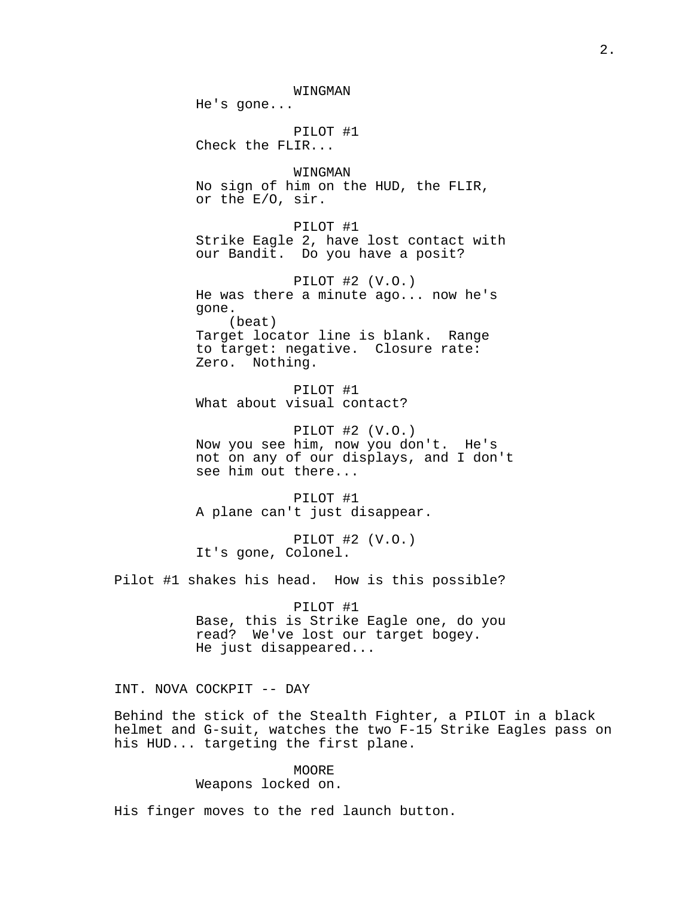WINGMAN He's gone... PILOT #1 Check the FLIR... WINGMAN No sign of him on the HUD, the FLIR, or the E/O, sir. PILOT #1 Strike Eagle 2, have lost contact with our Bandit. Do you have a posit? PILOT #2 (V.O.) He was there a minute ago... now he's gone. (beat) Target locator line is blank. Range to target: negative. Closure rate: Zero. Nothing. PILOT #1 What about visual contact? PILOT #2 (V.O.) Now you see him, now you don't. He's not on any of our displays, and I don't see him out there... PILOT #1 A plane can't just disappear. PILOT #2 (V.O.) It's gone, Colonel. Pilot #1 shakes his head. How is this possible? PILOT #1 Base, this is Strike Eagle one, do you read? We've lost our target bogey.

He just disappeared...

INT. NOVA COCKPIT -- DAY

Behind the stick of the Stealth Fighter, a PILOT in a black helmet and G-suit, watches the two F-15 Strike Eagles pass on his HUD... targeting the first plane.

> MOORE Weapons locked on.

His finger moves to the red launch button.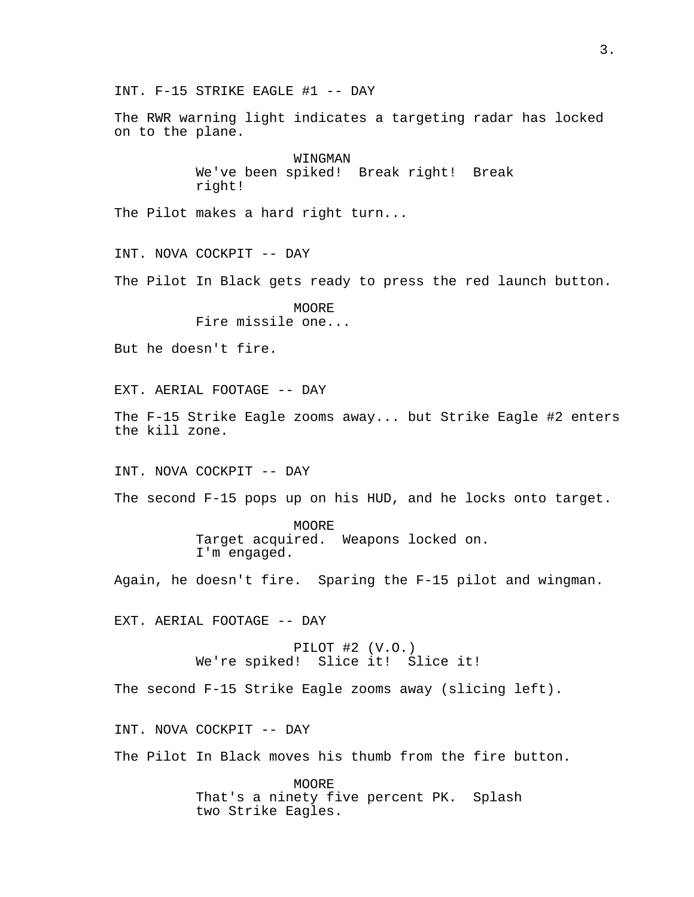INT. F-15 STRIKE EAGLE #1 -- DAY

The RWR warning light indicates a targeting radar has locked on to the plane.

> WINGMAN We've been spiked! Break right! Break right!

The Pilot makes a hard right turn...

INT. NOVA COCKPIT -- DAY

The Pilot In Black gets ready to press the red launch button.

**MOORE** Fire missile one...

But he doesn't fire.

EXT. AERIAL FOOTAGE -- DAY

The F-15 Strike Eagle zooms away... but Strike Eagle #2 enters the kill zone.

INT. NOVA COCKPIT -- DAY

The second F-15 pops up on his HUD, and he locks onto target.

MOORE Target acquired. Weapons locked on. I'm engaged.

Again, he doesn't fire. Sparing the F-15 pilot and wingman.

EXT. AERIAL FOOTAGE -- DAY

PILOT #2 (V.O.) We're spiked! Slice it! Slice it!

The second F-15 Strike Eagle zooms away (slicing left).

INT. NOVA COCKPIT -- DAY

The Pilot In Black moves his thumb from the fire button.

MOORE That's a ninety five percent PK. Splash two Strike Eagles.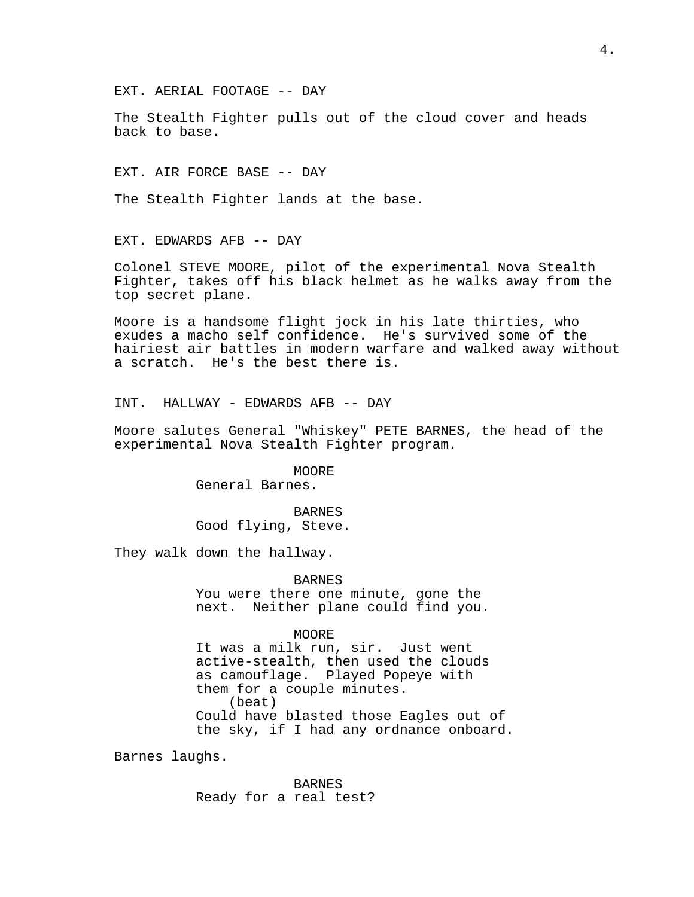The Stealth Fighter pulls out of the cloud cover and heads back to base.

EXT. AIR FORCE BASE -- DAY

The Stealth Fighter lands at the base.

EXT. EDWARDS AFB -- DAY

Colonel STEVE MOORE, pilot of the experimental Nova Stealth Fighter, takes off his black helmet as he walks away from the top secret plane.

Moore is a handsome flight jock in his late thirties, who exudes a macho self confidence. He's survived some of the hairiest air battles in modern warfare and walked away without a scratch. He's the best there is.

INT. HALLWAY - EDWARDS AFB -- DAY

Moore salutes General "Whiskey" PETE BARNES, the head of the experimental Nova Stealth Fighter program.

> MOORE General Barnes.

BARNES Good flying, Steve.

They walk down the hallway.

BARNES You were there one minute, gone the next. Neither plane could find you.

MOORE

It was a milk run, sir. Just went active-stealth, then used the clouds as camouflage. Played Popeye with them for a couple minutes. (beat) Could have blasted those Eagles out of the sky, if I had any ordnance onboard.

Barnes laughs.

BARNES Ready for a real test?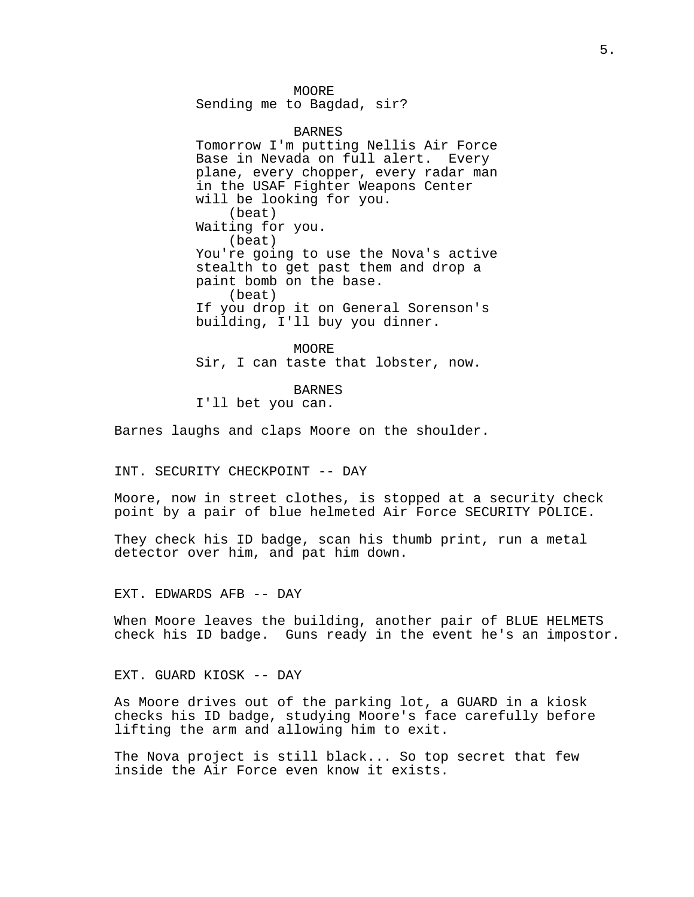MOORE Sending me to Bagdad, sir?

BARNES Tomorrow I'm putting Nellis Air Force Base in Nevada on full alert. Every plane, every chopper, every radar man in the USAF Fighter Weapons Center will be looking for you. (beat) Waiting for you. (beat) You're going to use the Nova's active stealth to get past them and drop a paint bomb on the base. (beat) If you drop it on General Sorenson's building, I'll buy you dinner.

MOORE Sir, I can taste that lobster, now.

BARNES I'll bet you can.

Barnes laughs and claps Moore on the shoulder.

INT. SECURITY CHECKPOINT -- DAY

Moore, now in street clothes, is stopped at a security check point by a pair of blue helmeted Air Force SECURITY POLICE.

They check his ID badge, scan his thumb print, run a metal detector over him, and pat him down.

EXT. EDWARDS AFB -- DAY

When Moore leaves the building, another pair of BLUE HELMETS check his ID badge. Guns ready in the event he's an impostor.

EXT. GUARD KIOSK -- DAY

As Moore drives out of the parking lot, a GUARD in a kiosk checks his ID badge, studying Moore's face carefully before lifting the arm and allowing him to exit.

The Nova project is still black... So top secret that few inside the Air Force even know it exists.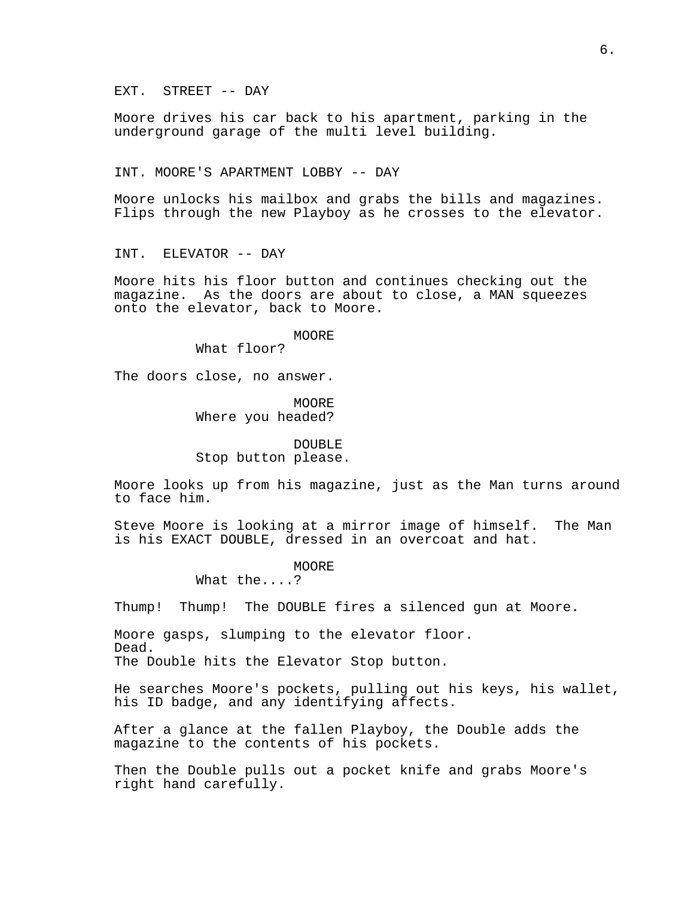EXT. STREET -- DAY

Moore drives his car back to his apartment, parking in the underground garage of the multi level building.

INT. MOORE'S APARTMENT LOBBY -- DAY

Moore unlocks his mailbox and grabs the bills and magazines. Flips through the new Playboy as he crosses to the elevator.

INT. ELEVATOR -- DAY

Moore hits his floor button and continues checking out the magazine. As the doors are about to close, a MAN squeezes onto the elevator, back to Moore.

MOORE

What floor?

The doors close, no answer.

MOORE Where you headed?

DOUBLE Stop button please.

Moore looks up from his magazine, just as the Man turns around to face him.

Steve Moore is looking at a mirror image of himself. The Man is his EXACT DOUBLE, dressed in an overcoat and hat.

MOORE

What the....?

Thump! Thump! The DOUBLE fires a silenced gun at Moore.

Moore gasps, slumping to the elevator floor. Dead. The Double hits the Elevator Stop button.

He searches Moore's pockets, pulling out his keys, his wallet, his ID badge, and any identifying affects.

After a glance at the fallen Playboy, the Double adds the magazine to the contents of his pockets.

Then the Double pulls out a pocket knife and grabs Moore's right hand carefully.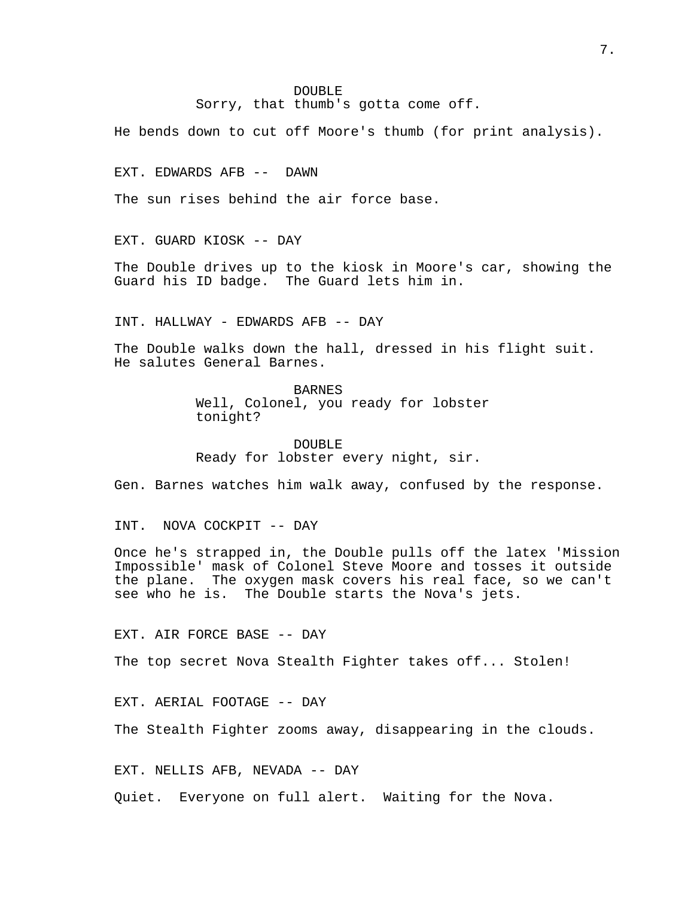## DOUBLE

Sorry, that thumb's gotta come off.

He bends down to cut off Moore's thumb (for print analysis).

EXT. EDWARDS AFB -- DAWN

The sun rises behind the air force base.

EXT. GUARD KIOSK -- DAY

The Double drives up to the kiosk in Moore's car, showing the Guard his ID badge. The Guard lets him in.

INT. HALLWAY - EDWARDS AFB -- DAY

The Double walks down the hall, dressed in his flight suit. He salutes General Barnes.

BARNES

Well, Colonel, you ready for lobster tonight?

DOUBLE Ready for lobster every night, sir.

Gen. Barnes watches him walk away, confused by the response.

INT. NOVA COCKPIT -- DAY

Once he's strapped in, the Double pulls off the latex 'Mission Impossible' mask of Colonel Steve Moore and tosses it outside the plane. The oxygen mask covers his real face, so we can't see who he is. The Double starts the Nova's jets.

EXT. AIR FORCE BASE -- DAY

The top secret Nova Stealth Fighter takes off... Stolen!

EXT. AERIAL FOOTAGE -- DAY

The Stealth Fighter zooms away, disappearing in the clouds.

EXT. NELLIS AFB, NEVADA -- DAY

Quiet. Everyone on full alert. Waiting for the Nova.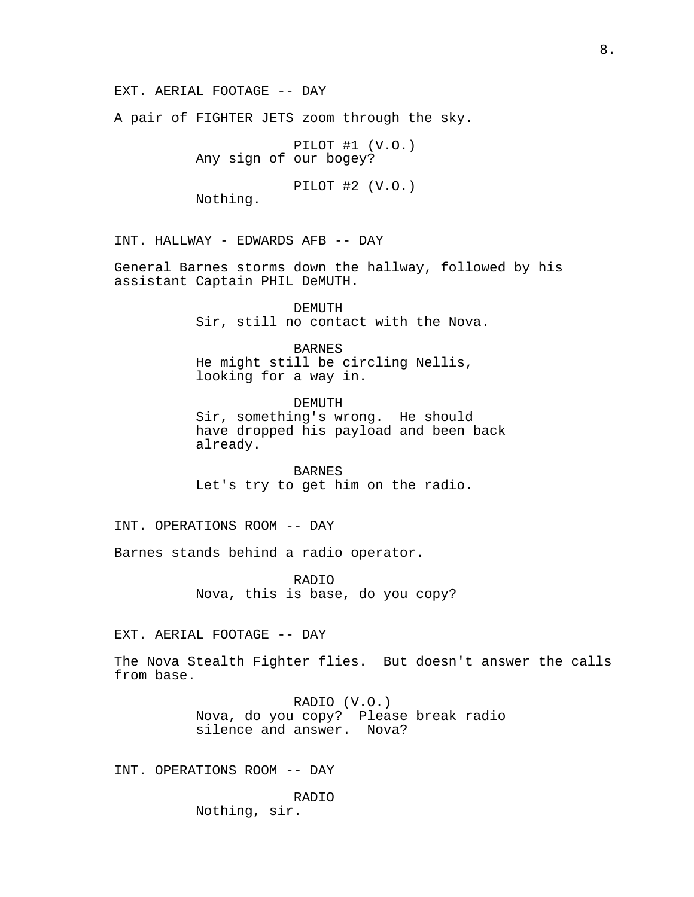EXT. AERIAL FOOTAGE -- DAY

A pair of FIGHTER JETS zoom through the sky.

PILOT #1 (V.O.) Any sign of our bogey?

PILOT #2 (V.O.)

Nothing.

INT. HALLWAY - EDWARDS AFB -- DAY

General Barnes storms down the hallway, followed by his assistant Captain PHIL DeMUTH.

> DEMUTH Sir, still no contact with the Nova.

BARNES He might still be circling Nellis, looking for a way in.

DEMUTH Sir, something's wrong. He should have dropped his payload and been back already.

BARNES Let's try to get him on the radio.

INT. OPERATIONS ROOM -- DAY

Barnes stands behind a radio operator.

RADIO Nova, this is base, do you copy?

EXT. AERIAL FOOTAGE -- DAY

The Nova Stealth Fighter flies. But doesn't answer the calls from base.

> RADIO (V.O.) Nova, do you copy? Please break radio silence and answer. Nova?

INT. OPERATIONS ROOM -- DAY

RADIO Nothing, sir.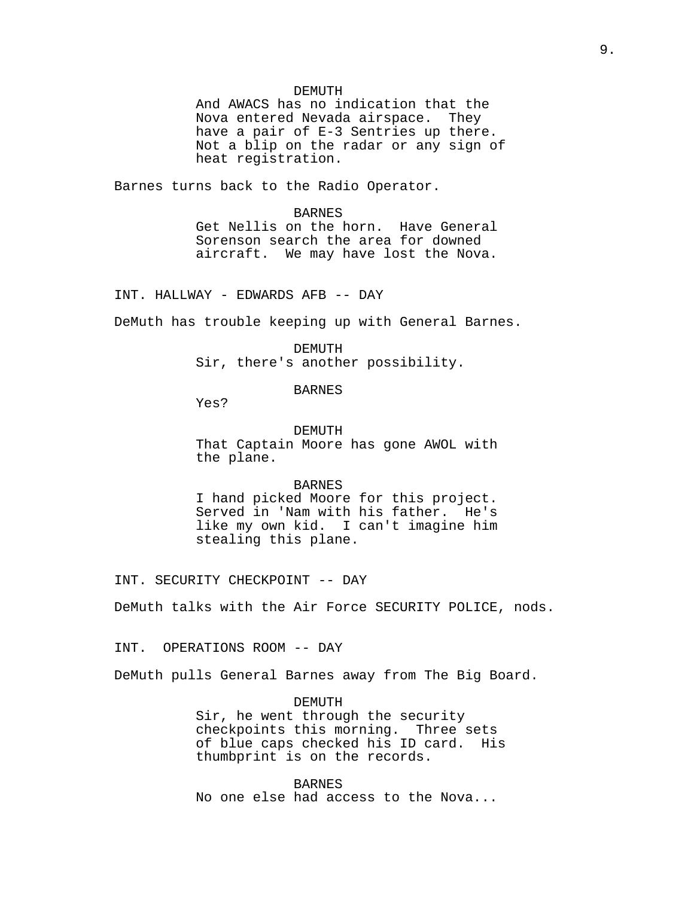#### DEMUTH

And AWACS has no indication that the Nova entered Nevada airspace. They have a pair of E-3 Sentries up there. Not a blip on the radar or any sign of heat registration.

Barnes turns back to the Radio Operator.

### BARNES

Get Nellis on the horn. Have General Sorenson search the area for downed aircraft. We may have lost the Nova.

INT. HALLWAY - EDWARDS AFB -- DAY

DeMuth has trouble keeping up with General Barnes.

#### DEMUTH

Sir, there's another possibility.

## BARNES

Yes?

#### DEMUTH

That Captain Moore has gone AWOL with the plane.

## BARNES

I hand picked Moore for this project. Served in 'Nam with his father. He's like my own kid. I can't imagine him stealing this plane.

INT. SECURITY CHECKPOINT -- DAY

DeMuth talks with the Air Force SECURITY POLICE, nods.

INT. OPERATIONS ROOM -- DAY

DeMuth pulls General Barnes away from The Big Board.

DEMUTH Sir, he went through the security checkpoints this morning. Three sets of blue caps checked his ID card. His thumbprint is on the records.

BARNES No one else had access to the Nova...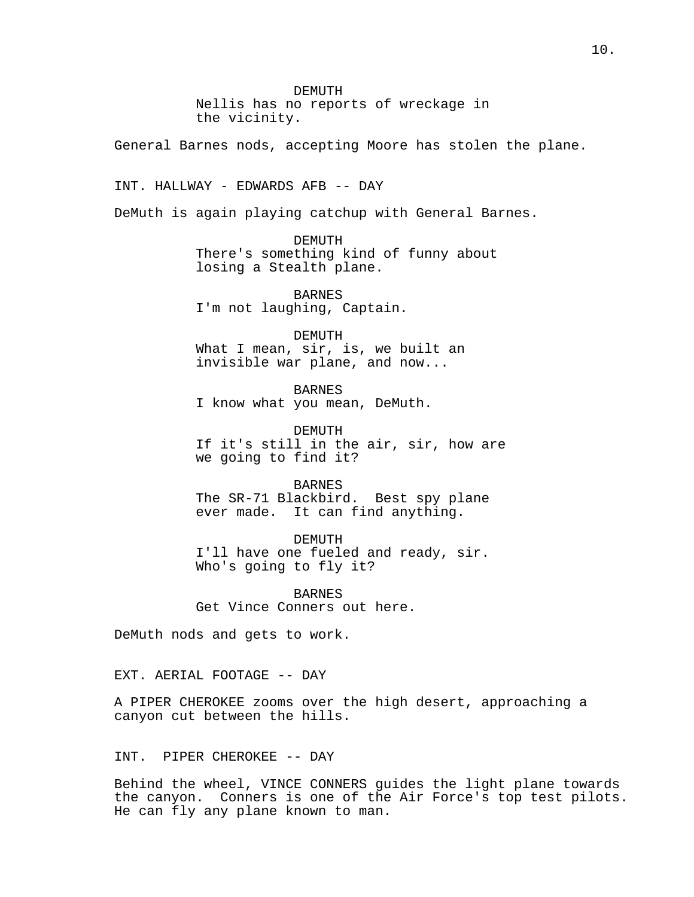DEMUTH Nellis has no reports of wreckage in the vicinity.

General Barnes nods, accepting Moore has stolen the plane.

INT. HALLWAY - EDWARDS AFB -- DAY

DeMuth is again playing catchup with General Barnes.

DEMUTH There's something kind of funny about losing a Stealth plane.

BARNES I'm not laughing, Captain.

DEMUTH What I mean, sir, is, we built an invisible war plane, and now...

BARNES I know what you mean, DeMuth.

DEMUTH If it's still in the air, sir, how are we going to find it?

BARNES The SR-71 Blackbird. Best spy plane ever made. It can find anything.

DEMUTH I'll have one fueled and ready, sir. Who's going to fly it?

BARNES Get Vince Conners out here.

DeMuth nods and gets to work.

EXT. AERIAL FOOTAGE -- DAY

A PIPER CHEROKEE zooms over the high desert, approaching a canyon cut between the hills.

## INT. PIPER CHEROKEE -- DAY

Behind the wheel, VINCE CONNERS guides the light plane towards the canyon. Conners is one of the Air Force's top test pilots. He can fly any plane known to man.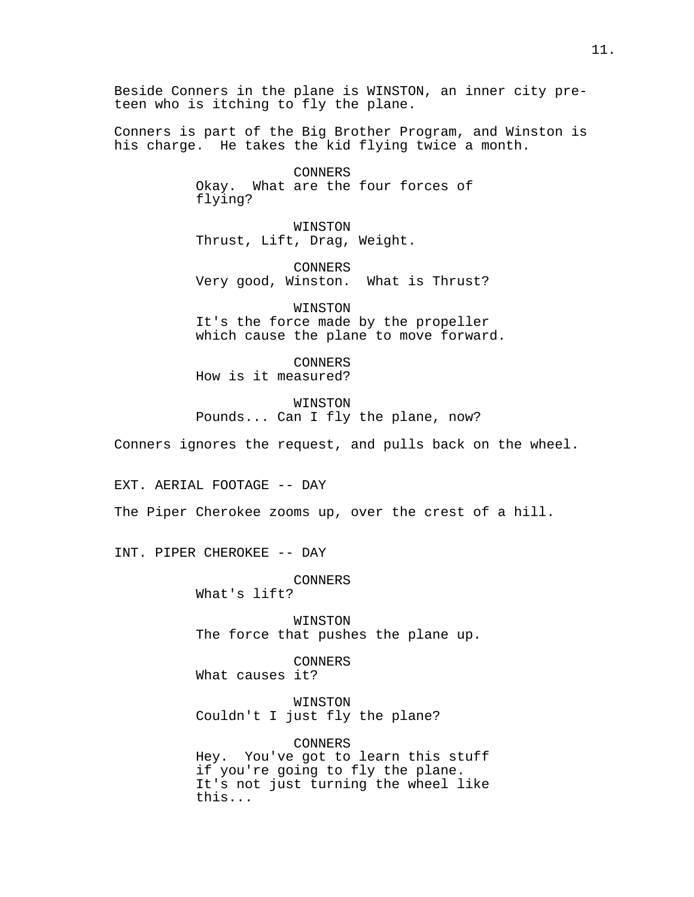Beside Conners in the plane is WINSTON, an inner city preteen who is itching to fly the plane.

Conners is part of the Big Brother Program, and Winston is his charge. He takes the kid flying twice a month.

> CONNERS Okay. What are the four forces of flying?

WINSTON Thrust, Lift, Drag, Weight.

CONNERS Very good, Winston. What is Thrust?

WINSTON It's the force made by the propeller which cause the plane to move forward.

CONNERS How is it measured?

WINSTON Pounds... Can I fly the plane, now?

Conners ignores the request, and pulls back on the wheel.

EXT. AERIAL FOOTAGE -- DAY

The Piper Cherokee zooms up, over the crest of a hill.

INT. PIPER CHEROKEE -- DAY

CONNERS What's lift?

WINSTON The force that pushes the plane up.

CONNERS What causes it?

WINSTON Couldn't I just fly the plane?

CONNERS Hey. You've got to learn this stuff if you're going to fly the plane. It's not just turning the wheel like this...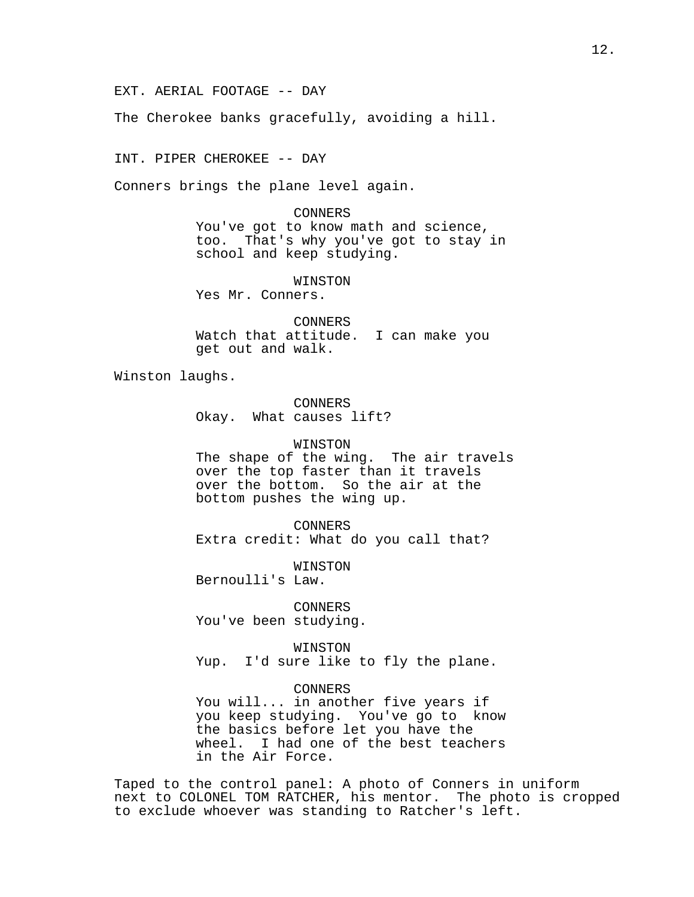EXT. AERIAL FOOTAGE -- DAY

The Cherokee banks gracefully, avoiding a hill.

INT. PIPER CHEROKEE -- DAY

Conners brings the plane level again.

CONNERS You've got to know math and science, too. That's why you've got to stay in school and keep studying.

WINSTON Yes Mr. Conners.

CONNERS Watch that attitude. I can make you get out and walk.

Winston laughs.

CONNERS Okay. What causes lift?

## WINSTON

The shape of the wing. The air travels over the top faster than it travels over the bottom. So the air at the bottom pushes the wing up.

CONNERS Extra credit: What do you call that?

WINSTON

Bernoulli's Law.

CONNERS You've been studying.

WINSTON Yup. I'd sure like to fly the plane.

CONNERS

You will... in another five years if you keep studying. You've go to know the basics before let you have the wheel. I had one of the best teachers in the Air Force.

Taped to the control panel: A photo of Conners in uniform next to COLONEL TOM RATCHER, his mentor. The photo is cropped to exclude whoever was standing to Ratcher's left.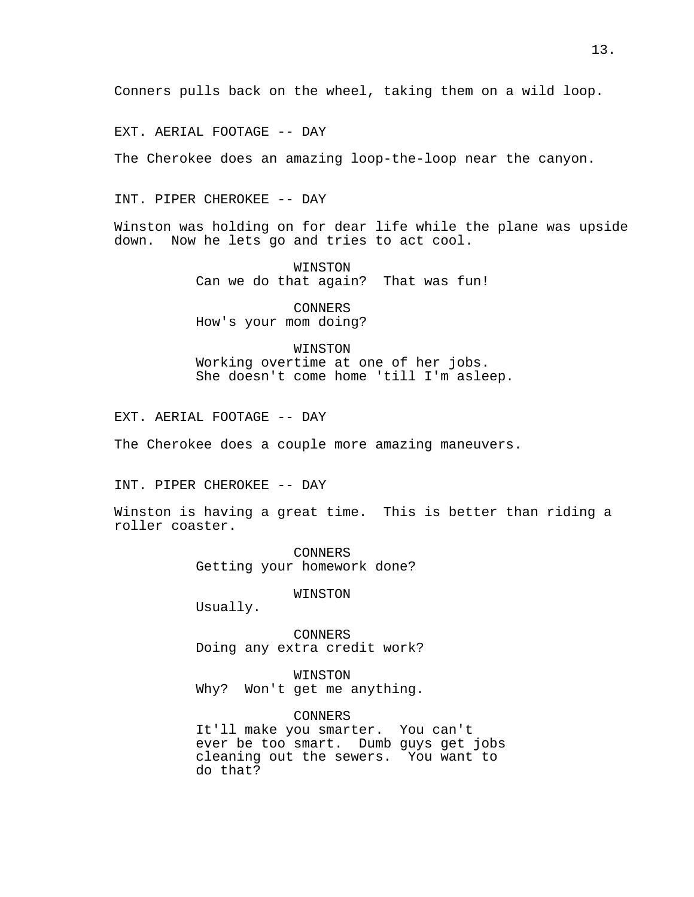EXT. AERIAL FOOTAGE -- DAY

The Cherokee does an amazing loop-the-loop near the canyon.

## INT. PIPER CHEROKEE -- DAY

Winston was holding on for dear life while the plane was upside down. Now he lets go and tries to act cool.

> WINSTON Can we do that again? That was fun!

CONNERS How's your mom doing?

### WINSTON

Working overtime at one of her jobs. She doesn't come home 'till I'm asleep.

EXT. AERIAL FOOTAGE -- DAY

The Cherokee does a couple more amazing maneuvers.

## INT. PIPER CHEROKEE -- DAY

Winston is having a great time. This is better than riding a roller coaster.

> CONNERS Getting your homework done?

#### WINSTON

Usually.

CONNERS Doing any extra credit work?

WINSTON Why? Won't get me anything.

CONNERS It'll make you smarter. You can't ever be too smart. Dumb guys get jobs cleaning out the sewers. You want to do that?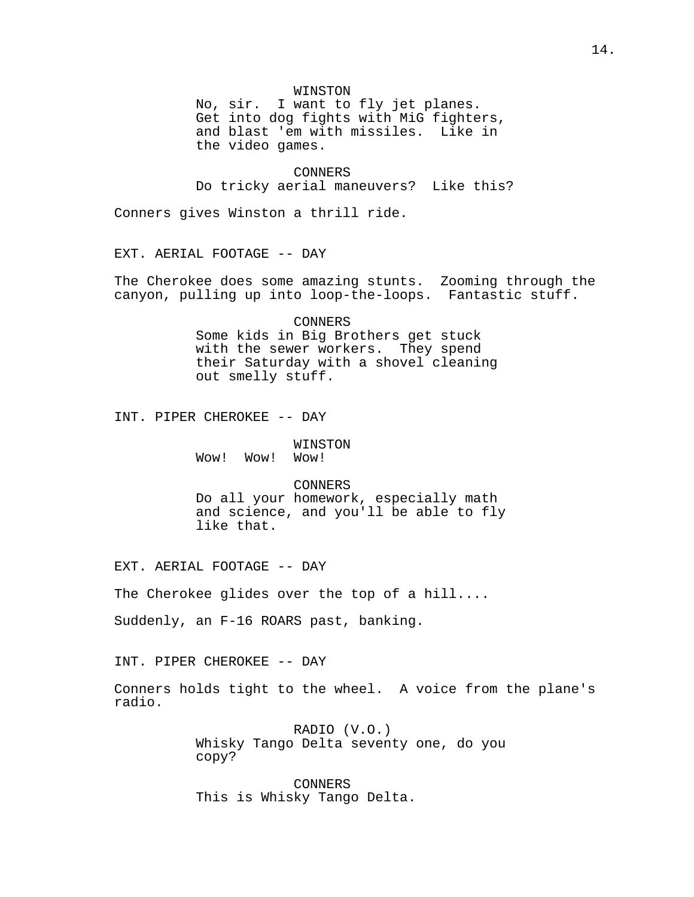### WINSTON

No, sir. I want to fly jet planes. Get into dog fights with MiG fighters, and blast 'em with missiles. Like in the video games.

CONNERS Do tricky aerial maneuvers? Like this?

Conners gives Winston a thrill ride.

EXT. AERIAL FOOTAGE -- DAY

The Cherokee does some amazing stunts. Zooming through the canyon, pulling up into loop-the-loops. Fantastic stuff.

CONNERS

Some kids in Big Brothers get stuck with the sewer workers. They spend their Saturday with a shovel cleaning out smelly stuff.

INT. PIPER CHEROKEE -- DAY

WINSTON Wow! Wow! Wow!

CONNERS

Do all your homework, especially math and science, and you'll be able to fly like that.

EXT. AERIAL FOOTAGE -- DAY

The Cherokee glides over the top of a hill....

Suddenly, an F-16 ROARS past, banking.

INT. PIPER CHEROKEE -- DAY

Conners holds tight to the wheel. A voice from the plane's radio.

> RADIO (V.O.) Whisky Tango Delta seventy one, do you copy?

CONNERS This is Whisky Tango Delta.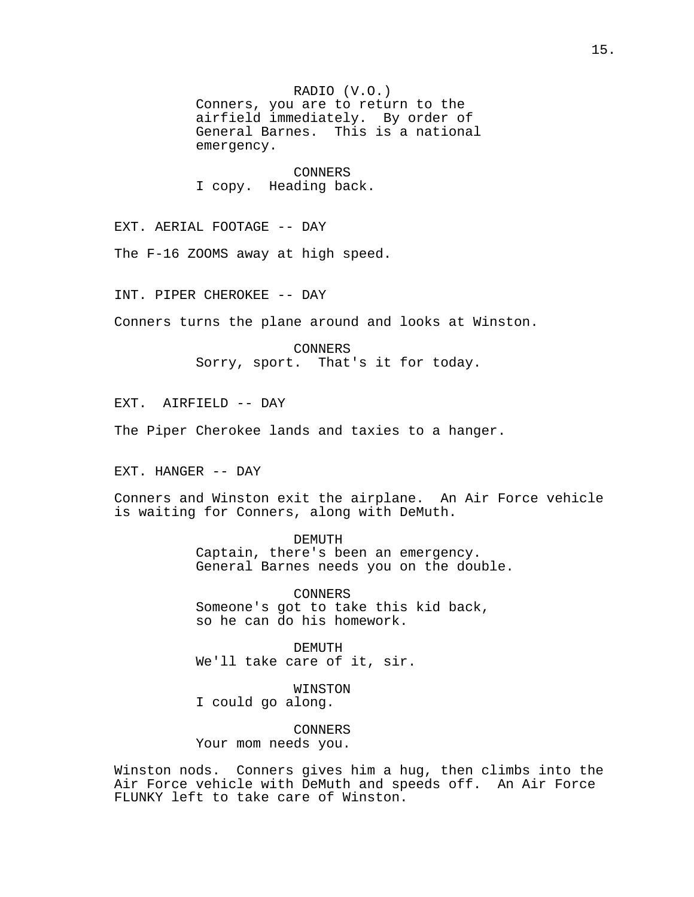RADIO (V.O.)

Conners, you are to return to the airfield immediately. By order of General Barnes. This is a national emergency.

CONNERS I copy. Heading back.

EXT. AERIAL FOOTAGE -- DAY

The F-16 ZOOMS away at high speed.

INT. PIPER CHEROKEE -- DAY

Conners turns the plane around and looks at Winston.

CONNERS Sorry, sport. That's it for today.

EXT. AIRFIELD -- DAY

The Piper Cherokee lands and taxies to a hanger.

EXT. HANGER -- DAY

Conners and Winston exit the airplane. An Air Force vehicle is waiting for Conners, along with DeMuth.

> DEMUTH Captain, there's been an emergency. General Barnes needs you on the double.

CONNERS Someone's got to take this kid back, so he can do his homework.

DEMUTH We'll take care of it, sir.

WINSTON I could go along.

CONNERS Your mom needs you.

Winston nods. Conners gives him a hug, then climbs into the Air Force vehicle with DeMuth and speeds off. An Air Force FLUNKY left to take care of Winston.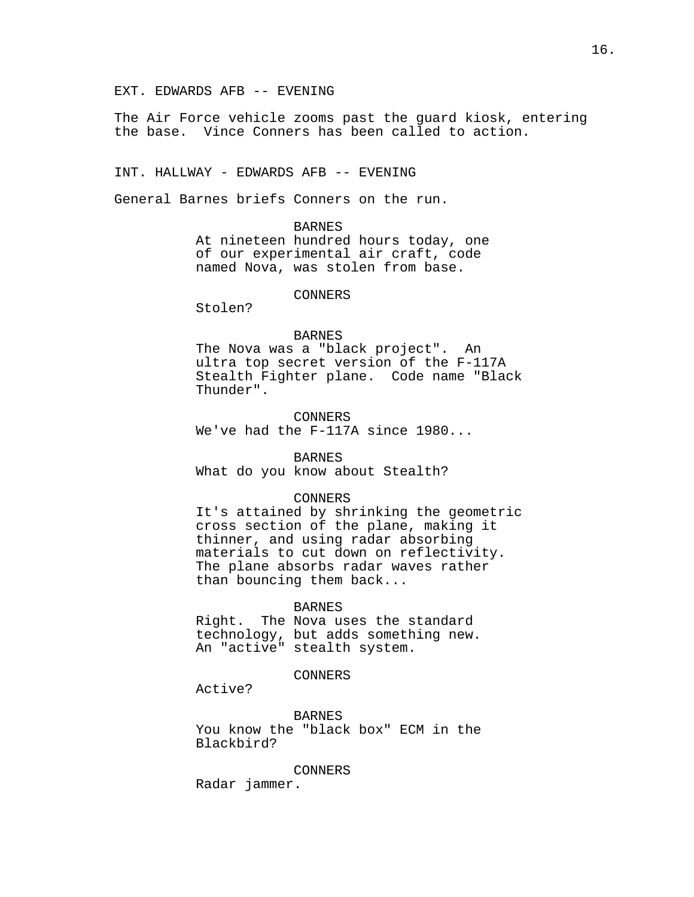EXT. EDWARDS AFB -- EVENING

The Air Force vehicle zooms past the guard kiosk, entering the base. Vince Conners has been called to action.

INT. HALLWAY - EDWARDS AFB -- EVENING

General Barnes briefs Conners on the run.

BARNES At nineteen hundred hours today, one of our experimental air craft, code named Nova, was stolen from base.

CONNERS

Stolen?

## BARNES

The Nova was a "black project". An ultra top secret version of the F-117A Stealth Fighter plane. Code name "Black Thunder".

CONNERS

We've had the F-117A since 1980...

#### **BARNES**

What do you know about Stealth?

#### CONNERS

It's attained by shrinking the geometric cross section of the plane, making it thinner, and using radar absorbing materials to cut down on reflectivity. The plane absorbs radar waves rather than bouncing them back...

#### **BARNES**

Right. The Nova uses the standard technology, but adds something new. An "active" stealth system.

CONNERS

Active?

BARNES You know the "black box" ECM in the Blackbird?

CONNERS

Radar jammer.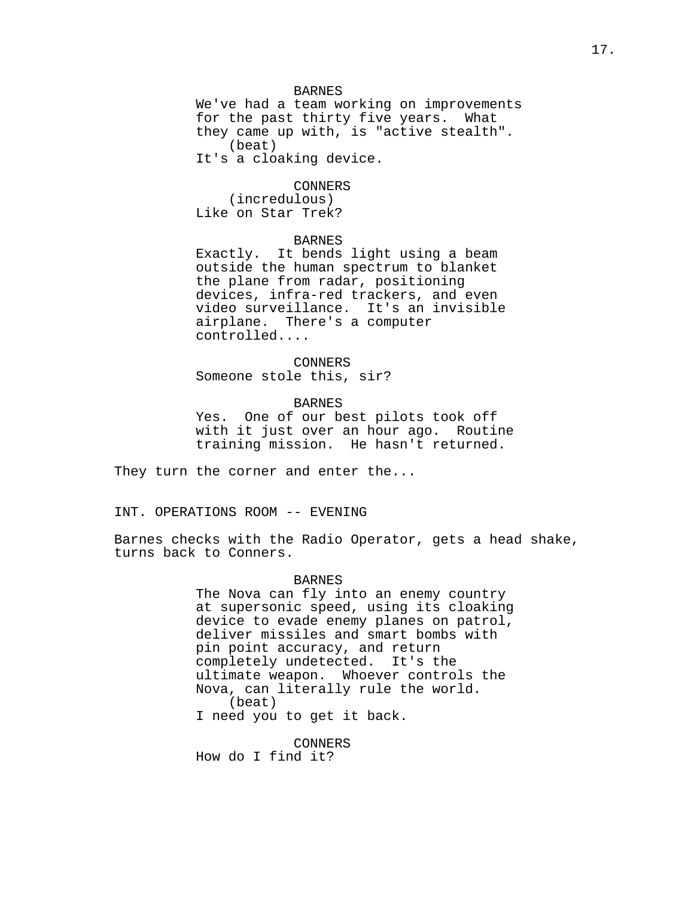### BARNES

We've had a team working on improvements for the past thirty five years. What they came up with, is "active stealth". (beat) It's a cloaking device.

#### CONNERS

(incredulous) Like on Star Trek?

## BARNES

Exactly. It bends light using a beam outside the human spectrum to blanket the plane from radar, positioning devices, infra-red trackers, and even video surveillance. It's an invisible airplane. There's a computer controlled....

## CONNERS

Someone stole this, sir?

## BARNES

Yes. One of our best pilots took off with it just over an hour ago. Routine training mission. He hasn't returned.

They turn the corner and enter the...

INT. OPERATIONS ROOM -- EVENING

Barnes checks with the Radio Operator, gets a head shake, turns back to Conners.

### BARNES

The Nova can fly into an enemy country at supersonic speed, using its cloaking device to evade enemy planes on patrol, deliver missiles and smart bombs with pin point accuracy, and return completely undetected. It's the ultimate weapon. Whoever controls the Nova, can literally rule the world. (beat) I need you to get it back.

CONNERS

How do I find it?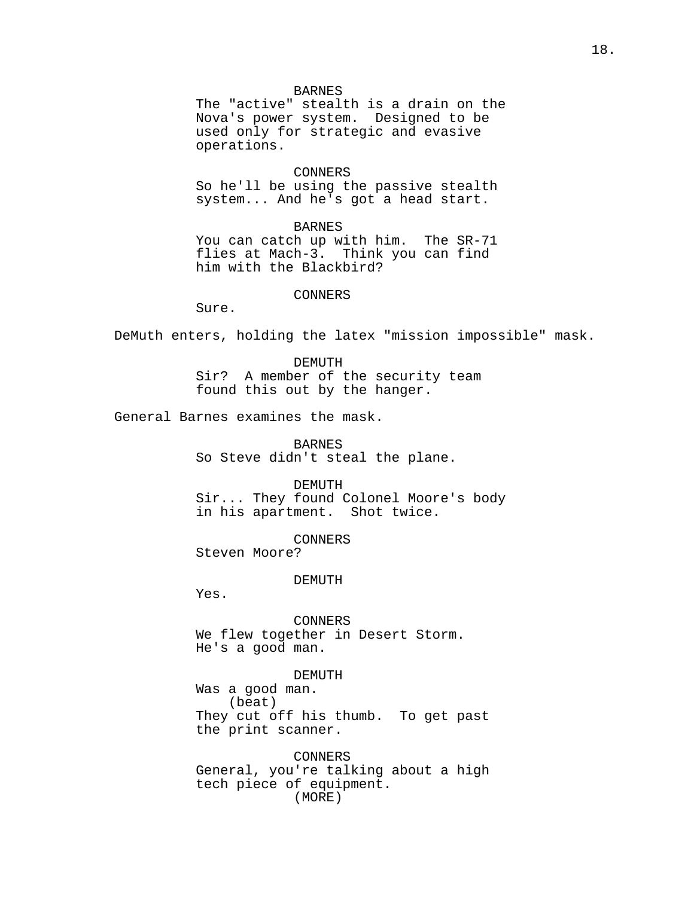#### BARNES

The "active" stealth is a drain on the Nova's power system. Designed to be used only for strategic and evasive operations.

### CONNERS

So he'll be using the passive stealth system... And he's got a head start.

BARNES You can catch up with him. The SR-71 flies at Mach-3. Think you can find him with the Blackbird?

#### CONNERS

Sure.

DeMuth enters, holding the latex "mission impossible" mask.

DEMUTH Sir? A member of the security team found this out by the hanger.

General Barnes examines the mask.

BARNES So Steve didn't steal the plane.

DEMUTH

Sir... They found Colonel Moore's body in his apartment. Shot twice.

CONNERS

Steven Moore?

DEMUTH

Yes.

CONNERS We flew together in Desert Storm. He's a good man.

## DEMUTH

Was a good man. (beat) They cut off his thumb. To get past the print scanner.

CONNERS General, you're talking about a high tech piece of equipment. (MORE)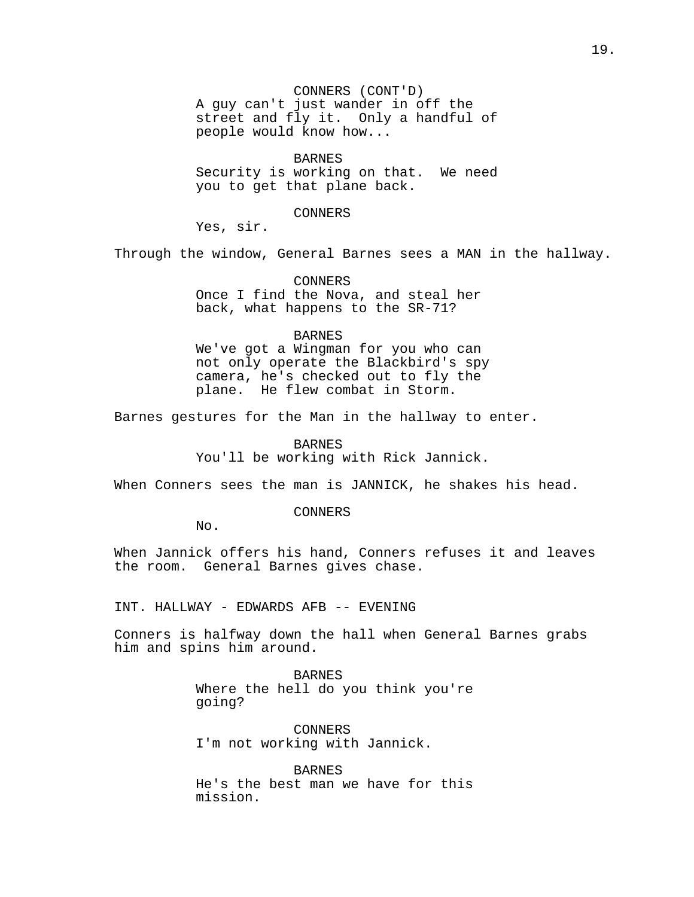CONNERS (CONT'D) A guy can't just wander in off the street and fly it. Only a handful of people would know how...

BARNES Security is working on that. We need you to get that plane back.

CONNERS

Yes, sir.

Through the window, General Barnes sees a MAN in the hallway.

CONNERS Once I find the Nova, and steal her back, what happens to the SR-71?

## BARNES

We've got a Wingman for you who can not only operate the Blackbird's spy camera, he's checked out to fly the plane. He flew combat in Storm.

Barnes gestures for the Man in the hallway to enter.

BARNES You'll be working with Rick Jannick.

When Conners sees the man is JANNICK, he shakes his head.

CONNERS

No.

When Jannick offers his hand, Conners refuses it and leaves the room. General Barnes gives chase.

INT. HALLWAY - EDWARDS AFB -- EVENING

Conners is halfway down the hall when General Barnes grabs him and spins him around.

> BARNES Where the hell do you think you're going?

CONNERS I'm not working with Jannick.

BARNES He's the best man we have for this mission.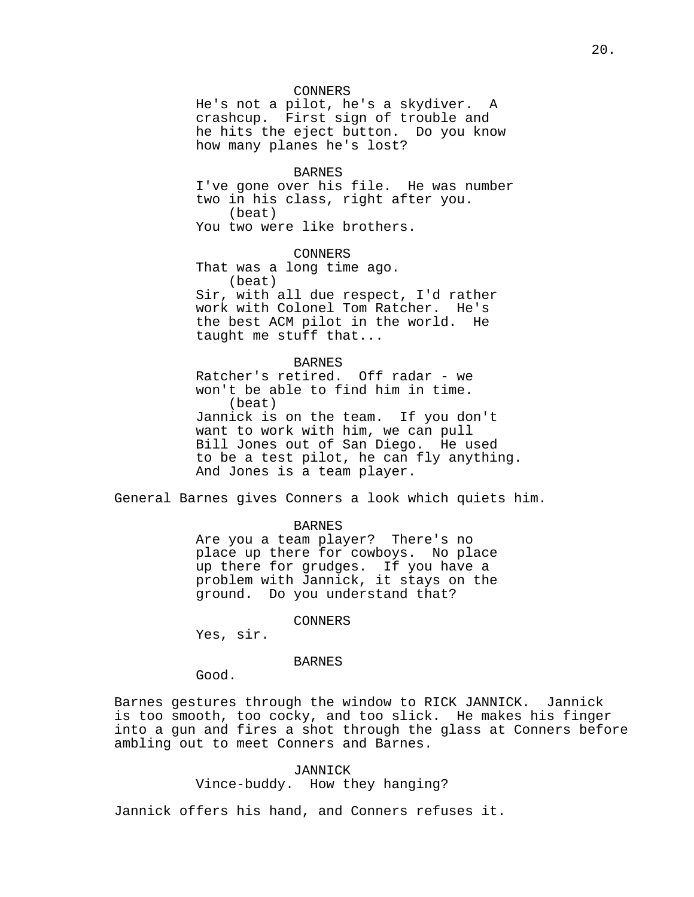## CONNERS

He's not a pilot, he's a skydiver. A crashcup. First sign of trouble and he hits the eject button. Do you know how many planes he's lost?

#### BARNES

I've gone over his file. He was number two in his class, right after you. (beat) You two were like brothers.

### CONNERS

That was a long time ago. (beat) Sir, with all due respect, I'd rather work with Colonel Tom Ratcher. He's the best ACM pilot in the world. He taught me stuff that...

## BARNES

Ratcher's retired. Off radar - we won't be able to find him in time. (beat) Jannick is on the team. If you don't want to work with him, we can pull Bill Jones out of San Diego. He used to be a test pilot, he can fly anything. And Jones is a team player.

General Barnes gives Conners a look which quiets him.

#### BARNES

Are you a team player? There's no place up there for cowboys. No place up there for grudges. If you have a problem with Jannick, it stays on the ground. Do you understand that?

#### CONNERS

Yes, sir.

## BARNES

Good.

Barnes gestures through the window to RICK JANNICK. Jannick is too smooth, too cocky, and too slick. He makes his finger into a gun and fires a shot through the glass at Conners before ambling out to meet Conners and Barnes.

## JANNICK

Vince-buddy. How they hanging?

Jannick offers his hand, and Conners refuses it.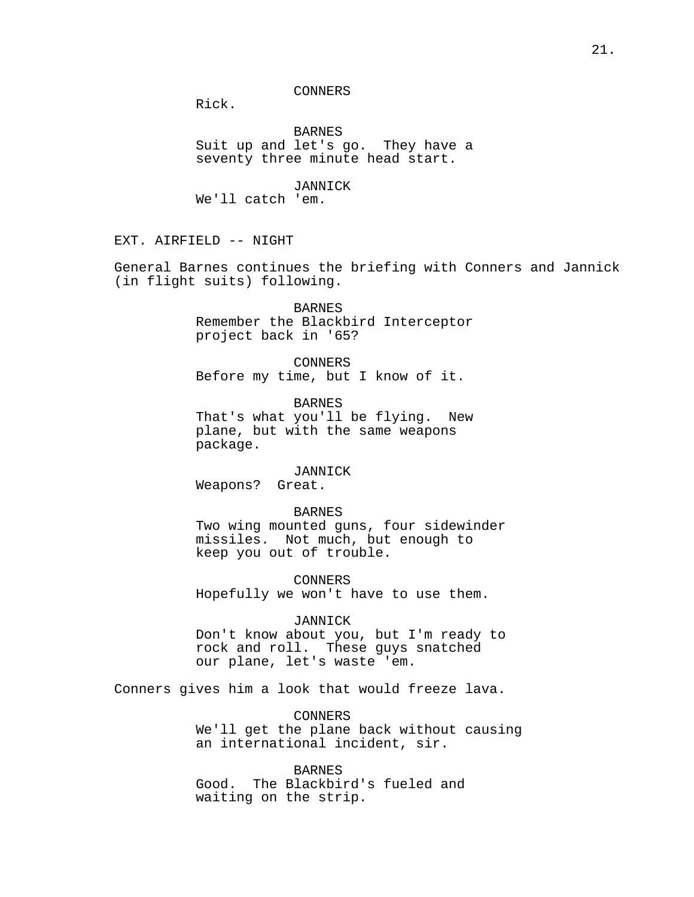CONNERS

Rick.

BARNES Suit up and let's go. They have a seventy three minute head start.

JANNICK We'll catch 'em.

EXT. AIRFIELD -- NIGHT

General Barnes continues the briefing with Conners and Jannick (in flight suits) following.

> **BARNES** Remember the Blackbird Interceptor project back in '65?

CONNERS Before my time, but I know of it.

BARNES That's what you'll be flying. New plane, but with the same weapons package.

#### JANNICK

Weapons? Great.

### BARNES

Two wing mounted guns, four sidewinder missiles. Not much, but enough to keep you out of trouble.

CONNERS

Hopefully we won't have to use them.

## JANNICK

Don't know about you, but I'm ready to rock and roll. These guys snatched our plane, let's waste 'em.

Conners gives him a look that would freeze lava.

CONNERS We'll get the plane back without causing an international incident, sir.

BARNES Good. The Blackbird's fueled and waiting on the strip.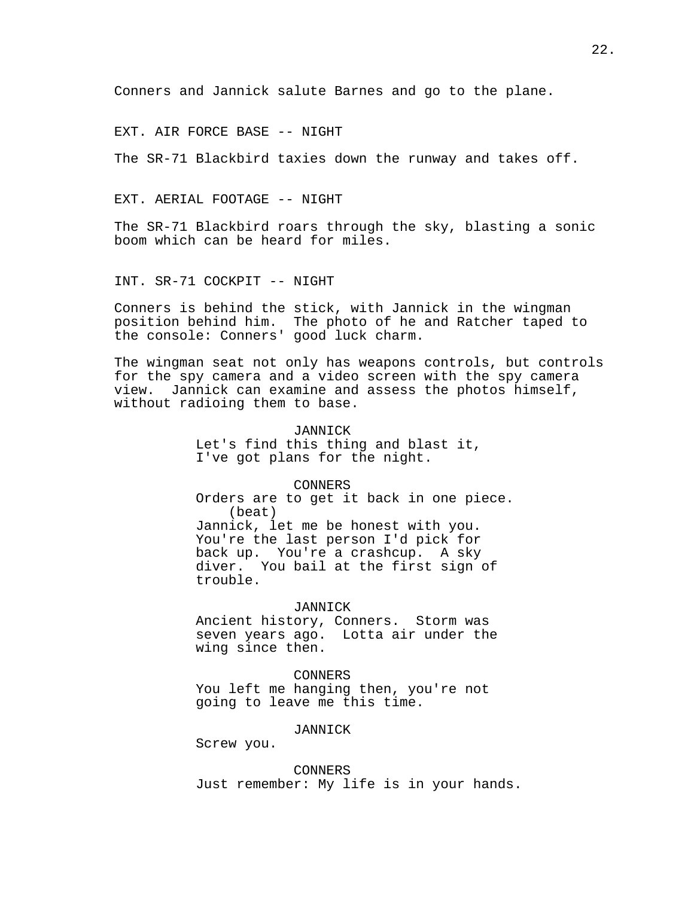Conners and Jannick salute Barnes and go to the plane.

EXT. AIR FORCE BASE -- NIGHT

The SR-71 Blackbird taxies down the runway and takes off.

EXT. AERIAL FOOTAGE -- NIGHT

The SR-71 Blackbird roars through the sky, blasting a sonic boom which can be heard for miles.

INT. SR-71 COCKPIT -- NIGHT

Conners is behind the stick, with Jannick in the wingman position behind him. The photo of he and Ratcher taped to the console: Conners' good luck charm.

The wingman seat not only has weapons controls, but controls for the spy camera and a video screen with the spy camera view. Jannick can examine and assess the photos himself, without radioing them to base.

JANNICK

Let's find this thing and blast it, I've got plans for the night.

CONNERS

Orders are to get it back in one piece. (beat) Jannick, let me be honest with you. You're the last person I'd pick for back up. You're a crashcup. A sky diver. You bail at the first sign of trouble.

#### JANNICK

Ancient history, Conners. Storm was seven years ago. Lotta air under the wing since then.

#### CONNERS

You left me hanging then, you're not going to leave me this time.

## JANNICK

Screw you.

CONNERS Just remember: My life is in your hands.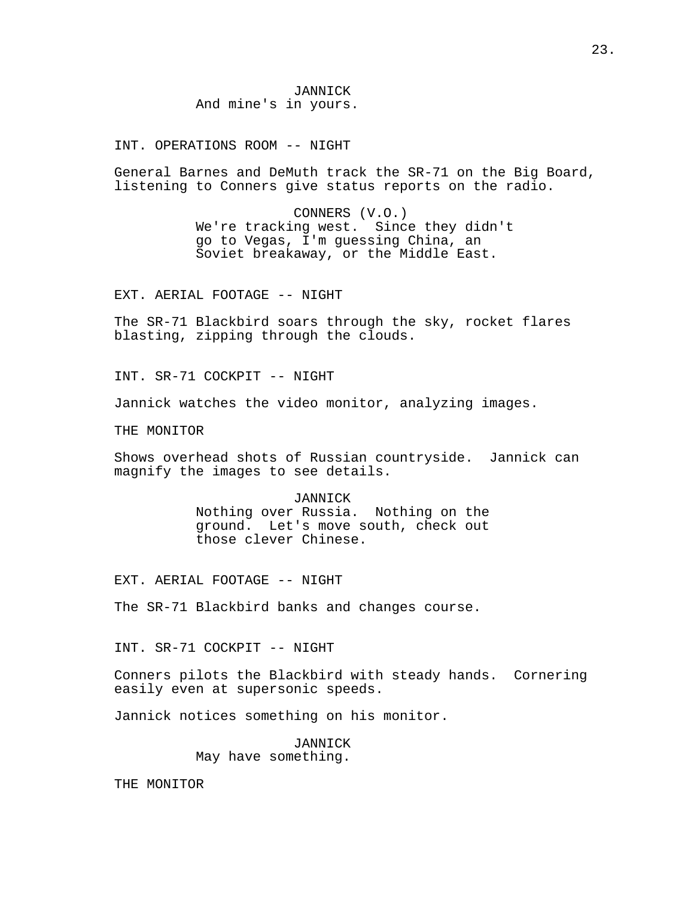JANNICK And mine's in yours.

INT. OPERATIONS ROOM -- NIGHT

General Barnes and DeMuth track the SR-71 on the Big Board, listening to Conners give status reports on the radio.

> CONNERS (V.O.) We're tracking west. Since they didn't go to Vegas, I'm guessing China, an Soviet breakaway, or the Middle East.

EXT. AERIAL FOOTAGE -- NIGHT

The SR-71 Blackbird soars through the sky, rocket flares blasting, zipping through the clouds.

INT. SR-71 COCKPIT -- NIGHT

Jannick watches the video monitor, analyzing images.

THE MONITOR

Shows overhead shots of Russian countryside. Jannick can magnify the images to see details.

JANNICK

Nothing over Russia. Nothing on the ground. Let's move south, check out those clever Chinese.

EXT. AERIAL FOOTAGE -- NIGHT

The SR-71 Blackbird banks and changes course.

INT. SR-71 COCKPIT -- NIGHT

Conners pilots the Blackbird with steady hands. Cornering easily even at supersonic speeds.

Jannick notices something on his monitor.

JANNICK May have something.

THE MONITOR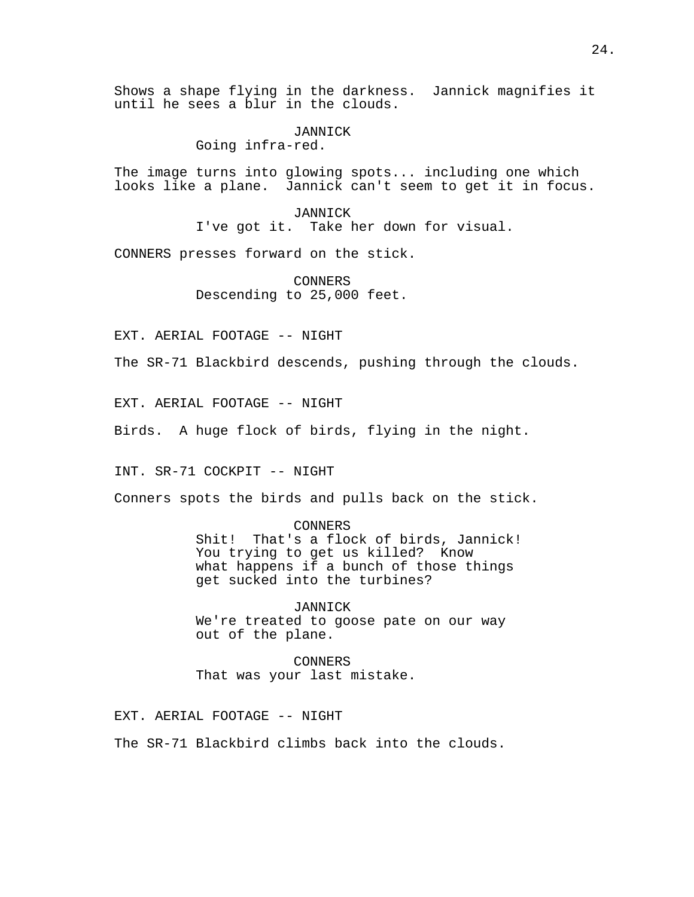Shows a shape flying in the darkness. Jannick magnifies it until he sees a blur in the clouds.

> JANNICK Going infra-red.

The image turns into glowing spots... including one which looks like a plane. Jannick can't seem to get it in focus.

> JANNICK I've got it. Take her down for visual.

CONNERS presses forward on the stick.

CONNERS Descending to 25,000 feet.

EXT. AERIAL FOOTAGE -- NIGHT

The SR-71 Blackbird descends, pushing through the clouds.

EXT. AERIAL FOOTAGE -- NIGHT

Birds. A huge flock of birds, flying in the night.

INT. SR-71 COCKPIT -- NIGHT

Conners spots the birds and pulls back on the stick.

CONNERS

Shit! That's a flock of birds, Jannick! You trying to get us killed? Know what happens if a bunch of those things get sucked into the turbines?

JANNICK We're treated to goose pate on our way out of the plane.

CONNERS That was your last mistake.

EXT. AERIAL FOOTAGE -- NIGHT

The SR-71 Blackbird climbs back into the clouds.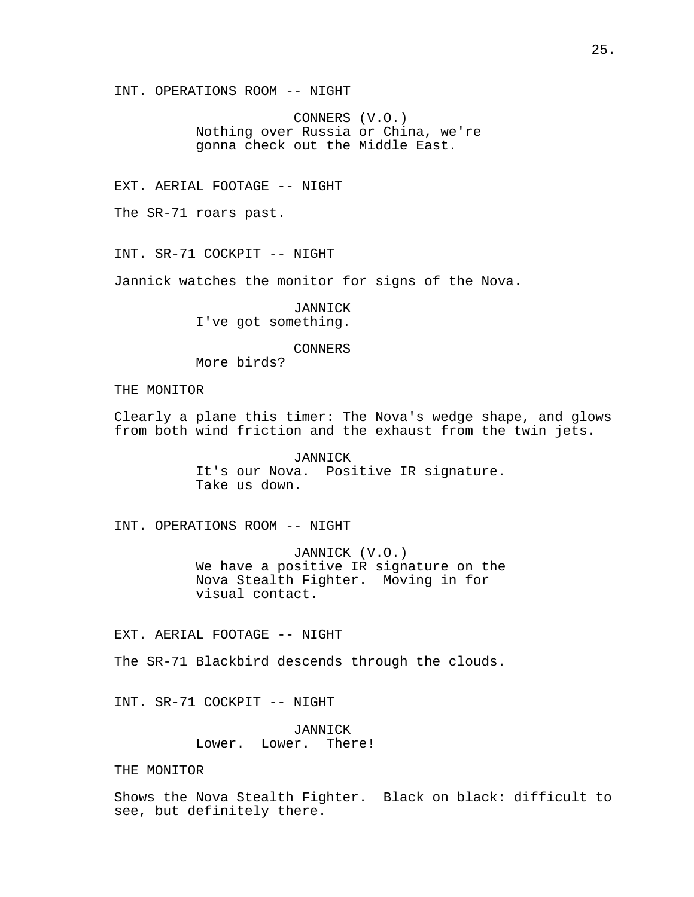INT. OPERATIONS ROOM -- NIGHT

CONNERS (V.O.) Nothing over Russia or China, we're gonna check out the Middle East.

EXT. AERIAL FOOTAGE -- NIGHT

The SR-71 roars past.

INT. SR-71 COCKPIT -- NIGHT

Jannick watches the monitor for signs of the Nova.

JANNICK I've got something.

CONNERS

More birds?

THE MONITOR

Clearly a plane this timer: The Nova's wedge shape, and glows from both wind friction and the exhaust from the twin jets.

> JANNICK It's our Nova. Positive IR signature. Take us down.

INT. OPERATIONS ROOM -- NIGHT

JANNICK (V.O.) We have a positive IR signature on the Nova Stealth Fighter. Moving in for visual contact.

EXT. AERIAL FOOTAGE -- NIGHT

The SR-71 Blackbird descends through the clouds.

INT. SR-71 COCKPIT -- NIGHT

JANNICK Lower. Lower. There!

THE MONITOR

Shows the Nova Stealth Fighter. Black on black: difficult to see, but definitely there.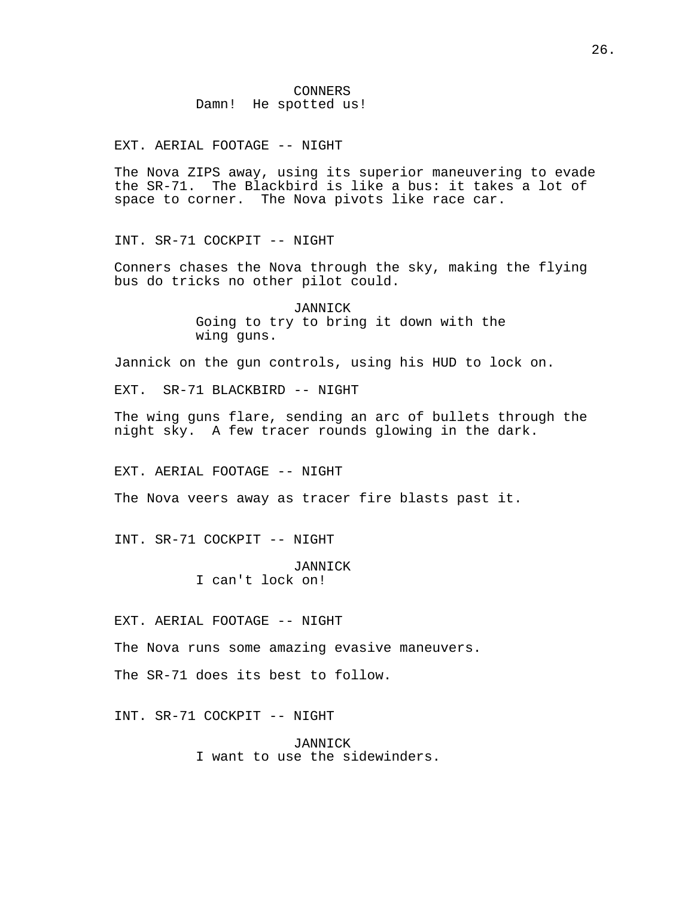EXT. AERIAL FOOTAGE -- NIGHT

The Nova ZIPS away, using its superior maneuvering to evade the SR-71. The Blackbird is like a bus: it takes a lot of space to corner. The Nova pivots like race car.

INT. SR-71 COCKPIT -- NIGHT

Conners chases the Nova through the sky, making the flying bus do tricks no other pilot could.

> JANNICK Going to try to bring it down with the wing guns.

Jannick on the gun controls, using his HUD to lock on.

EXT. SR-71 BLACKBIRD -- NIGHT

The wing guns flare, sending an arc of bullets through the night sky. A few tracer rounds glowing in the dark.

EXT. AERIAL FOOTAGE -- NIGHT

The Nova veers away as tracer fire blasts past it.

INT. SR-71 COCKPIT -- NIGHT

JANNICK I can't lock on!

EXT. AERIAL FOOTAGE -- NIGHT

The Nova runs some amazing evasive maneuvers.

The SR-71 does its best to follow.

INT. SR-71 COCKPIT -- NIGHT

JANNICK I want to use the sidewinders.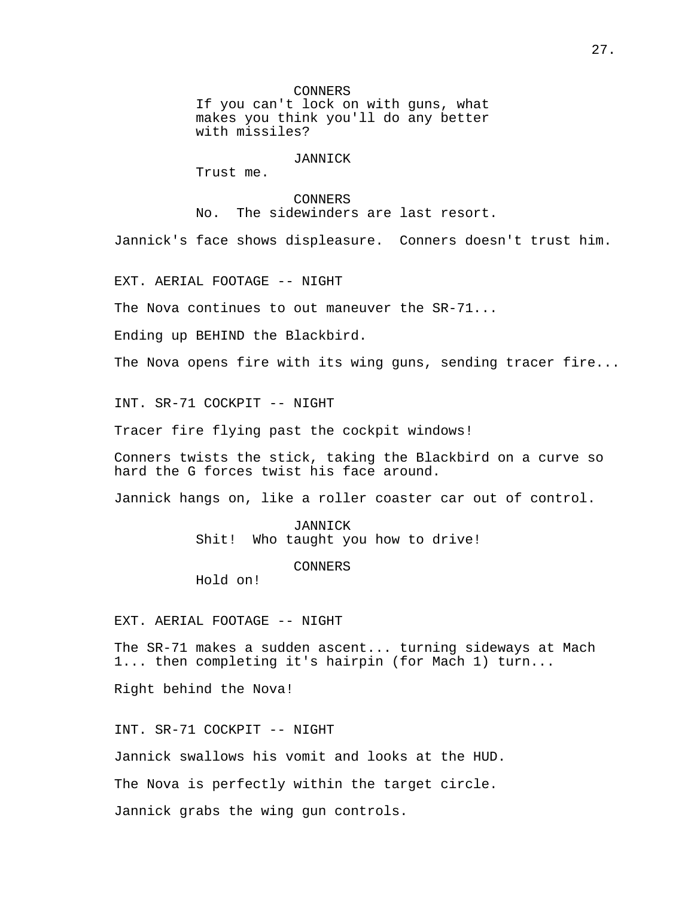If you can't lock on with guns, what makes you think you'll do any better with missiles?

## **JANNICK**

Trust me.

# CONNERS No. The sidewinders are last resort.

Jannick's face shows displeasure. Conners doesn't trust him.

EXT. AERIAL FOOTAGE -- NIGHT

The Nova continues to out maneuver the SR-71...

Ending up BEHIND the Blackbird.

The Nova opens fire with its wing guns, sending tracer fire...

INT. SR-71 COCKPIT -- NIGHT

Tracer fire flying past the cockpit windows!

Conners twists the stick, taking the Blackbird on a curve so hard the G forces twist his face around.

Jannick hangs on, like a roller coaster car out of control.

JANNICK Shit! Who taught you how to drive!

CONNERS

Hold on!

EXT. AERIAL FOOTAGE -- NIGHT

The SR-71 makes a sudden ascent... turning sideways at Mach 1... then completing it's hairpin (for Mach 1) turn...

Right behind the Nova!

INT. SR-71 COCKPIT -- NIGHT

Jannick swallows his vomit and looks at the HUD.

The Nova is perfectly within the target circle.

Jannick grabs the wing gun controls.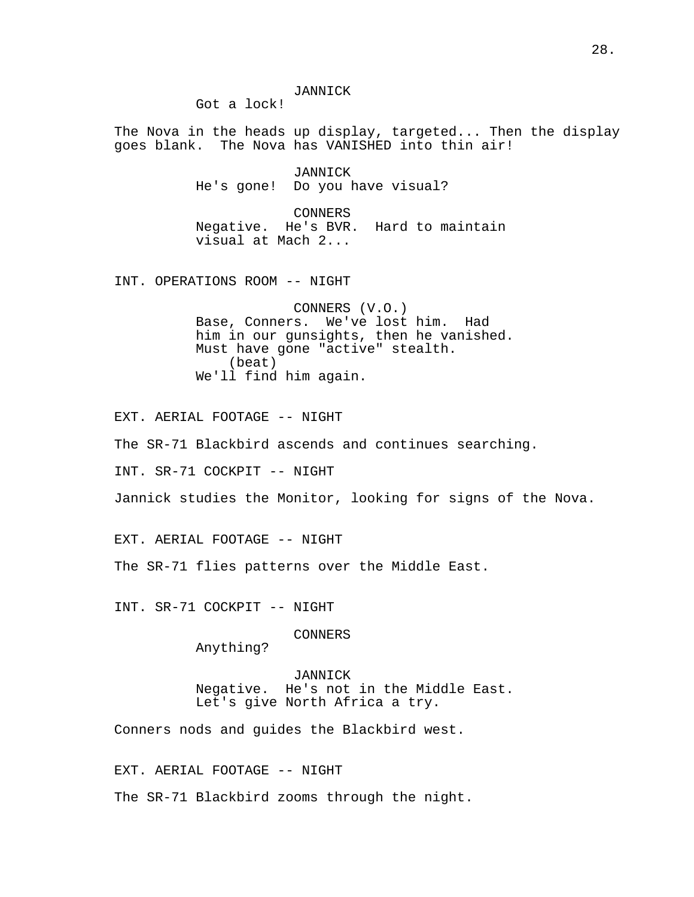Got a lock!

The Nova in the heads up display, targeted... Then the display goes blank. The Nova has VANISHED into thin air!

> JANNICK He's gone! Do you have visual?

CONNERS Negative. He's BVR. Hard to maintain visual at Mach 2...

INT. OPERATIONS ROOM -- NIGHT

CONNERS (V.O.) Base, Conners. We've lost him. Had him in our gunsights, then he vanished. Must have gone "active" stealth. (beat) We'll find him again.

EXT. AERIAL FOOTAGE -- NIGHT

The SR-71 Blackbird ascends and continues searching.

INT. SR-71 COCKPIT -- NIGHT

Jannick studies the Monitor, looking for signs of the Nova.

EXT. AERIAL FOOTAGE -- NIGHT

The SR-71 flies patterns over the Middle East.

INT. SR-71 COCKPIT -- NIGHT

CONNERS

Anything?

JANNICK Negative. He's not in the Middle East. Let's give North Africa a try.

Conners nods and guides the Blackbird west.

EXT. AERIAL FOOTAGE -- NIGHT The SR-71 Blackbird zooms through the night.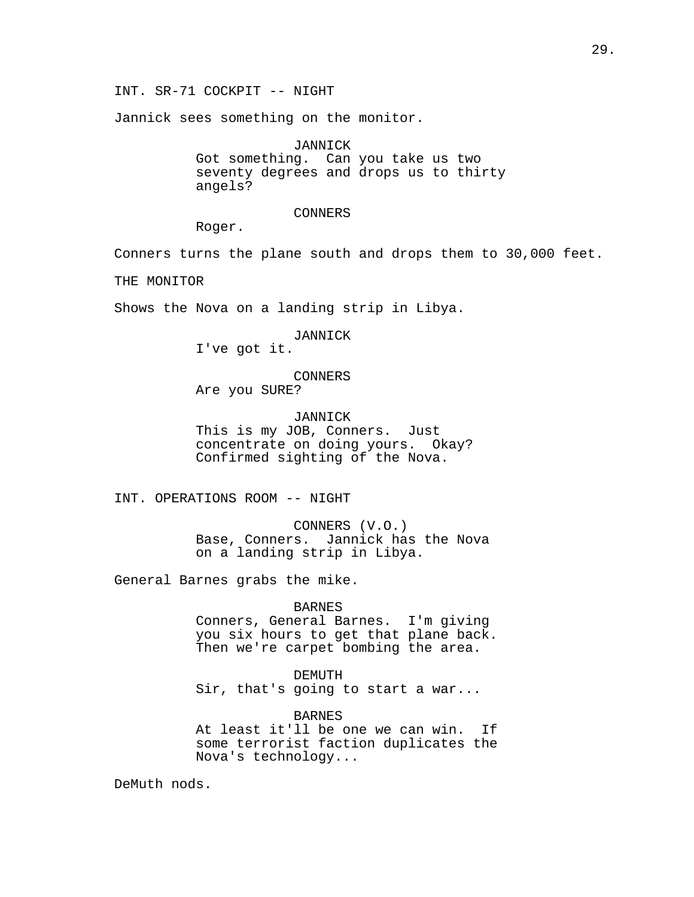INT. SR-71 COCKPIT -- NIGHT

Jannick sees something on the monitor.

JANNICK Got something. Can you take us two seventy degrees and drops us to thirty angels?

CONNERS

Roger.

Conners turns the plane south and drops them to 30,000 feet.

THE MONITOR

Shows the Nova on a landing strip in Libya.

JANNICK

I've got it.

CONNERS

Are you SURE?

JANNICK This is my JOB, Conners. Just concentrate on doing yours. Okay? Confirmed sighting of the Nova.

INT. OPERATIONS ROOM -- NIGHT

CONNERS (V.O.) Base, Conners. Jannick has the Nova on a landing strip in Libya.

General Barnes grabs the mike.

## BARNES

Conners, General Barnes. I'm giving you six hours to get that plane back. Then we're carpet bombing the area.

DEMUTH

Sir, that's going to start a war...

BARNES

At least it'll be one we can win. If some terrorist faction duplicates the Nova's technology...

DeMuth nods.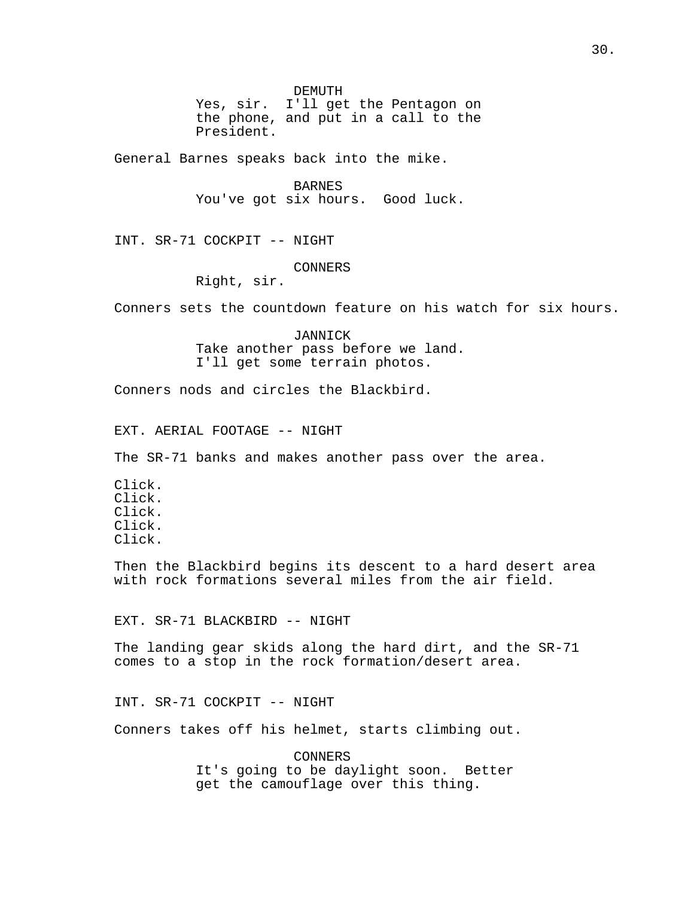DEMUTH

Yes, sir. I'll get the Pentagon on the phone, and put in a call to the President.

General Barnes speaks back into the mike.

BARNES You've got six hours. Good luck.

INT. SR-71 COCKPIT -- NIGHT

### CONNERS

Right, sir.

Conners sets the countdown feature on his watch for six hours.

JANNICK Take another pass before we land. I'll get some terrain photos.

Conners nods and circles the Blackbird.

EXT. AERIAL FOOTAGE -- NIGHT

The SR-71 banks and makes another pass over the area.

Click. Click. Click. Click. Click.

Then the Blackbird begins its descent to a hard desert area with rock formations several miles from the air field.

EXT. SR-71 BLACKBIRD -- NIGHT

The landing gear skids along the hard dirt, and the SR-71 comes to a stop in the rock formation/desert area.

INT. SR-71 COCKPIT -- NIGHT

Conners takes off his helmet, starts climbing out.

CONNERS It's going to be daylight soon. Better get the camouflage over this thing.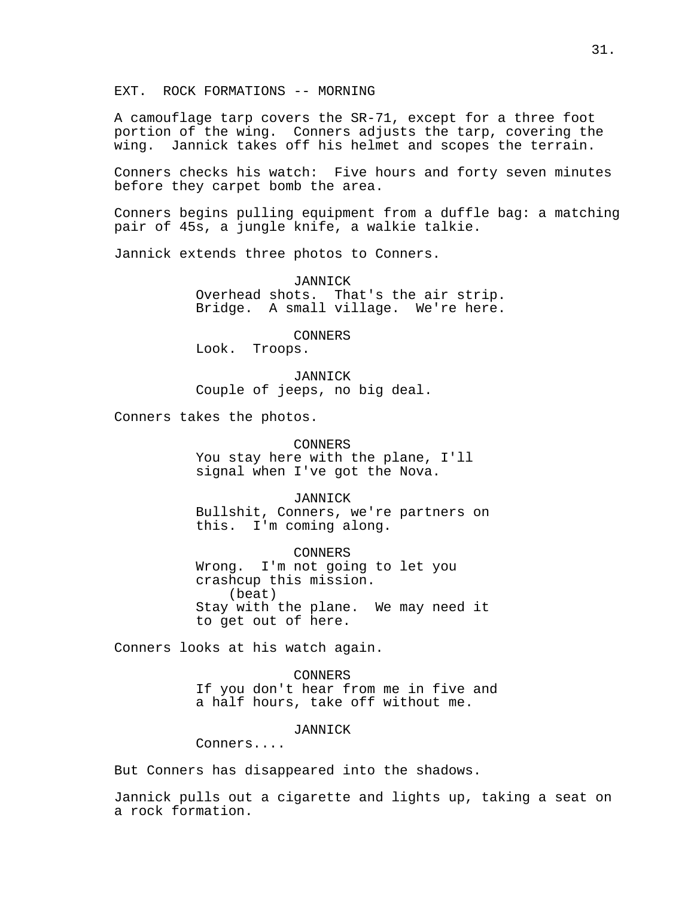EXT. ROCK FORMATIONS -- MORNING

A camouflage tarp covers the SR-71, except for a three foot portion of the wing. Conners adjusts the tarp, covering the wing. Jannick takes off his helmet and scopes the terrain.

Conners checks his watch: Five hours and forty seven minutes before they carpet bomb the area.

Conners begins pulling equipment from a duffle bag: a matching pair of 45s, a jungle knife, a walkie talkie.

Jannick extends three photos to Conners.

JANNICK Overhead shots. That's the air strip. Bridge. A small village. We're here.

CONNERS Look. Troops.

JANNICK Couple of jeeps, no big deal.

Conners takes the photos.

CONNERS You stay here with the plane, I'll signal when I've got the Nova.

JANNICK Bullshit, Conners, we're partners on this. I'm coming along.

CONNERS Wrong. I'm not going to let you crashcup this mission. (beat) Stay with the plane. We may need it to get out of here.

Conners looks at his watch again.

CONNERS If you don't hear from me in five and a half hours, take off without me.

JANNICK

Conners....

But Conners has disappeared into the shadows.

Jannick pulls out a cigarette and lights up, taking a seat on a rock formation.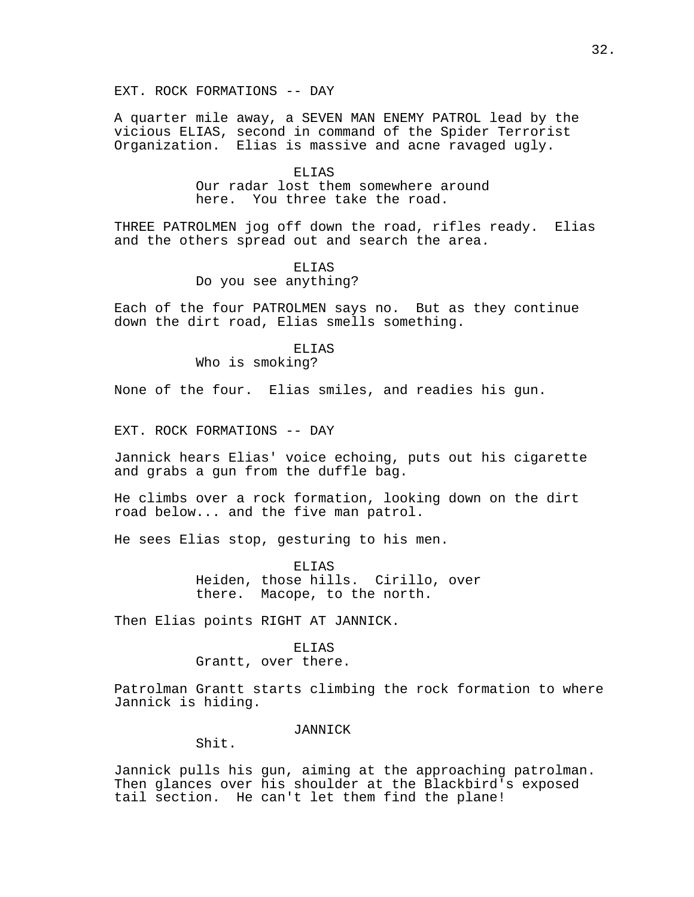A quarter mile away, a SEVEN MAN ENEMY PATROL lead by the vicious ELIAS, second in command of the Spider Terrorist Organization. Elias is massive and acne ravaged ugly.

## ELIAS Our radar lost them somewhere around here. You three take the road.

THREE PATROLMEN jog off down the road, rifles ready. Elias and the others spread out and search the area.

## ELIAS

## Do you see anything?

Each of the four PATROLMEN says no. But as they continue down the dirt road, Elias smells something.

# ELIAS

Who is smoking?

None of the four. Elias smiles, and readies his gun.

EXT. ROCK FORMATIONS -- DAY

Jannick hears Elias' voice echoing, puts out his cigarette and grabs a gun from the duffle bag.

He climbs over a rock formation, looking down on the dirt road below... and the five man patrol.

He sees Elias stop, gesturing to his men.

ELIAS Heiden, those hills. Cirillo, over there. Macope, to the north.

Then Elias points RIGHT AT JANNICK.

## ELIAS Grantt, over there.

Patrolman Grantt starts climbing the rock formation to where Jannick is hiding.

## JANNICK

Shit.

Jannick pulls his gun, aiming at the approaching patrolman. Then glances over his shoulder at the Blackbird's exposed tail section. He can't let them find the plane!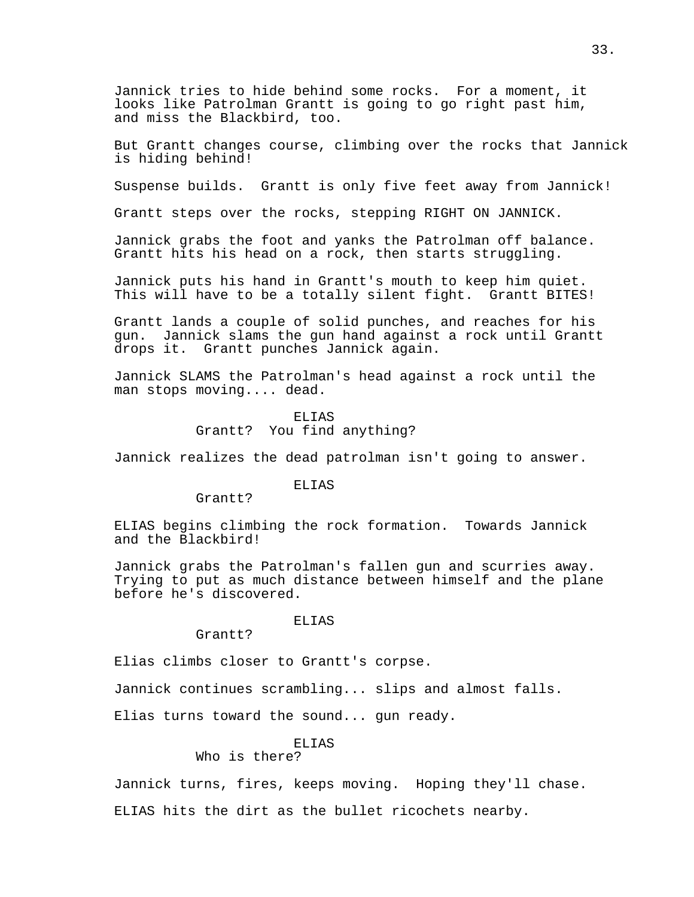Jannick tries to hide behind some rocks. For a moment, it looks like Patrolman Grantt is going to go right past him, and miss the Blackbird, too.

But Grantt changes course, climbing over the rocks that Jannick is hiding behind!

Suspense builds. Grantt is only five feet away from Jannick!

Grantt steps over the rocks, stepping RIGHT ON JANNICK.

Jannick grabs the foot and yanks the Patrolman off balance. Grantt hits his head on a rock, then starts struggling.

Jannick puts his hand in Grantt's mouth to keep him quiet. This will have to be a totally silent fight. Grantt BITES!

Grantt lands a couple of solid punches, and reaches for his gun. Jannick slams the gun hand against a rock until Grantt drops it. Grantt punches Jannick again.

Jannick SLAMS the Patrolman's head against a rock until the man stops moving.... dead.

> ELIAS Grantt? You find anything?

Jannick realizes the dead patrolman isn't going to answer.

# **ELIAS**

Grantt?

ELIAS begins climbing the rock formation. Towards Jannick and the Blackbird!

Jannick grabs the Patrolman's fallen gun and scurries away. Trying to put as much distance between himself and the plane before he's discovered.

### ELIAS

Grantt?

Elias climbs closer to Grantt's corpse.

Jannick continues scrambling... slips and almost falls.

Elias turns toward the sound... gun ready.

#### ELIAS

Who is there?

Jannick turns, fires, keeps moving. Hoping they'll chase. ELIAS hits the dirt as the bullet ricochets nearby.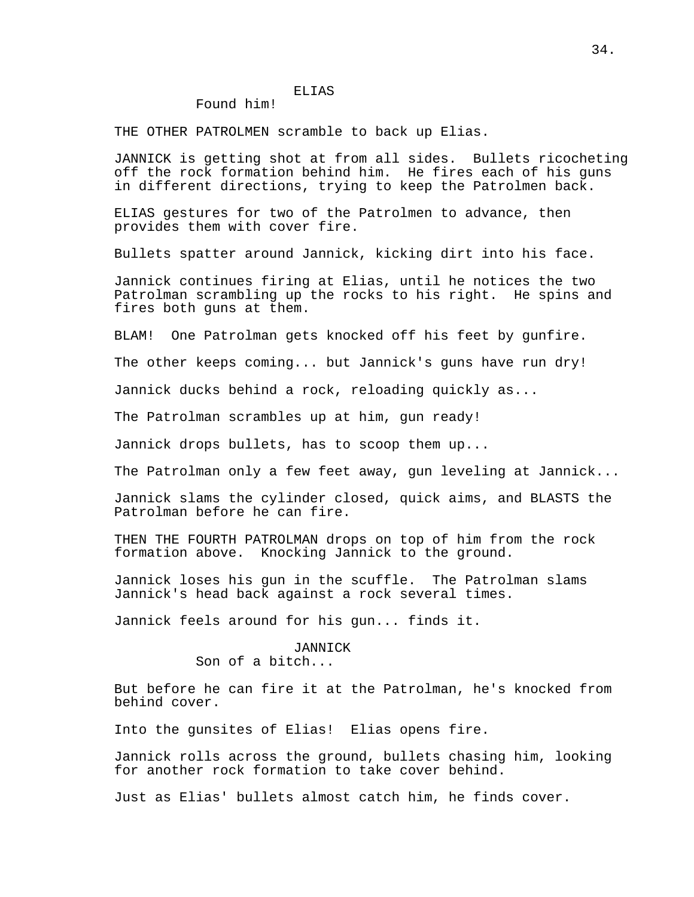## ELIAS

## Found him!

THE OTHER PATROLMEN scramble to back up Elias.

JANNICK is getting shot at from all sides. Bullets ricocheting off the rock formation behind him. He fires each of his guns in different directions, trying to keep the Patrolmen back.

ELIAS gestures for two of the Patrolmen to advance, then provides them with cover fire.

Bullets spatter around Jannick, kicking dirt into his face.

Jannick continues firing at Elias, until he notices the two Patrolman scrambling up the rocks to his right. He spins and fires both guns at them.

BLAM! One Patrolman gets knocked off his feet by gunfire.

The other keeps coming... but Jannick's guns have run dry!

Jannick ducks behind a rock, reloading quickly as...

The Patrolman scrambles up at him, gun ready!

Jannick drops bullets, has to scoop them up...

The Patrolman only a few feet away, gun leveling at Jannick...

Jannick slams the cylinder closed, quick aims, and BLASTS the Patrolman before he can fire.

THEN THE FOURTH PATROLMAN drops on top of him from the rock formation above. Knocking Jannick to the ground.

Jannick loses his gun in the scuffle. The Patrolman slams Jannick's head back against a rock several times.

Jannick feels around for his gun... finds it.

# JANNICK

Son of a bitch...

But before he can fire it at the Patrolman, he's knocked from behind cover.

Into the gunsites of Elias! Elias opens fire.

Jannick rolls across the ground, bullets chasing him, looking for another rock formation to take cover behind.

Just as Elias' bullets almost catch him, he finds cover.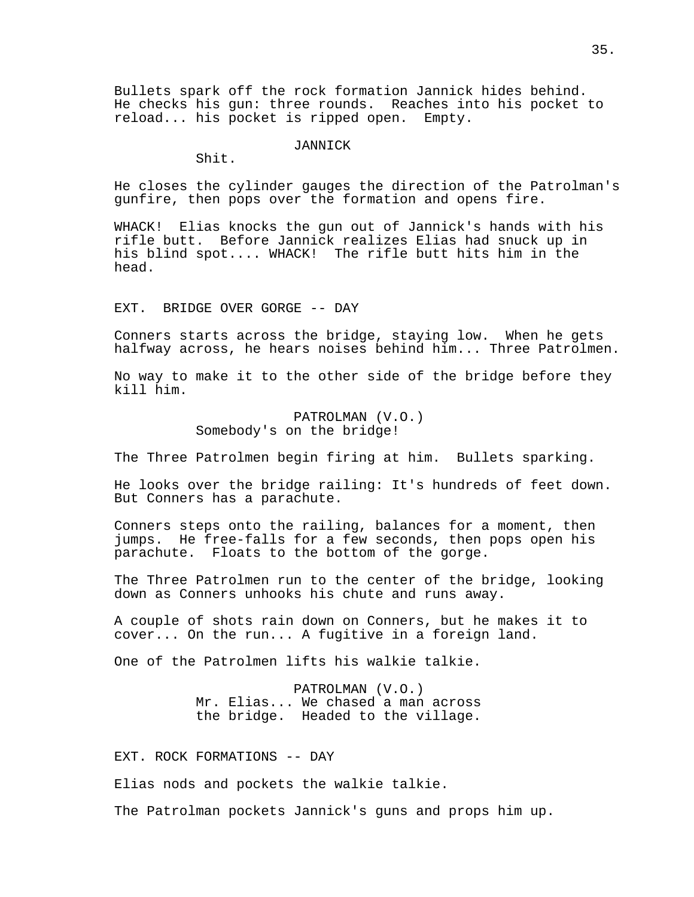Bullets spark off the rock formation Jannick hides behind. He checks his gun: three rounds. Reaches into his pocket to reload... his pocket is ripped open. Empty.

### JANNICK

Shit.

He closes the cylinder gauges the direction of the Patrolman's gunfire, then pops over the formation and opens fire.

WHACK! Elias knocks the gun out of Jannick's hands with his rifle butt. Before Jannick realizes Elias had snuck up in his blind spot.... WHACK! The rifle butt hits him in the head.

EXT. BRIDGE OVER GORGE -- DAY

Conners starts across the bridge, staying low. When he gets halfway across, he hears noises behind him... Three Patrolmen.

No way to make it to the other side of the bridge before they kill him.

> PATROLMAN (V.O.) Somebody's on the bridge!

The Three Patrolmen begin firing at him. Bullets sparking.

He looks over the bridge railing: It's hundreds of feet down. But Conners has a parachute.

Conners steps onto the railing, balances for a moment, then jumps. He free-falls for a few seconds, then pops open his parachute. Floats to the bottom of the gorge.

The Three Patrolmen run to the center of the bridge, looking down as Conners unhooks his chute and runs away.

A couple of shots rain down on Conners, but he makes it to cover... On the run... A fugitive in a foreign land.

One of the Patrolmen lifts his walkie talkie.

PATROLMAN (V.O.) Mr. Elias... We chased a man across the bridge. Headed to the village.

EXT. ROCK FORMATIONS -- DAY

Elias nods and pockets the walkie talkie.

The Patrolman pockets Jannick's guns and props him up.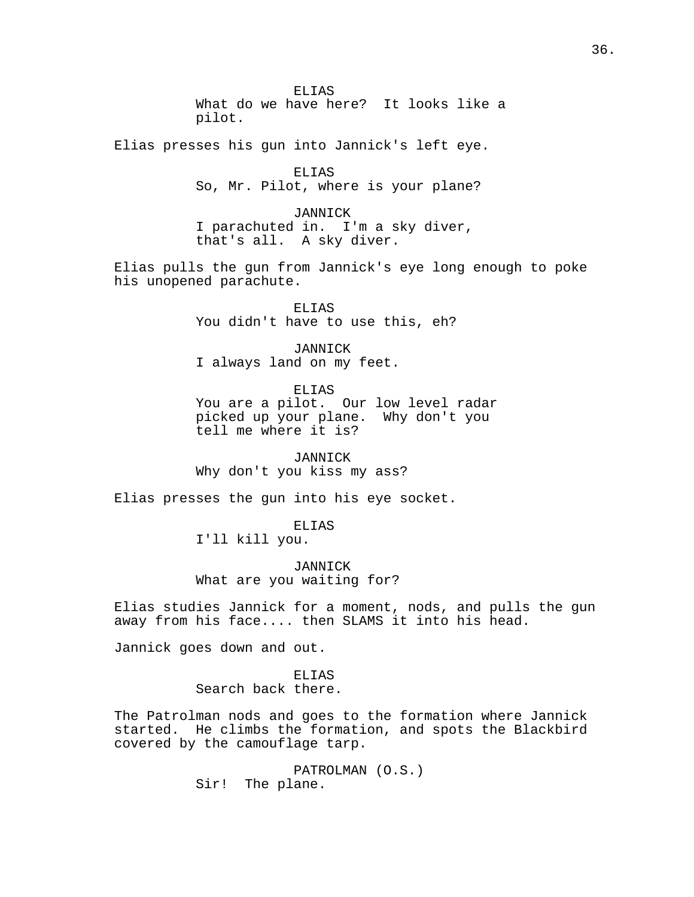ELIAS What do we have here? It looks like a pilot.

Elias presses his gun into Jannick's left eye.

ELIAS So, Mr. Pilot, where is your plane?

JANNICK I parachuted in. I'm a sky diver, that's all. A sky diver.

Elias pulls the gun from Jannick's eye long enough to poke his unopened parachute.

> ELIAS You didn't have to use this, eh?

JANNICK I always land on my feet.

ELIAS

You are a pilot. Our low level radar picked up your plane. Why don't you tell me where it is?

**JANNICK** Why don't you kiss my ass?

Elias presses the gun into his eye socket.

## ELIAS

I'll kill you.

JANNICK What are you waiting for?

Elias studies Jannick for a moment, nods, and pulls the gun away from his face.... then SLAMS it into his head.

Jannick goes down and out.

ELIAS Search back there.

The Patrolman nods and goes to the formation where Jannick started. He climbs the formation, and spots the Blackbird covered by the camouflage tarp.

> PATROLMAN (O.S.) Sir! The plane.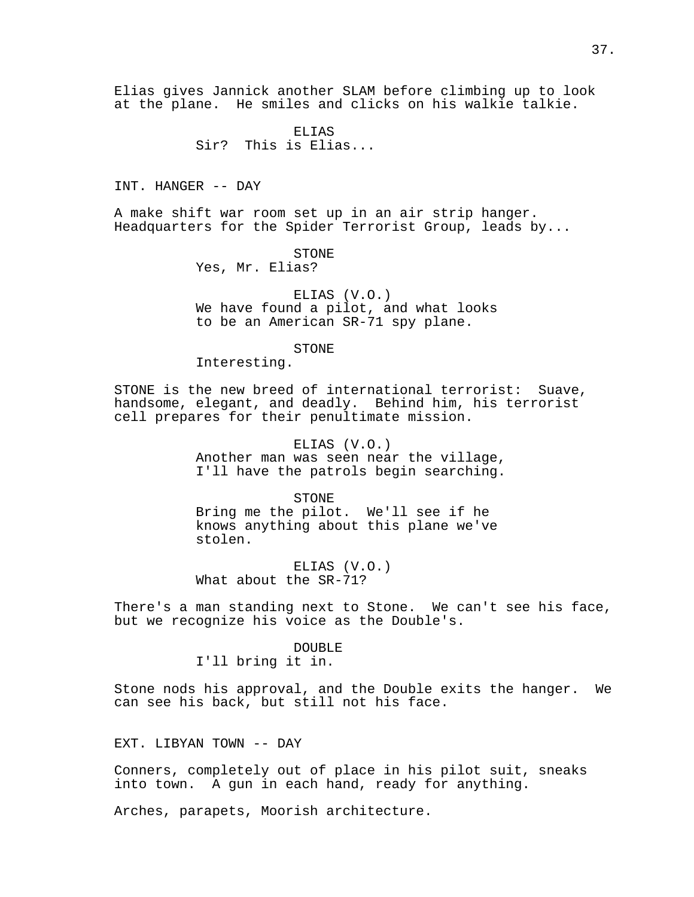Elias gives Jannick another SLAM before climbing up to look at the plane. He smiles and clicks on his walkie talkie.

> ELIAS Sir? This is Elias...

INT. HANGER -- DAY

A make shift war room set up in an air strip hanger. Headquarters for the Spider Terrorist Group, leads by...

STONE

Yes, Mr. Elias?

ELIAS (V.O.) We have found a pilot, and what looks to be an American SR-71 spy plane.

STONE

Interesting.

STONE is the new breed of international terrorist: Suave, handsome, elegant, and deadly. Behind him, his terrorist cell prepares for their penultimate mission.

> ELIAS (V.O.) Another man was seen near the village, I'll have the patrols begin searching.

STONE Bring me the pilot. We'll see if he knows anything about this plane we've stolen.

ELIAS (V.O.) What about the SR-71?

There's a man standing next to Stone. We can't see his face, but we recognize his voice as the Double's.

DOUBLE

I'll bring it in.

Stone nods his approval, and the Double exits the hanger. We can see his back, but still not his face.

EXT. LIBYAN TOWN -- DAY

Conners, completely out of place in his pilot suit, sneaks into town. A gun in each hand, ready for anything.

Arches, parapets, Moorish architecture.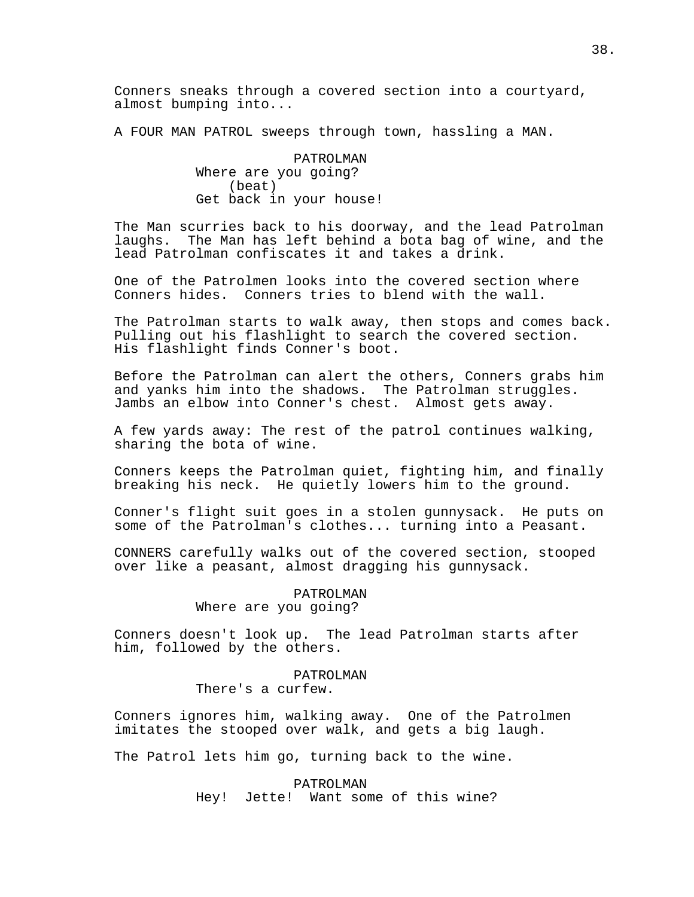Conners sneaks through a covered section into a courtyard, almost bumping into...

A FOUR MAN PATROL sweeps through town, hassling a MAN.

PATROLMAN Where are you going? (beat) Get back in your house!

The Man scurries back to his doorway, and the lead Patrolman laughs. The Man has left behind a bota bag of wine, and the lead Patrolman confiscates it and takes a drink.

One of the Patrolmen looks into the covered section where Conners hides. Conners tries to blend with the wall.

The Patrolman starts to walk away, then stops and comes back. Pulling out his flashlight to search the covered section. His flashlight finds Conner's boot.

Before the Patrolman can alert the others, Conners grabs him and yanks him into the shadows. The Patrolman struggles. Jambs an elbow into Conner's chest. Almost gets away.

A few yards away: The rest of the patrol continues walking, sharing the bota of wine.

Conners keeps the Patrolman quiet, fighting him, and finally breaking his neck. He quietly lowers him to the ground.

Conner's flight suit goes in a stolen gunnysack. He puts on some of the Patrolman's clothes... turning into a Peasant.

CONNERS carefully walks out of the covered section, stooped over like a peasant, almost dragging his gunnysack.

> PATROLMAN Where are you going?

Conners doesn't look up. The lead Patrolman starts after him, followed by the others.

## PATROLMAN

There's a curfew.

Conners ignores him, walking away. One of the Patrolmen imitates the stooped over walk, and gets a big laugh.

The Patrol lets him go, turning back to the wine.

PATROLMAN Hey! Jette! Want some of this wine?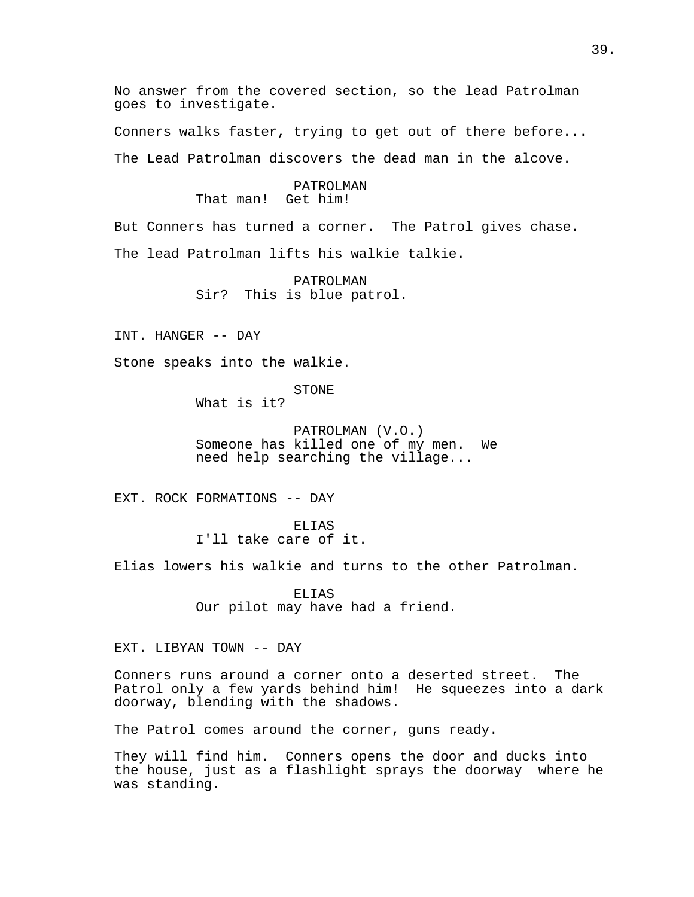No answer from the covered section, so the lead Patrolman goes to investigate.

Conners walks faster, trying to get out of there before...

The Lead Patrolman discovers the dead man in the alcove.

# PATROLMAN That man! Get him!

But Conners has turned a corner. The Patrol gives chase. The lead Patrolman lifts his walkie talkie.

> PATROLMAN Sir? This is blue patrol.

INT. HANGER -- DAY

Stone speaks into the walkie.

STONE

What is it?

PATROLMAN (V.O.) Someone has killed one of my men. We need help searching the village...

EXT. ROCK FORMATIONS -- DAY

ELIAS I'll take care of it.

Elias lowers his walkie and turns to the other Patrolman.

ELIAS Our pilot may have had a friend.

EXT. LIBYAN TOWN -- DAY

Conners runs around a corner onto a deserted street. The Patrol only a few yards behind him! He squeezes into a dark doorway, blending with the shadows.

The Patrol comes around the corner, guns ready.

They will find him. Conners opens the door and ducks into the house, just as a flashlight sprays the doorway where he was standing.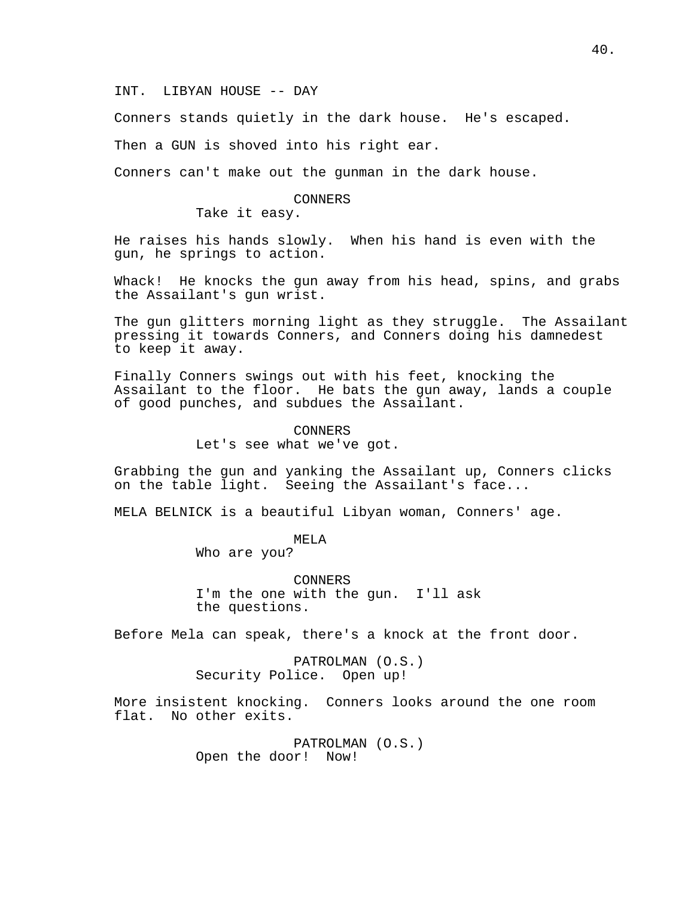INT. LIBYAN HOUSE -- DAY

Conners stands quietly in the dark house. He's escaped.

Then a GUN is shoved into his right ear.

Conners can't make out the gunman in the dark house.

### CONNERS

Take it easy.

He raises his hands slowly. When his hand is even with the gun, he springs to action.

Whack! He knocks the gun away from his head, spins, and grabs the Assailant's gun wrist.

The gun glitters morning light as they struggle. The Assailant pressing it towards Conners, and Conners doing his damnedest to keep it away.

Finally Conners swings out with his feet, knocking the Assailant to the floor. He bats the gun away, lands a couple of good punches, and subdues the Assailant.

> CONNERS Let's see what we've got.

Grabbing the gun and yanking the Assailant up, Conners clicks on the table light. Seeing the Assailant's face...

MELA BELNICK is a beautiful Libyan woman, Conners' age.

MELA

Who are you?

CONNERS I'm the one with the gun. I'll ask the questions.

Before Mela can speak, there's a knock at the front door.

PATROLMAN (O.S.) Security Police. Open up!

More insistent knocking. Conners looks around the one room flat. No other exits.

> PATROLMAN (O.S.) Open the door! Now!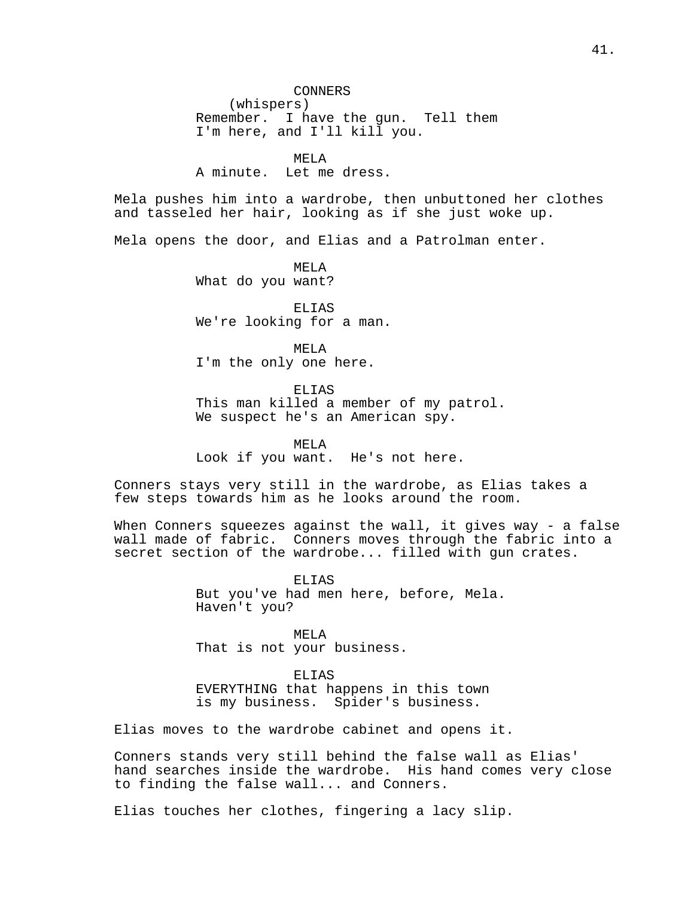(whispers) Remember. I have the gun. Tell them I'm here, and I'll kill you.

MELA

A minute. Let me dress.

Mela pushes him into a wardrobe, then unbuttoned her clothes and tasseled her hair, looking as if she just woke up.

Mela opens the door, and Elias and a Patrolman enter.

MELA What do you want?

ELIAS We're looking for a man.

MELA I'm the only one here.

ELIAS

This man killed a member of my patrol. We suspect he's an American spy.

MELA Look if you want. He's not here.

Conners stays very still in the wardrobe, as Elias takes a few steps towards him as he looks around the room.

When Conners squeezes against the wall, it gives way - a false wall made of fabric. Conners moves through the fabric into a secret section of the wardrobe... filled with gun crates.

> ELIAS But you've had men here, before, Mela. Haven't you?

MELA That is not your business.

ELIAS EVERYTHING that happens in this town is my business. Spider's business.

Elias moves to the wardrobe cabinet and opens it.

Conners stands very still behind the false wall as Elias' hand searches inside the wardrobe. His hand comes very close to finding the false wall... and Conners.

Elias touches her clothes, fingering a lacy slip.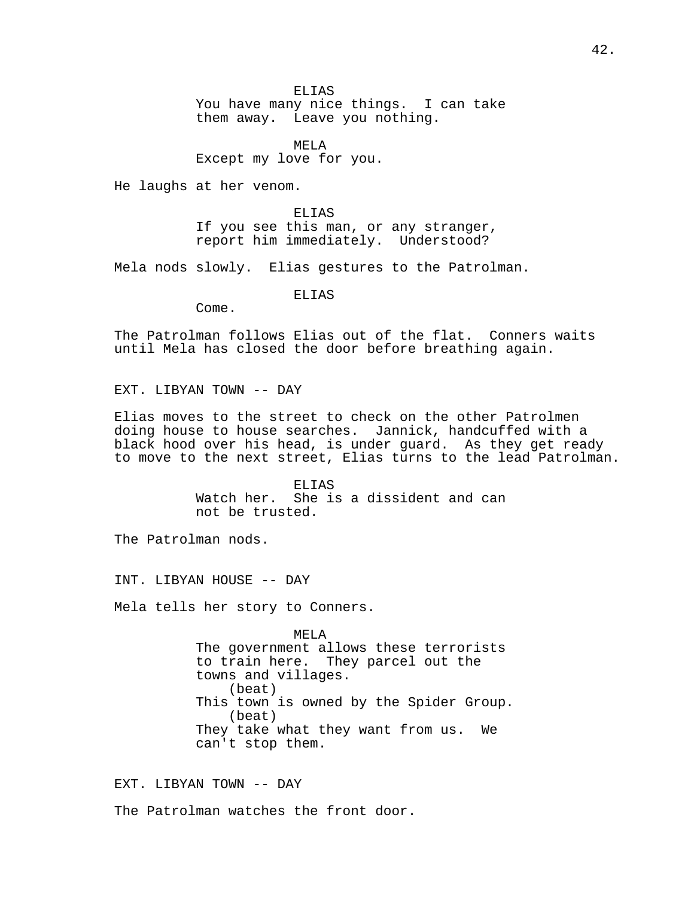ELIAS You have many nice things. I can take them away. Leave you nothing.

MELA Except my love for you.

He laughs at her venom.

ELIAS If you see this man, or any stranger, report him immediately. Understood?

Mela nods slowly. Elias gestures to the Patrolman.

ELIAS

Come.

The Patrolman follows Elias out of the flat. Conners waits until Mela has closed the door before breathing again.

EXT. LIBYAN TOWN -- DAY

Elias moves to the street to check on the other Patrolmen doing house to house searches. Jannick, handcuffed with a black hood over his head, is under guard. As they get ready to move to the next street, Elias turns to the lead Patrolman.

> ELIAS Watch her. She is a dissident and can not be trusted.

The Patrolman nods.

INT. LIBYAN HOUSE -- DAY

Mela tells her story to Conners.

MELA The government allows these terrorists to train here. They parcel out the towns and villages. (beat) This town is owned by the Spider Group. (beat) They take what they want from us. We can't stop them.

EXT. LIBYAN TOWN -- DAY

The Patrolman watches the front door.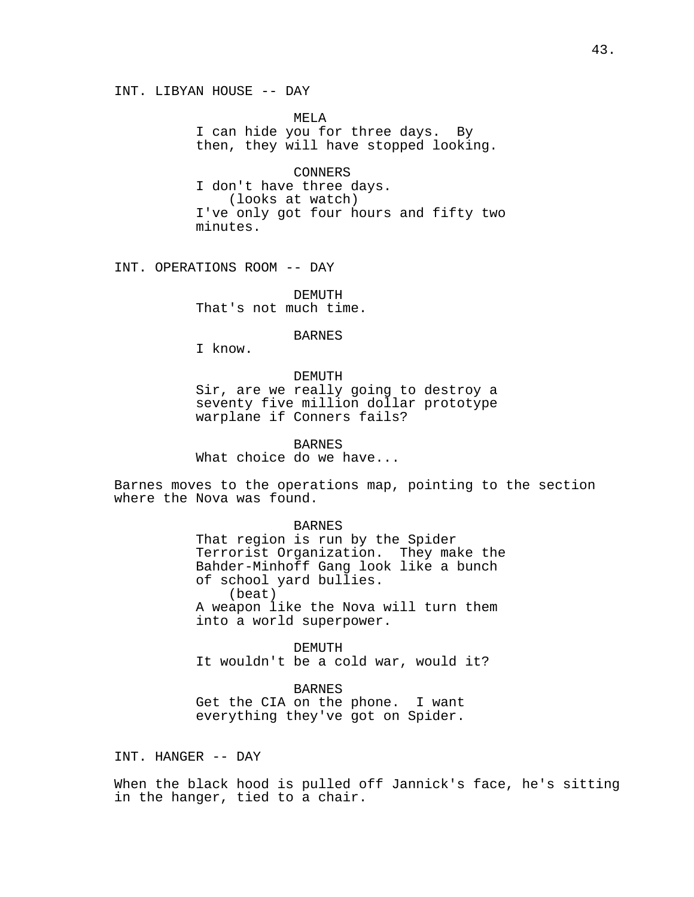INT. LIBYAN HOUSE -- DAY

MELA I can hide you for three days. By then, they will have stopped looking.

CONNERS I don't have three days. (looks at watch) I've only got four hours and fifty two minutes.

INT. OPERATIONS ROOM -- DAY

DEMUTH That's not much time.

**BARNES** 

I know.

#### DEMUTH

Sir, are we really going to destroy a seventy five million dollar prototype warplane if Conners fails?

BARNES What choice do we have...

Barnes moves to the operations map, pointing to the section where the Nova was found.

> BARNES That region is run by the Spider Terrorist Organization. They make the Bahder-Minhoff Gang look like a bunch of school yard bullies. (beat) A weapon like the Nova will turn them into a world superpower.

DEMUTH It wouldn't be a cold war, would it?

BARNES Get the CIA on the phone. I want everything they've got on Spider.

INT. HANGER -- DAY

When the black hood is pulled off Jannick's face, he's sitting in the hanger, tied to a chair.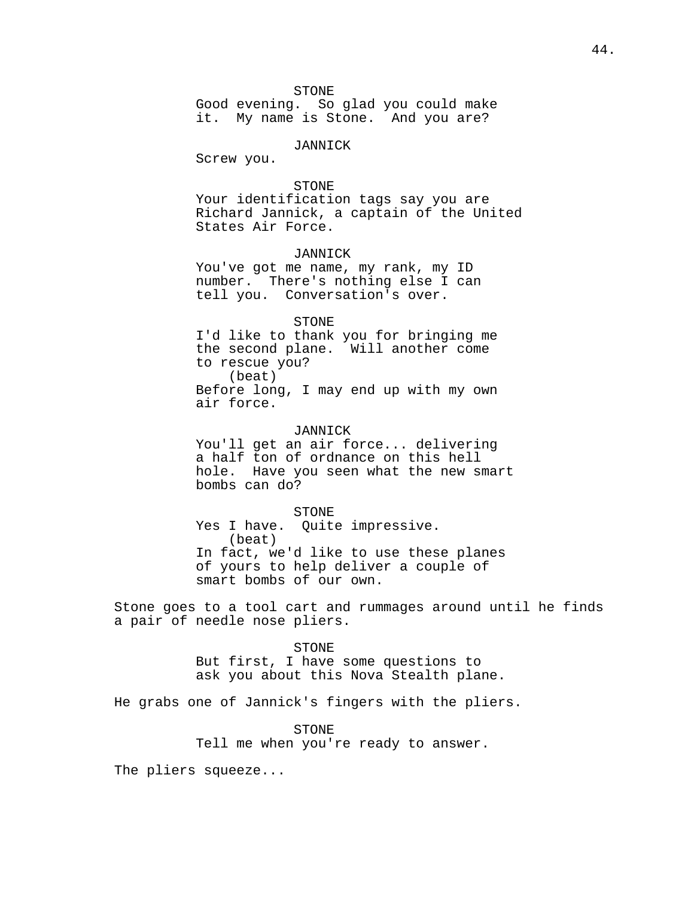STONE

Good evening. So glad you could make it. My name is Stone. And you are?

### JANNICK

Screw you.

# STONE

Your identification tags say you are Richard Jannick, a captain of the United States Air Force.

## JANNICK

You've got me name, my rank, my ID number. There's nothing else I can tell you. Conversation's over.

#### STONE

I'd like to thank you for bringing me the second plane. Will another come to rescue you? (beat) Before long, I may end up with my own air force.

## JANNICK

You'll get an air force... delivering a half ton of ordnance on this hell hole. Have you seen what the new smart bombs can do?

STONE Yes I have. Quite impressive. (beat) In fact, we'd like to use these planes of yours to help deliver a couple of smart bombs of our own.

Stone goes to a tool cart and rummages around until he finds a pair of needle nose pliers.

# STONE

But first, I have some questions to ask you about this Nova Stealth plane.

He grabs one of Jannick's fingers with the pliers.

#### STONE

Tell me when you're ready to answer.

The pliers squeeze...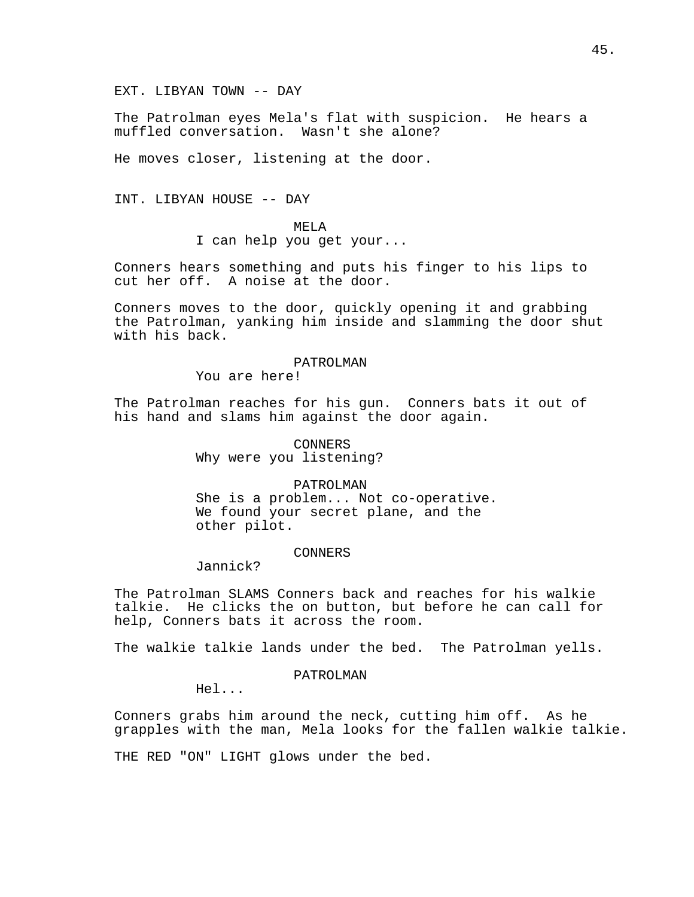EXT. LIBYAN TOWN -- DAY

The Patrolman eyes Mela's flat with suspicion. He hears a muffled conversation. Wasn't she alone?

He moves closer, listening at the door.

INT. LIBYAN HOUSE -- DAY

MELA I can help you get your...

Conners hears something and puts his finger to his lips to cut her off. A noise at the door.

Conners moves to the door, quickly opening it and grabbing the Patrolman, yanking him inside and slamming the door shut with his back.

## PATROLMAN

You are here!

The Patrolman reaches for his gun. Conners bats it out of his hand and slams him against the door again.

> CONNERS Why were you listening?

### PATROLMAN

She is a problem... Not co-operative. We found your secret plane, and the other pilot.

## CONNERS

Jannick?

The Patrolman SLAMS Conners back and reaches for his walkie talkie. He clicks the on button, but before he can call for help, Conners bats it across the room.

The walkie talkie lands under the bed. The Patrolman yells.

## PATROLMAN

Hel...

Conners grabs him around the neck, cutting him off. As he grapples with the man, Mela looks for the fallen walkie talkie.

THE RED "ON" LIGHT glows under the bed.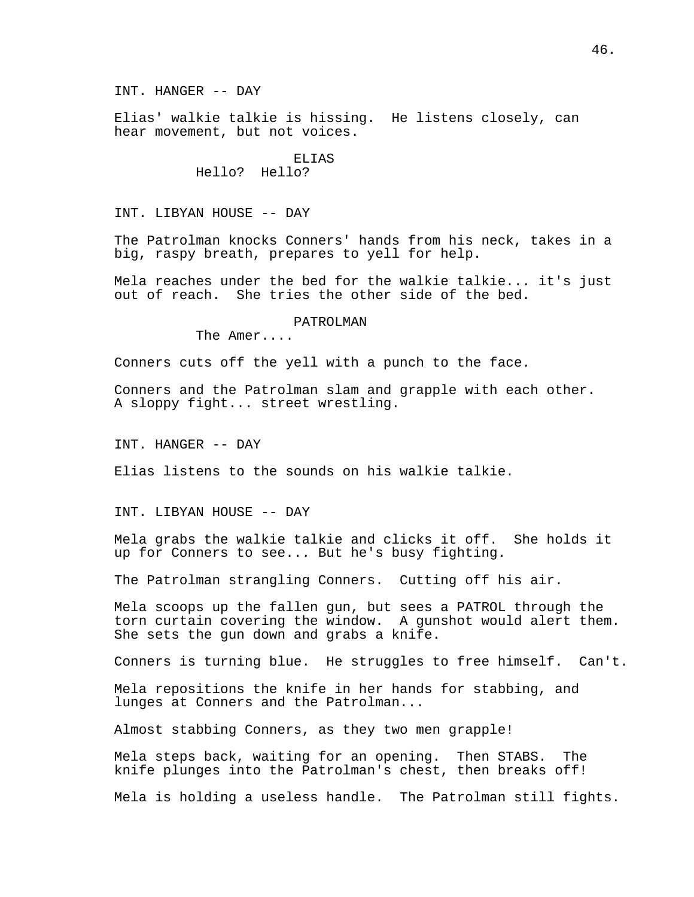INT. HANGER -- DAY

Elias' walkie talkie is hissing. He listens closely, can hear movement, but not voices.

> **ELIAS** Hello? Hello?

INT. LIBYAN HOUSE -- DAY

The Patrolman knocks Conners' hands from his neck, takes in a big, raspy breath, prepares to yell for help.

Mela reaches under the bed for the walkie talkie... it's just out of reach. She tries the other side of the bed.

#### PATROLMAN

The Amer....

Conners cuts off the yell with a punch to the face.

Conners and the Patrolman slam and grapple with each other. A sloppy fight... street wrestling.

INT. HANGER -- DAY

Elias listens to the sounds on his walkie talkie.

INT. LIBYAN HOUSE -- DAY

Mela grabs the walkie talkie and clicks it off. She holds it up for Conners to see... But he's busy fighting.

The Patrolman strangling Conners. Cutting off his air.

Mela scoops up the fallen gun, but sees a PATROL through the torn curtain covering the window. A gunshot would alert them. She sets the gun down and grabs a knife.

Conners is turning blue. He struggles to free himself. Can't.

Mela repositions the knife in her hands for stabbing, and lunges at Conners and the Patrolman...

Almost stabbing Conners, as they two men grapple!

Mela steps back, waiting for an opening. Then STABS. The knife plunges into the Patrolman's chest, then breaks off!

Mela is holding a useless handle. The Patrolman still fights.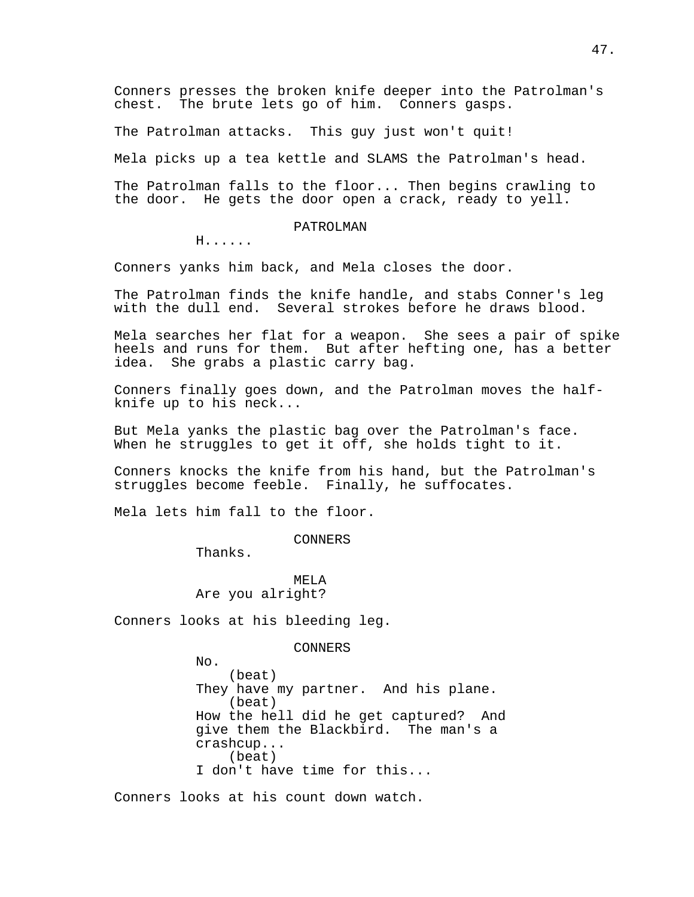Conners presses the broken knife deeper into the Patrolman's chest. The brute lets go of him. Conners gasps.

The Patrolman attacks. This guy just won't quit!

Mela picks up a tea kettle and SLAMS the Patrolman's head.

The Patrolman falls to the floor... Then begins crawling to the door. He gets the door open a crack, ready to yell.

### PATROLMAN

H......

Conners yanks him back, and Mela closes the door.

The Patrolman finds the knife handle, and stabs Conner's leg with the dull end. Several strokes before he draws blood.

Mela searches her flat for a weapon. She sees a pair of spike heels and runs for them. But after hefting one, has a better idea. She grabs a plastic carry bag.

Conners finally goes down, and the Patrolman moves the halfknife up to his neck...

But Mela yanks the plastic bag over the Patrolman's face. When he struggles to get it off, she holds tight to it.

Conners knocks the knife from his hand, but the Patrolman's struggles become feeble. Finally, he suffocates.

Mela lets him fall to the floor.

CONNERS

Thanks.

MELA Are you alright?

Conners looks at his bleeding leg.

#### CONNERS

No. (beat) They have my partner. And his plane. (beat) How the hell did he get captured? And give them the Blackbird. The man's a crashcup... (beat) I don't have time for this...

Conners looks at his count down watch.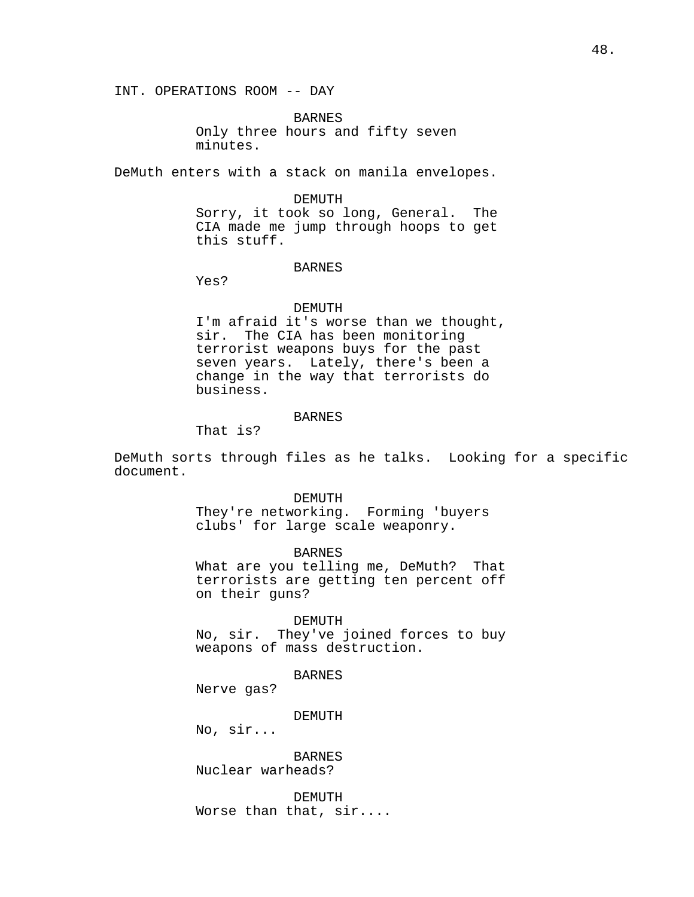BARNES Only three hours and fifty seven minutes.

DeMuth enters with a stack on manila envelopes.

## DEMUTH

Sorry, it took so long, General. The CIA made me jump through hoops to get this stuff.

## BARNES

Yes?

#### DEMUTH

I'm afraid it's worse than we thought, sir. The CIA has been monitoring terrorist weapons buys for the past seven years. Lately, there's been a change in the way that terrorists do business.

## BARNES

That is?

DeMuth sorts through files as he talks. Looking for a specific document.

#### DEMUTH

They're networking. Forming 'buyers clubs' for large scale weaponry.

BARNES What are you telling me, DeMuth? That terrorists are getting ten percent off on their guns?

#### DEMUTH

No, sir. They've joined forces to buy weapons of mass destruction.

BARNES

Nerve gas?

DEMUTH

No, sir...

# **BARNES** Nuclear warheads?

DEMUTH Worse than that, sir....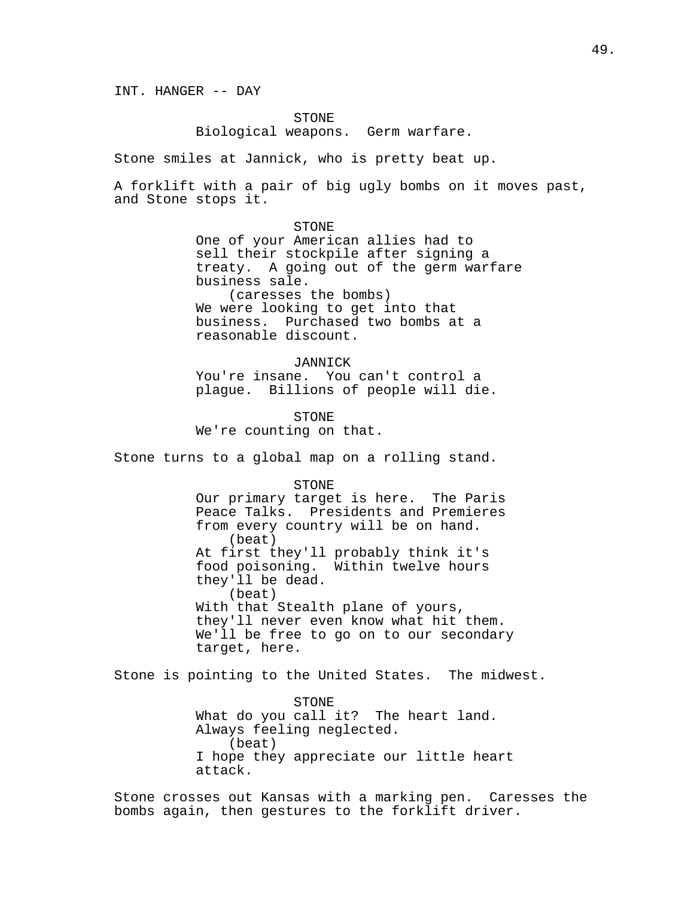INT. HANGER -- DAY

STONE

Biological weapons. Germ warfare.

Stone smiles at Jannick, who is pretty beat up.

A forklift with a pair of big ugly bombs on it moves past, and Stone stops it.

> STONE One of your American allies had to sell their stockpile after signing a treaty. A going out of the germ warfare business sale. (caresses the bombs) We were looking to get into that business. Purchased two bombs at a reasonable discount.

**JANNICK** You're insane. You can't control a plague. Billions of people will die.

STONE We're counting on that.

Stone turns to a global map on a rolling stand.

STONE

Our primary target is here. The Paris Peace Talks. Presidents and Premieres from every country will be on hand. (beat) At first they'll probably think it's food poisoning. Within twelve hours they'll be dead. (beat) With that Stealth plane of yours, they'll never even know what hit them. We'll be free to go on to our secondary target, here.

Stone is pointing to the United States. The midwest.

STONE What do you call it? The heart land. Always feeling neglected. (beat) I hope they appreciate our little heart attack.

Stone crosses out Kansas with a marking pen. Caresses the bombs again, then gestures to the forklift driver.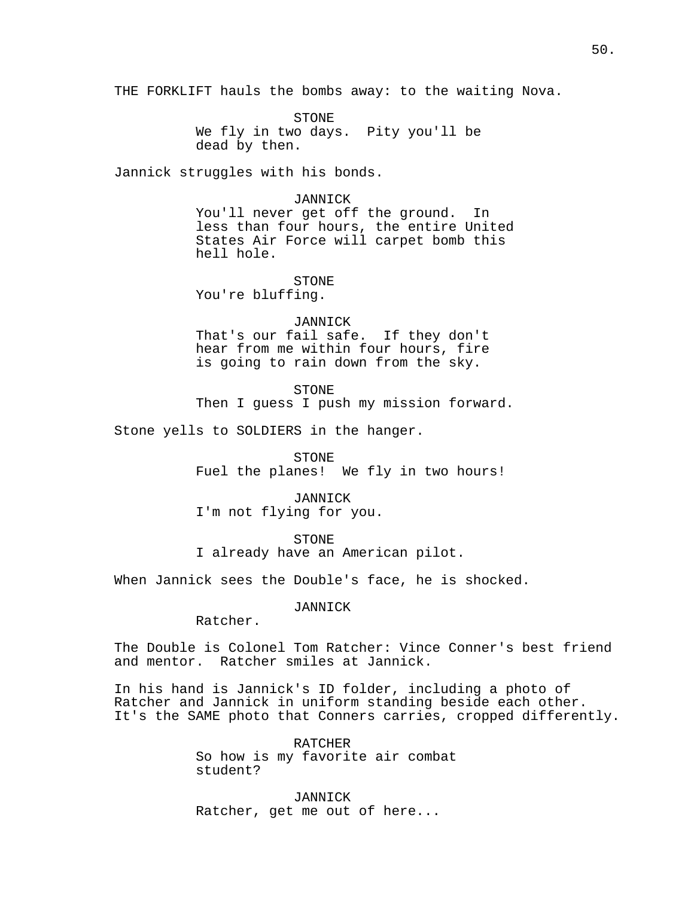THE FORKLIFT hauls the bombs away: to the waiting Nova.

STONE We fly in two days. Pity you'll be dead by then.

Jannick struggles with his bonds.

#### JANNICK

You'll never get off the ground. In less than four hours, the entire United States Air Force will carpet bomb this hell hole.

STONE You're bluffing.

JANNICK That's our fail safe. If they don't hear from me within four hours, fire is going to rain down from the sky.

STONE Then I guess I push my mission forward.

Stone yells to SOLDIERS in the hanger.

STONE

Fuel the planes! We fly in two hours!

JANNICK I'm not flying for you.

STONE

I already have an American pilot.

When Jannick sees the Double's face, he is shocked.

JANNICK

Ratcher.

The Double is Colonel Tom Ratcher: Vince Conner's best friend and mentor. Ratcher smiles at Jannick.

In his hand is Jannick's ID folder, including a photo of Ratcher and Jannick in uniform standing beside each other. It's the SAME photo that Conners carries, cropped differently.

> RATCHER So how is my favorite air combat student?

JANNICK Ratcher, get me out of here...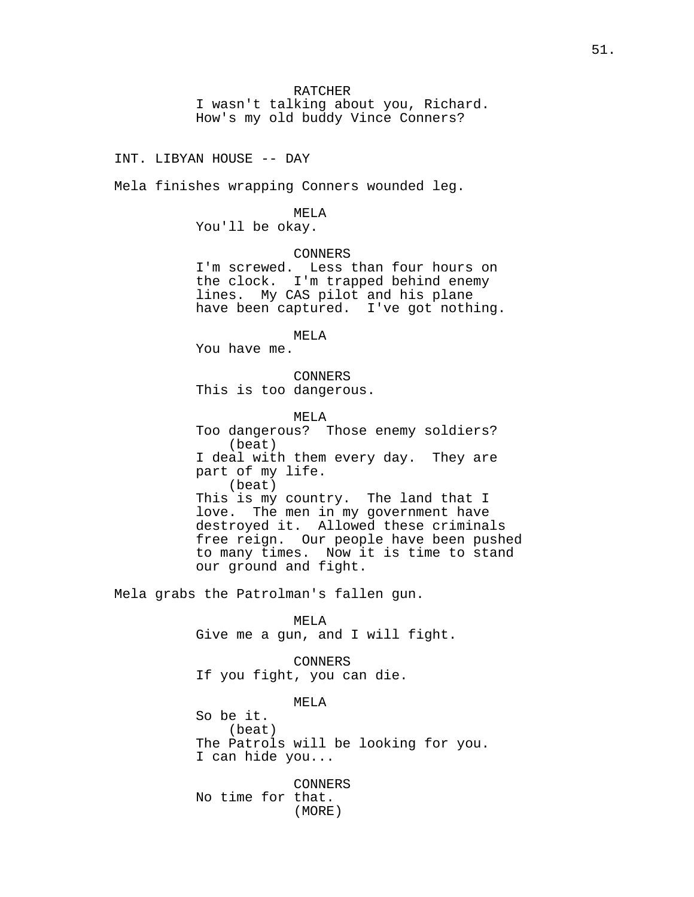I wasn't talking about you, Richard. How's my old buddy Vince Conners?

INT. LIBYAN HOUSE -- DAY

Mela finishes wrapping Conners wounded leg.

MELA

You'll be okay.

CONNERS

I'm screwed. Less than four hours on the clock. I'm trapped behind enemy lines. My CAS pilot and his plane have been captured. I've got nothing.

MELA

You have me.

CONNERS This is too dangerous.

MELA Too dangerous? Those enemy soldiers? (beat) I deal with them every day. They are part of my life. (beat) This is my country. The land that I love. The men in my government have destroyed it. Allowed these criminals free reign. Our people have been pushed to many times. Now it is time to stand our ground and fight.

Mela grabs the Patrolman's fallen gun.

MELA Give me a gun, and I will fight.

CONNERS If you fight, you can die.

MELA So be it. (beat) The Patrols will be looking for you. I can hide you...

CONNERS No time for that. (MORE)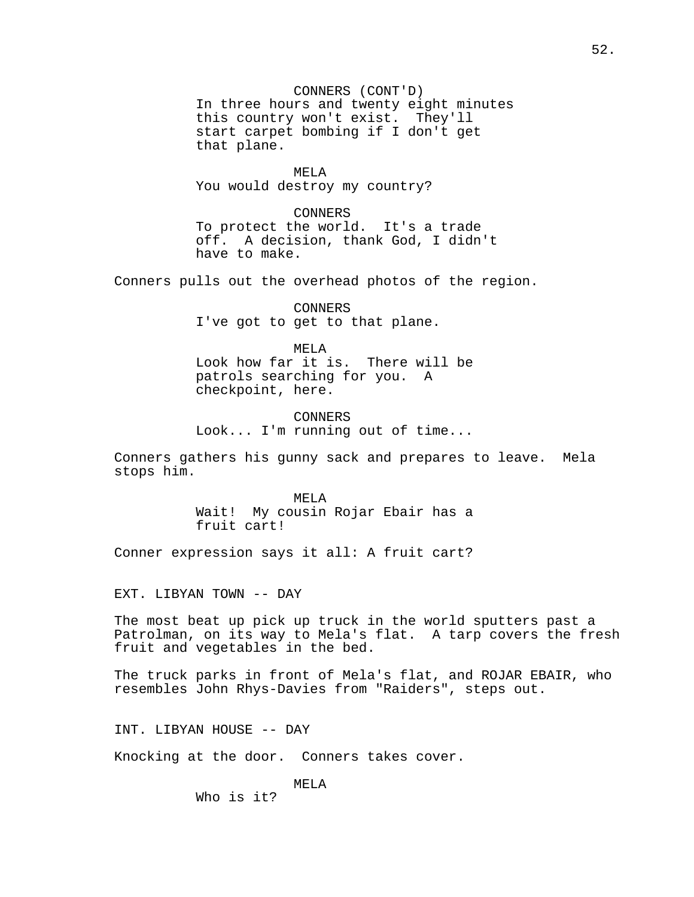CONNERS (CONT'D) In three hours and twenty eight minutes this country won't exist. They'll start carpet bombing if I don't get that plane.

MELA You would destroy my country?

CONNERS To protect the world. It's a trade off. A decision, thank God, I didn't have to make.

Conners pulls out the overhead photos of the region.

CONNERS I've got to get to that plane.

MELA

Look how far it is. There will be patrols searching for you. A checkpoint, here.

CONNERS Look... I'm running out of time...

Conners gathers his gunny sack and prepares to leave. Mela stops him.

> MELA Wait! My cousin Rojar Ebair has a fruit cart!

Conner expression says it all: A fruit cart?

EXT. LIBYAN TOWN -- DAY

The most beat up pick up truck in the world sputters past a Patrolman, on its way to Mela's flat. A tarp covers the fresh fruit and vegetables in the bed.

The truck parks in front of Mela's flat, and ROJAR EBAIR, who resembles John Rhys-Davies from "Raiders", steps out.

INT. LIBYAN HOUSE -- DAY

Knocking at the door. Conners takes cover.

MELA

Who is it?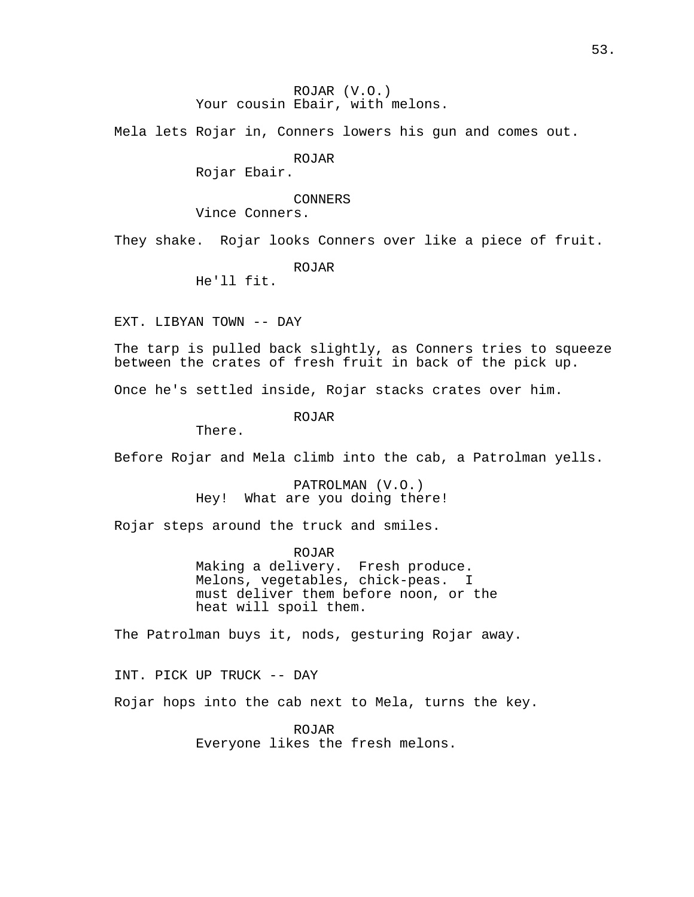ROJAR (V.O.) Your cousin Ebair, with melons.

Mela lets Rojar in, Conners lowers his gun and comes out.

ROJAR

Rojar Ebair.

CONNERS

Vince Conners.

They shake. Rojar looks Conners over like a piece of fruit.

ROJAR

He'll fit.

EXT. LIBYAN TOWN -- DAY

The tarp is pulled back slightly, as Conners tries to squeeze between the crates of fresh fruit in back of the pick up.

Once he's settled inside, Rojar stacks crates over him.

ROJAR

There.

Before Rojar and Mela climb into the cab, a Patrolman yells.

PATROLMAN (V.O.) Hey! What are you doing there!

Rojar steps around the truck and smiles.

ROJAR Making a delivery. Fresh produce. Melons, vegetables, chick-peas. I must deliver them before noon, or the heat will spoil them.

The Patrolman buys it, nods, gesturing Rojar away.

INT. PICK UP TRUCK -- DAY

Rojar hops into the cab next to Mela, turns the key.

ROJAR Everyone likes the fresh melons.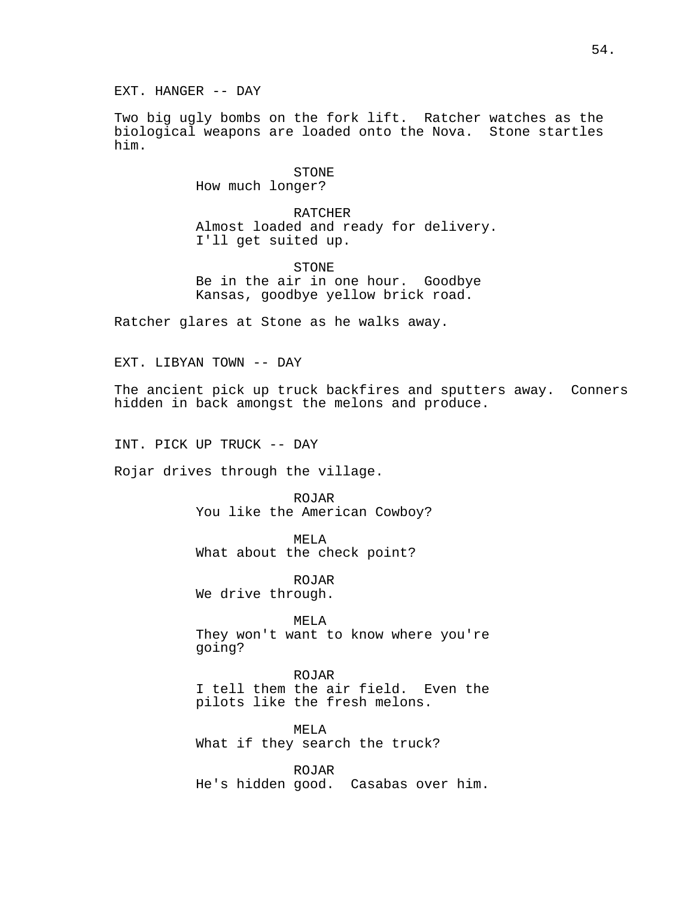EXT. HANGER -- DAY

Two big ugly bombs on the fork lift. Ratcher watches as the biological weapons are loaded onto the Nova. Stone startles him.

> STONE How much longer?

RATCHER Almost loaded and ready for delivery. I'll get suited up.

STONE Be in the air in one hour. Goodbye Kansas, goodbye yellow brick road.

Ratcher glares at Stone as he walks away.

EXT. LIBYAN TOWN -- DAY

The ancient pick up truck backfires and sputters away. Conners hidden in back amongst the melons and produce.

INT. PICK UP TRUCK -- DAY

Rojar drives through the village.

ROJAR You like the American Cowboy?

MELA What about the check point?

ROJAR We drive through.

MELA They won't want to know where you're going?

ROJAR I tell them the air field. Even the pilots like the fresh melons.

MELA What if they search the truck?

ROJAR He's hidden good. Casabas over him.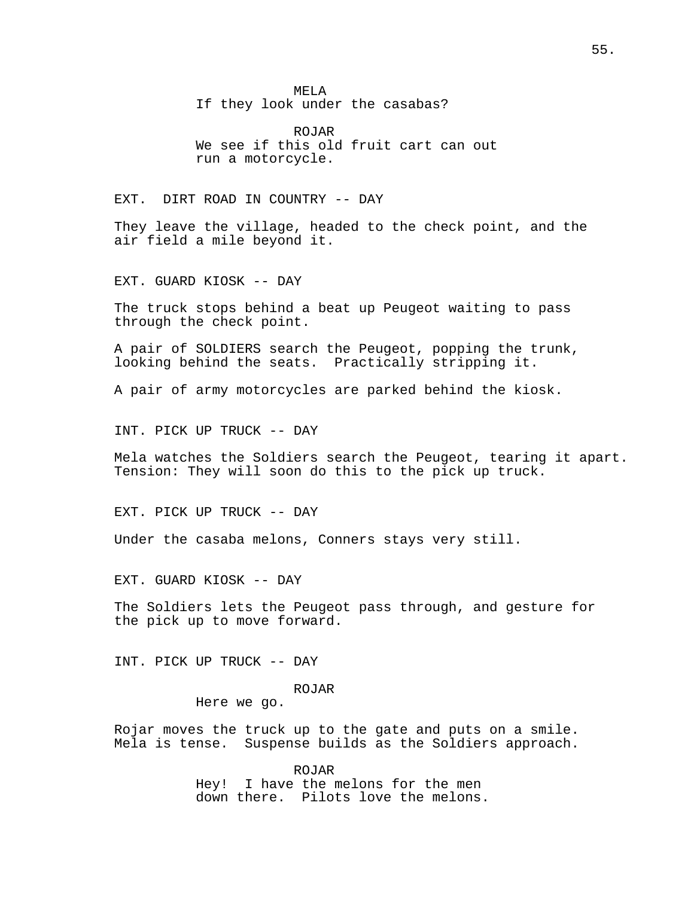MELA If they look under the casabas?

ROJAR We see if this old fruit cart can out run a motorcycle.

EXT. DIRT ROAD IN COUNTRY -- DAY

They leave the village, headed to the check point, and the air field a mile beyond it.

EXT. GUARD KIOSK -- DAY

The truck stops behind a beat up Peugeot waiting to pass through the check point.

A pair of SOLDIERS search the Peugeot, popping the trunk, looking behind the seats. Practically stripping it.

A pair of army motorcycles are parked behind the kiosk.

INT. PICK UP TRUCK -- DAY

Mela watches the Soldiers search the Peugeot, tearing it apart. Tension: They will soon do this to the pick up truck.

EXT. PICK UP TRUCK -- DAY

Under the casaba melons, Conners stays very still.

EXT. GUARD KIOSK -- DAY

The Soldiers lets the Peugeot pass through, and gesture for the pick up to move forward.

INT. PICK UP TRUCK -- DAY

ROJAR

Here we go.

Rojar moves the truck up to the gate and puts on a smile. Mela is tense. Suspense builds as the Soldiers approach.

> ROJAR Hey! I have the melons for the men down there. Pilots love the melons.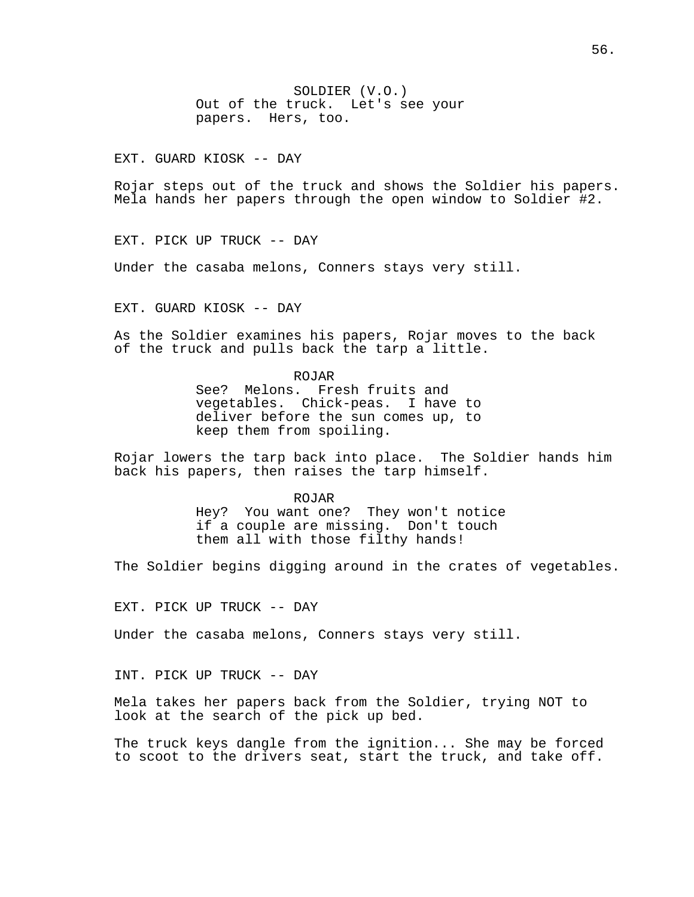SOLDIER (V.O.) Out of the truck. Let's see your papers. Hers, too.

EXT. GUARD KIOSK -- DAY

Rojar steps out of the truck and shows the Soldier his papers. Mela hands her papers through the open window to Soldier #2.

EXT. PICK UP TRUCK -- DAY

Under the casaba melons, Conners stays very still.

EXT. GUARD KIOSK -- DAY

As the Soldier examines his papers, Rojar moves to the back of the truck and pulls back the tarp a little.

> ROJAR See? Melons. Fresh fruits and vegetables. Chick-peas. I have to deliver before the sun comes up, to keep them from spoiling.

Rojar lowers the tarp back into place. The Soldier hands him back his papers, then raises the tarp himself.

ROJAR

Hey? You want one? They won't notice if a couple are missing. Don't touch them all with those filthy hands!

The Soldier begins digging around in the crates of vegetables.

EXT. PICK UP TRUCK -- DAY

Under the casaba melons, Conners stays very still.

INT. PICK UP TRUCK -- DAY

Mela takes her papers back from the Soldier, trying NOT to look at the search of the pick up bed.

The truck keys dangle from the ignition... She may be forced to scoot to the drivers seat, start the truck, and take off.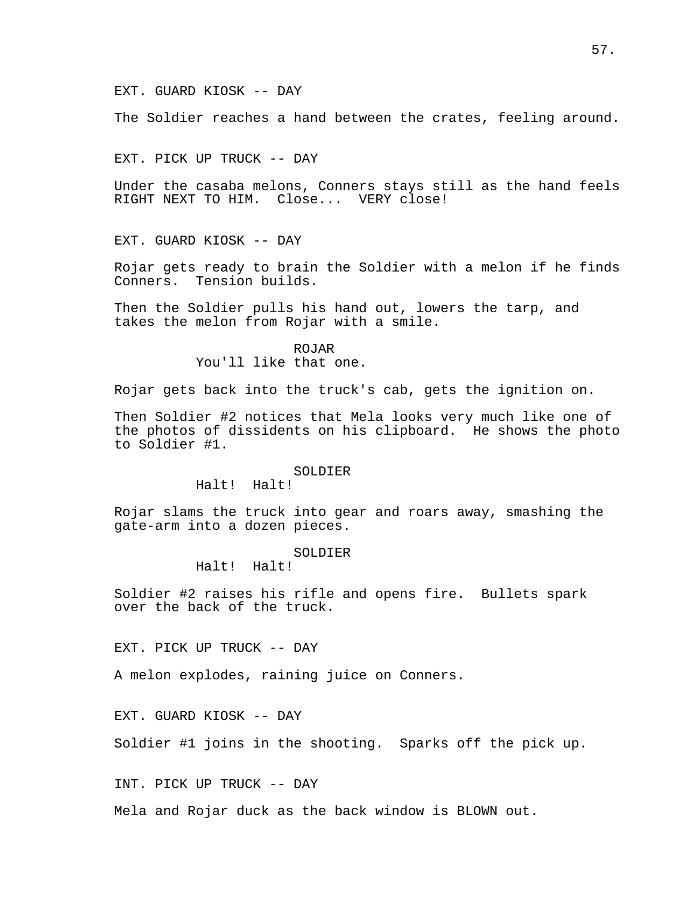The Soldier reaches a hand between the crates, feeling around.

EXT. PICK UP TRUCK -- DAY

Under the casaba melons, Conners stays still as the hand feels RIGHT NEXT TO HIM. Close... VERY close!

EXT. GUARD KIOSK -- DAY

Rojar gets ready to brain the Soldier with a melon if he finds Conners. Tension builds.

Then the Soldier pulls his hand out, lowers the tarp, and takes the melon from Rojar with a smile.

> ROJAR You'll like that one.

Rojar gets back into the truck's cab, gets the ignition on.

Then Soldier #2 notices that Mela looks very much like one of the photos of dissidents on his clipboard. He shows the photo to Soldier #1.

#### SOLDIER

Halt! Halt!

Rojar slams the truck into gear and roars away, smashing the gate-arm into a dozen pieces.

### SOLDIER

Halt! Halt!

Soldier #2 raises his rifle and opens fire. Bullets spark over the back of the truck.

EXT. PICK UP TRUCK -- DAY

A melon explodes, raining juice on Conners.

EXT. GUARD KIOSK -- DAY

Soldier #1 joins in the shooting. Sparks off the pick up.

INT. PICK UP TRUCK -- DAY

Mela and Rojar duck as the back window is BLOWN out.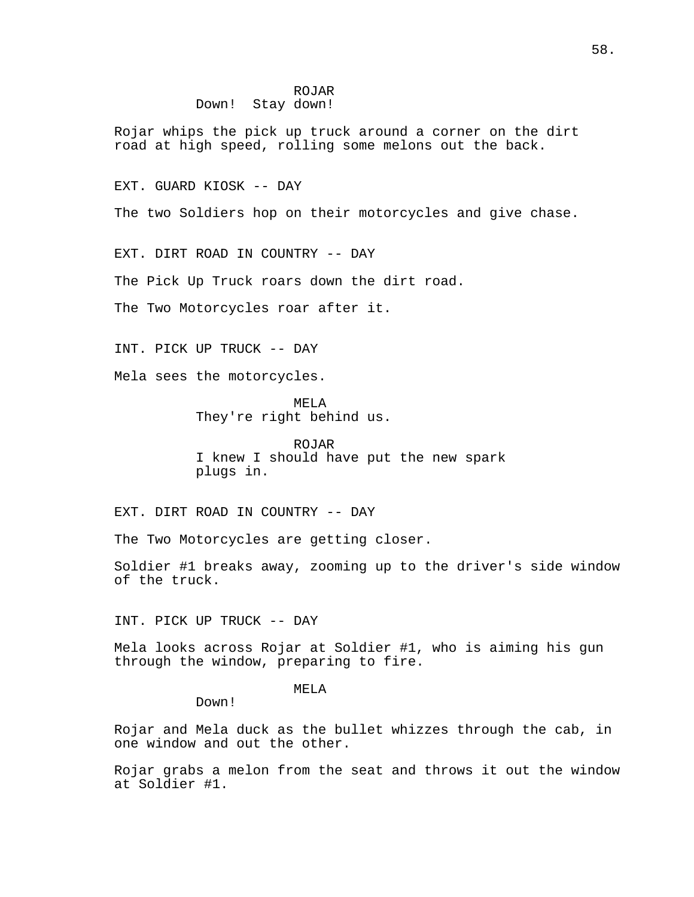## ROJAR Down! Stay down!

Rojar whips the pick up truck around a corner on the dirt road at high speed, rolling some melons out the back.

EXT. GUARD KIOSK -- DAY

The two Soldiers hop on their motorcycles and give chase.

EXT. DIRT ROAD IN COUNTRY -- DAY

The Pick Up Truck roars down the dirt road.

The Two Motorcycles roar after it.

INT. PICK UP TRUCK -- DAY

Mela sees the motorcycles.

MELA They're right behind us.

ROJAR I knew I should have put the new spark plugs in.

EXT. DIRT ROAD IN COUNTRY -- DAY

The Two Motorcycles are getting closer.

Soldier #1 breaks away, zooming up to the driver's side window of the truck.

INT. PICK UP TRUCK -- DAY

Down!

Mela looks across Rojar at Soldier #1, who is aiming his gun through the window, preparing to fire.

MELA

Rojar and Mela duck as the bullet whizzes through the cab, in one window and out the other.

Rojar grabs a melon from the seat and throws it out the window at Soldier #1.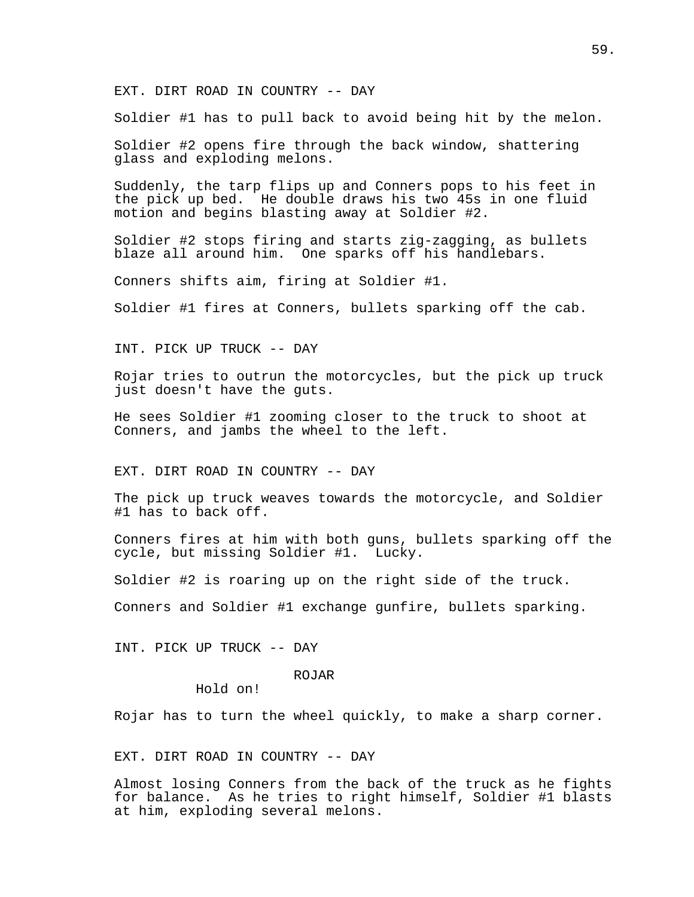EXT. DIRT ROAD IN COUNTRY -- DAY

Soldier #1 has to pull back to avoid being hit by the melon.

Soldier #2 opens fire through the back window, shattering glass and exploding melons.

Suddenly, the tarp flips up and Conners pops to his feet in the pick up bed. He double draws his two 45s in one fluid motion and begins blasting away at Soldier #2.

Soldier #2 stops firing and starts zig-zagging, as bullets blaze all around him. One sparks off his handlebars.

Conners shifts aim, firing at Soldier #1.

Soldier #1 fires at Conners, bullets sparking off the cab.

INT. PICK UP TRUCK -- DAY

Rojar tries to outrun the motorcycles, but the pick up truck just doesn't have the guts.

He sees Soldier #1 zooming closer to the truck to shoot at Conners, and jambs the wheel to the left.

EXT. DIRT ROAD IN COUNTRY -- DAY

The pick up truck weaves towards the motorcycle, and Soldier #1 has to back off.

Conners fires at him with both guns, bullets sparking off the cycle, but missing Soldier #1. Lucky.

Soldier #2 is roaring up on the right side of the truck.

Conners and Soldier #1 exchange gunfire, bullets sparking.

INT. PICK UP TRUCK -- DAY

# ROJAR

Hold on!

Rojar has to turn the wheel quickly, to make a sharp corner.

## EXT. DIRT ROAD IN COUNTRY -- DAY

Almost losing Conners from the back of the truck as he fights for balance. As he tries to right himself, Soldier #1 blasts at him, exploding several melons.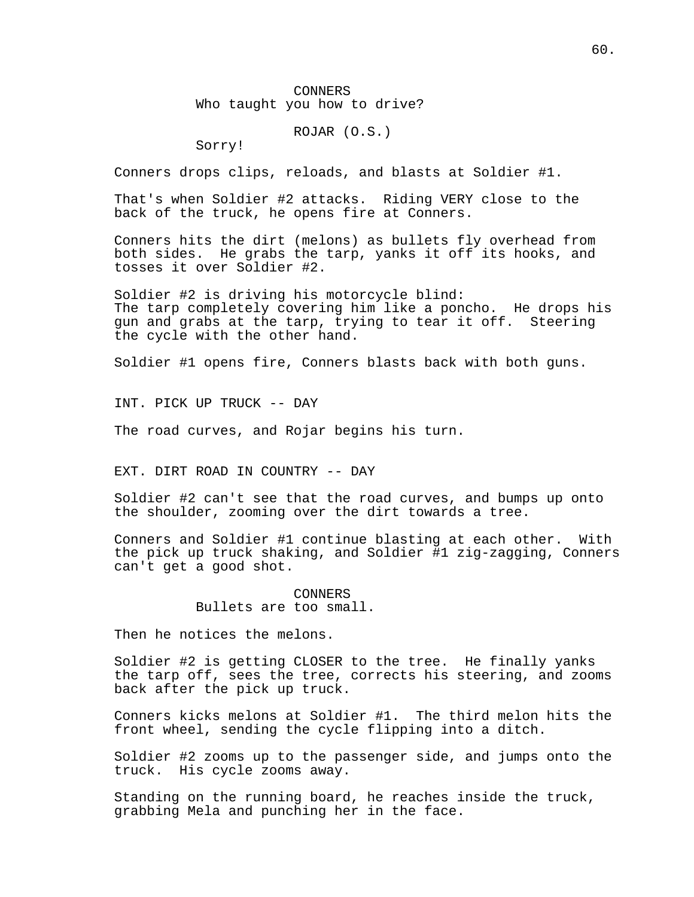CONNERS Who taught you how to drive?

ROJAR (O.S.)

Sorry!

Conners drops clips, reloads, and blasts at Soldier #1.

That's when Soldier #2 attacks. Riding VERY close to the back of the truck, he opens fire at Conners.

Conners hits the dirt (melons) as bullets fly overhead from both sides. He grabs the tarp, yanks it off its hooks, and tosses it over Soldier #2.

Soldier #2 is driving his motorcycle blind: The tarp completely covering him like a poncho. He drops his gun and grabs at the tarp, trying to tear it off. Steering the cycle with the other hand.

Soldier #1 opens fire, Conners blasts back with both guns.

INT. PICK UP TRUCK -- DAY

The road curves, and Rojar begins his turn.

EXT. DIRT ROAD IN COUNTRY -- DAY

Soldier #2 can't see that the road curves, and bumps up onto the shoulder, zooming over the dirt towards a tree.

Conners and Soldier #1 continue blasting at each other. With the pick up truck shaking, and Soldier #1 zig-zagging, Conners can't get a good shot.

> CONNERS Bullets are too small.

Then he notices the melons.

Soldier #2 is getting CLOSER to the tree. He finally yanks the tarp off, sees the tree, corrects his steering, and zooms back after the pick up truck.

Conners kicks melons at Soldier #1. The third melon hits the front wheel, sending the cycle flipping into a ditch.

Soldier #2 zooms up to the passenger side, and jumps onto the truck. His cycle zooms away.

Standing on the running board, he reaches inside the truck, grabbing Mela and punching her in the face.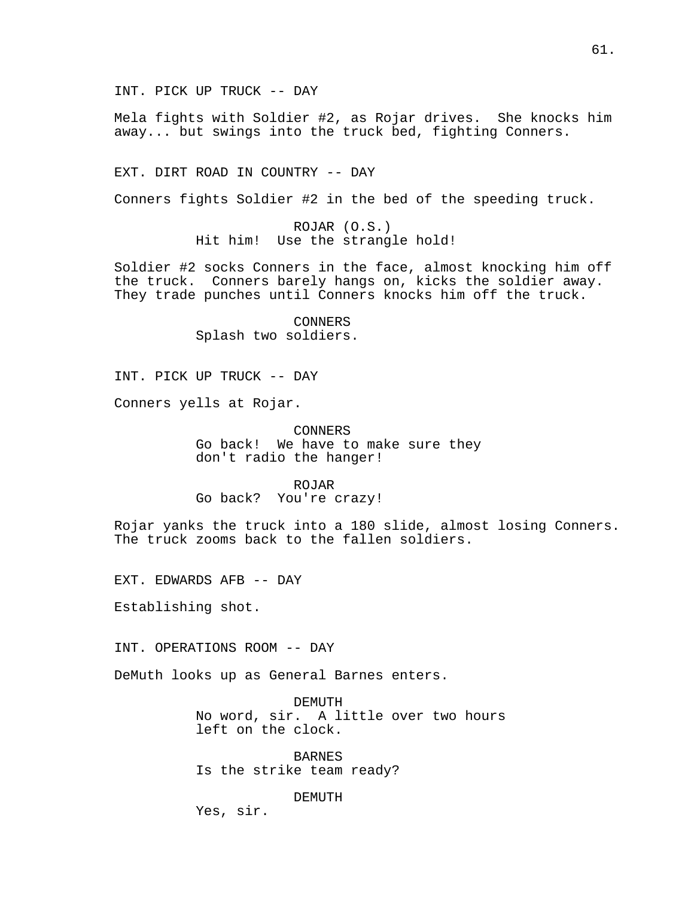INT. PICK UP TRUCK -- DAY

Mela fights with Soldier #2, as Rojar drives. She knocks him away... but swings into the truck bed, fighting Conners.

EXT. DIRT ROAD IN COUNTRY -- DAY

Conners fights Soldier #2 in the bed of the speeding truck.

ROJAR (O.S.) Hit him! Use the strangle hold!

Soldier #2 socks Conners in the face, almost knocking him off the truck. Conners barely hangs on, kicks the soldier away. They trade punches until Conners knocks him off the truck.

> CONNERS Splash two soldiers.

INT. PICK UP TRUCK -- DAY

Conners yells at Rojar.

CONNERS Go back! We have to make sure they don't radio the hanger!

ROJAR

Go back? You're crazy!

Rojar yanks the truck into a 180 slide, almost losing Conners. The truck zooms back to the fallen soldiers.

EXT. EDWARDS AFB -- DAY

Establishing shot.

INT. OPERATIONS ROOM -- DAY

DeMuth looks up as General Barnes enters.

DEMUTH No word, sir. A little over two hours left on the clock.

**BARNES** Is the strike team ready?

DEMUTH

Yes, sir.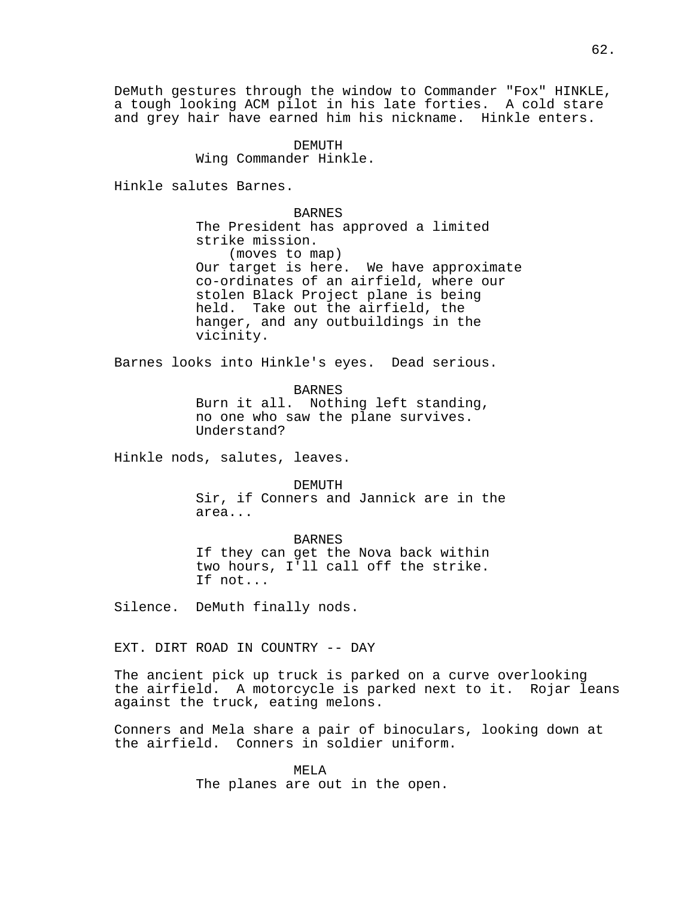DeMuth gestures through the window to Commander "Fox" HINKLE, a tough looking ACM pilot in his late forties. A cold stare and grey hair have earned him his nickname. Hinkle enters.

> DEMUTH Wing Commander Hinkle.

Hinkle salutes Barnes.

BARNES The President has approved a limited strike mission. (moves to map) Our target is here. We have approximate co-ordinates of an airfield, where our stolen Black Project plane is being held. Take out the airfield, the hanger, and any outbuildings in the vicinity.

Barnes looks into Hinkle's eyes. Dead serious.

BARNES

Burn it all. Nothing left standing, no one who saw the plane survives. Understand?

Hinkle nods, salutes, leaves.

DEMUTH Sir, if Conners and Jannick are in the area...

BARNES If they can get the Nova back within two hours, I'll call off the strike. If not...

Silence. DeMuth finally nods.

EXT. DIRT ROAD IN COUNTRY -- DAY

The ancient pick up truck is parked on a curve overlooking the airfield. A motorcycle is parked next to it. Rojar leans against the truck, eating melons.

Conners and Mela share a pair of binoculars, looking down at the airfield. Conners in soldier uniform.

> MELA The planes are out in the open.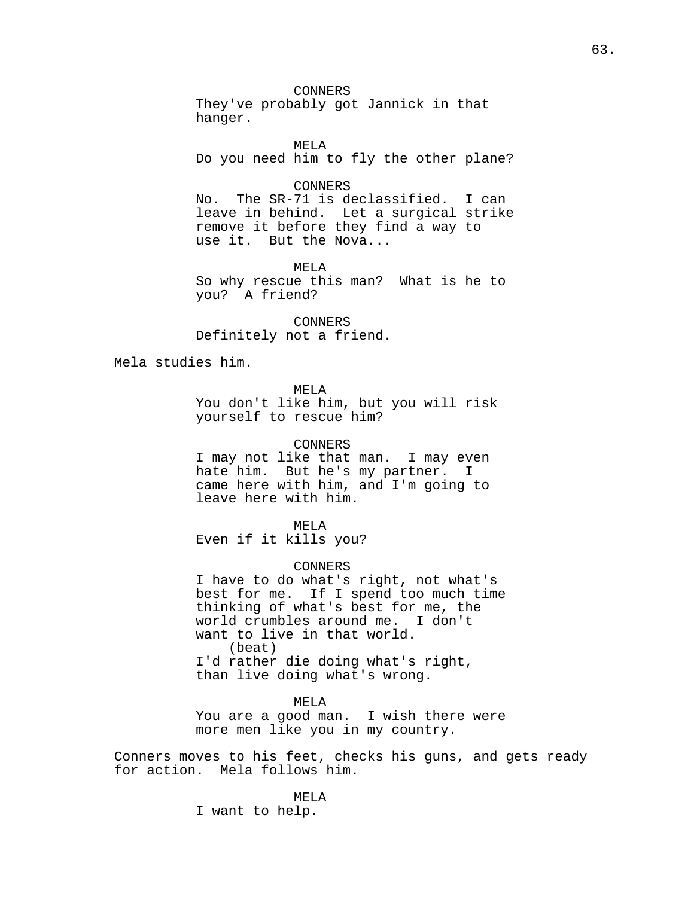CONNERS

They've probably got Jannick in that hanger.

MELA Do you need him to fly the other plane?

## CONNERS

No. The SR-71 is declassified. I can leave in behind. Let a surgical strike remove it before they find a way to use it. But the Nova...

MELA So why rescue this man? What is he to you? A friend?

CONNERS Definitely not a friend.

Mela studies him.

MELA

You don't like him, but you will risk yourself to rescue him?

## CONNERS

I may not like that man. I may even hate him. But he's my partner. I came here with him, and I'm going to leave here with him.

MELA Even if it kills you?

#### CONNERS

I have to do what's right, not what's best for me. If I spend too much time thinking of what's best for me, the world crumbles around me. I don't want to live in that world. (beat) I'd rather die doing what's right, than live doing what's wrong.

#### MELA

You are a good man. I wish there were more men like you in my country.

Conners moves to his feet, checks his guns, and gets ready for action. Mela follows him.

#### MELA

I want to help.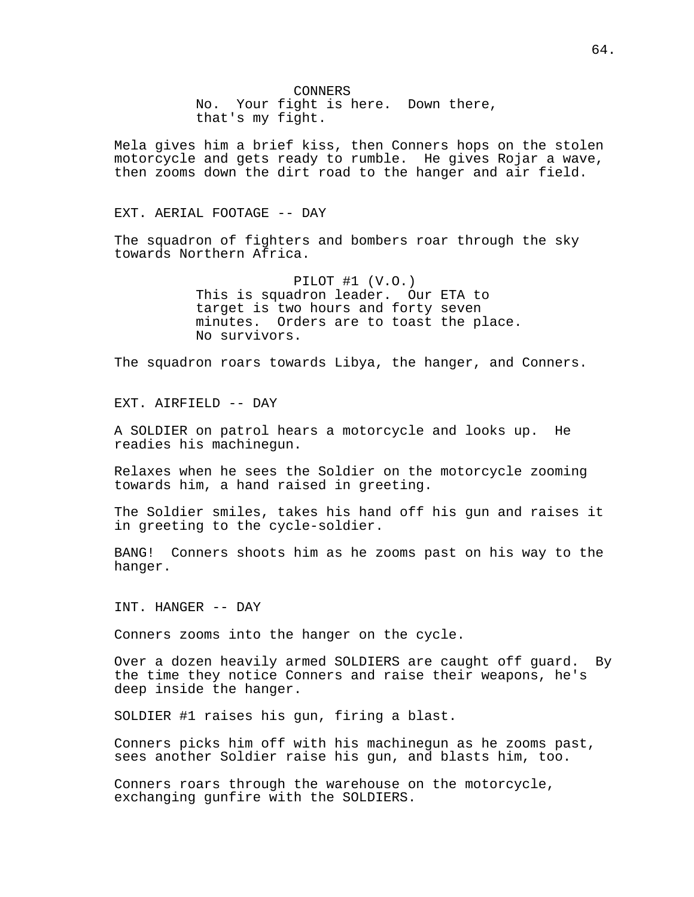CONNERS No. Your fight is here. Down there, that's my fight.

Mela gives him a brief kiss, then Conners hops on the stolen motorcycle and gets ready to rumble. He gives Rojar a wave, then zooms down the dirt road to the hanger and air field.

EXT. AERIAL FOOTAGE -- DAY

The squadron of fighters and bombers roar through the sky towards Northern Africa.

> PILOT #1 (V.O.) This is squadron leader. Our ETA to target is two hours and forty seven minutes. Orders are to toast the place. No survivors.

The squadron roars towards Libya, the hanger, and Conners.

EXT. AIRFIELD -- DAY

A SOLDIER on patrol hears a motorcycle and looks up. He readies his machinegun.

Relaxes when he sees the Soldier on the motorcycle zooming towards him, a hand raised in greeting.

The Soldier smiles, takes his hand off his gun and raises it in greeting to the cycle-soldier.

BANG! Conners shoots him as he zooms past on his way to the hanger.

INT. HANGER -- DAY

Conners zooms into the hanger on the cycle.

Over a dozen heavily armed SOLDIERS are caught off guard. By the time they notice Conners and raise their weapons, he's deep inside the hanger.

SOLDIER #1 raises his gun, firing a blast.

Conners picks him off with his machinegun as he zooms past, sees another Soldier raise his gun, and blasts him, too.

Conners roars through the warehouse on the motorcycle, exchanging gunfire with the SOLDIERS.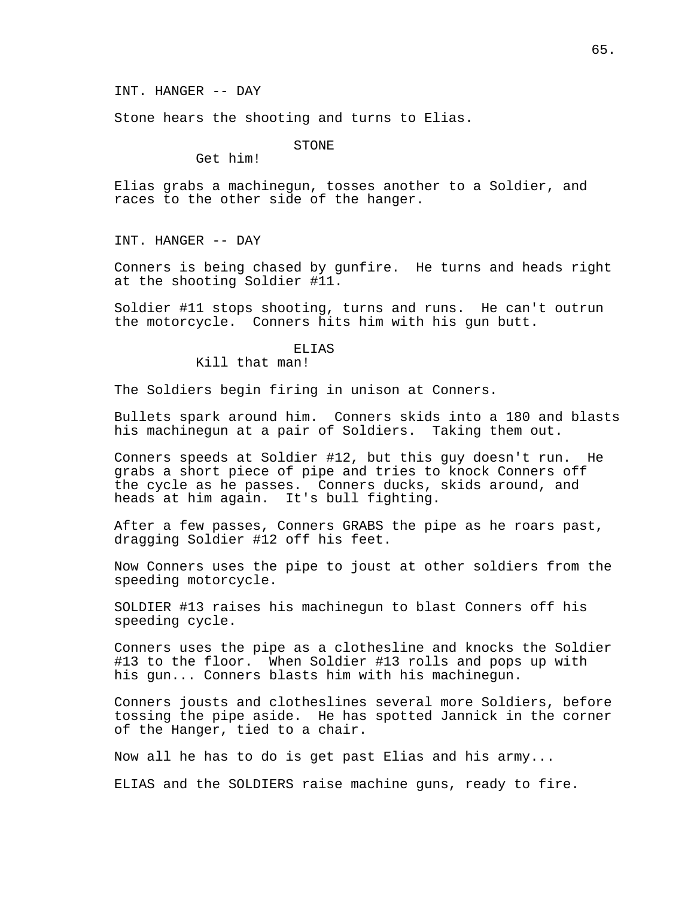Stone hears the shooting and turns to Elias.

STONE

Get him!

Elias grabs a machinegun, tosses another to a Soldier, and races to the other side of the hanger.

INT. HANGER -- DAY

Conners is being chased by gunfire. He turns and heads right at the shooting Soldier #11.

Soldier #11 stops shooting, turns and runs. He can't outrun the motorcycle. Conners hits him with his gun butt.

## ELIAS

Kill that man!

The Soldiers begin firing in unison at Conners.

Bullets spark around him. Conners skids into a 180 and blasts his machinegun at a pair of Soldiers. Taking them out.

Conners speeds at Soldier #12, but this guy doesn't run. He grabs a short piece of pipe and tries to knock Conners off the cycle as he passes. Conners ducks, skids around, and heads at him again. It's bull fighting.

After a few passes, Conners GRABS the pipe as he roars past, dragging Soldier #12 off his feet.

Now Conners uses the pipe to joust at other soldiers from the speeding motorcycle.

SOLDIER #13 raises his machinegun to blast Conners off his speeding cycle.

Conners uses the pipe as a clothesline and knocks the Soldier #13 to the floor. When Soldier #13 rolls and pops up with his gun... Conners blasts him with his machinegun.

Conners jousts and clotheslines several more Soldiers, before tossing the pipe aside. He has spotted Jannick in the corner of the Hanger, tied to a chair.

Now all he has to do is get past Elias and his army...

ELIAS and the SOLDIERS raise machine guns, ready to fire.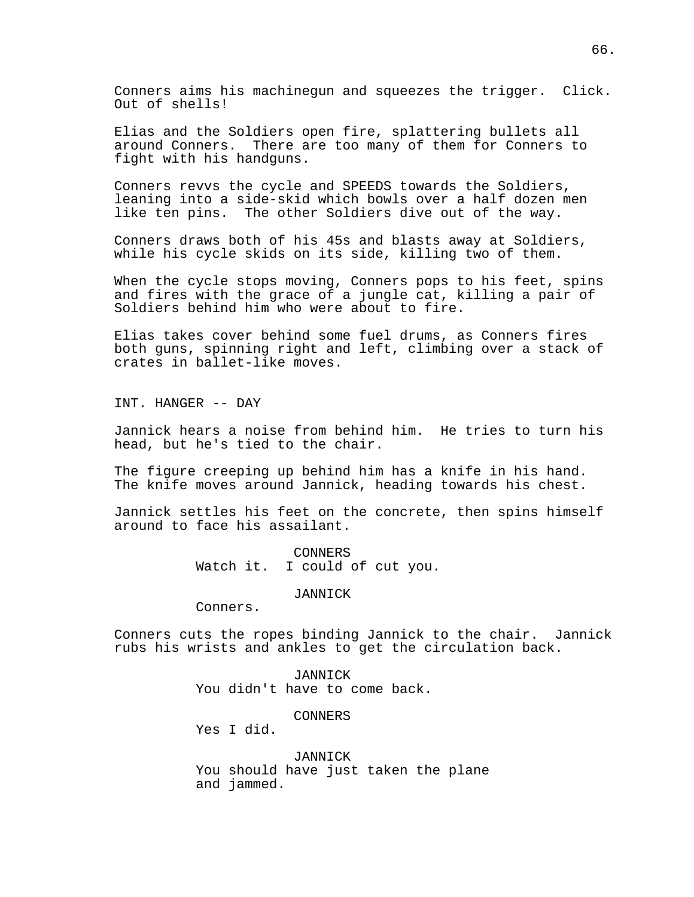Conners aims his machinegun and squeezes the trigger. Click. Out of shells!

Elias and the Soldiers open fire, splattering bullets all around Conners. There are too many of them for Conners to fight with his handguns.

Conners revvs the cycle and SPEEDS towards the Soldiers, leaning into a side-skid which bowls over a half dozen men like ten pins. The other Soldiers dive out of the way.

Conners draws both of his 45s and blasts away at Soldiers, while his cycle skids on its side, killing two of them.

When the cycle stops moving, Conners pops to his feet, spins and fires with the grace of a jungle cat, killing a pair of Soldiers behind him who were about to fire.

Elias takes cover behind some fuel drums, as Conners fires both guns, spinning right and left, climbing over a stack of crates in ballet-like moves.

INT. HANGER -- DAY

Jannick hears a noise from behind him. He tries to turn his head, but he's tied to the chair.

The figure creeping up behind him has a knife in his hand. The knife moves around Jannick, heading towards his chest.

Jannick settles his feet on the concrete, then spins himself around to face his assailant.

> CONNERS Watch it. I could of cut you.

### JANNICK

Conners.

Conners cuts the ropes binding Jannick to the chair. Jannick rubs his wrists and ankles to get the circulation back.

> JANNICK You didn't have to come back.

> > CONNERS

Yes I did.

JANNICK You should have just taken the plane and jammed.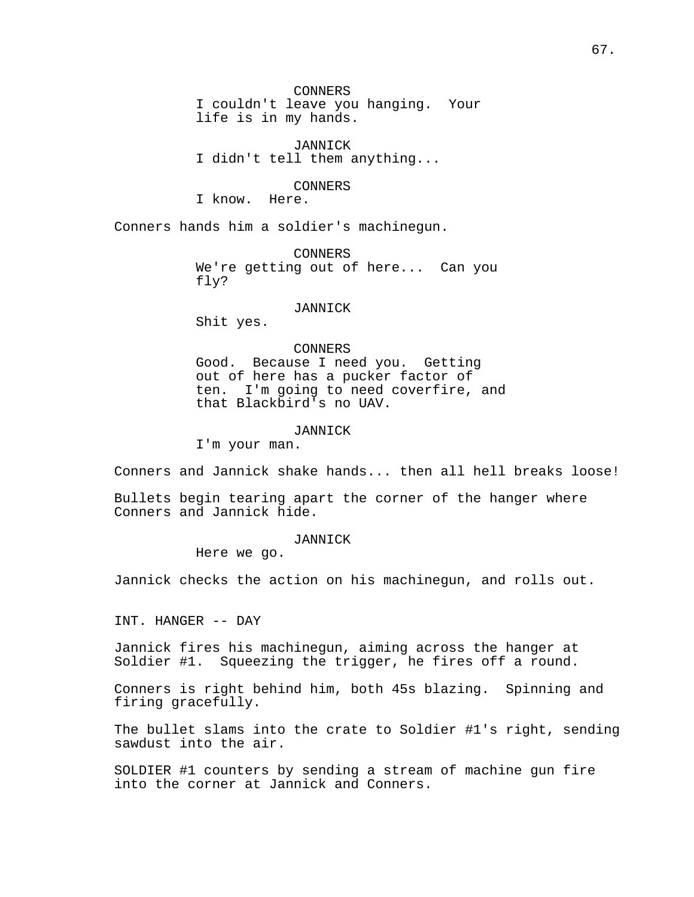CONNERS I couldn't leave you hanging. Your life is in my hands.

JANNICK I didn't tell them anything...

# CONNERS

I know. Here.

Conners hands him a soldier's machinegun.

CONNERS We're getting out of here... Can you fly?

#### JANNICK

Shit yes.

## CONNERS

Good. Because I need you. Getting out of here has a pucker factor of ten. I'm going to need coverfire, and that Blackbird's no UAV.

JANNICK

I'm your man.

Conners and Jannick shake hands... then all hell breaks loose!

Bullets begin tearing apart the corner of the hanger where Conners and Jannick hide.

## JANNICK

Here we go.

Jannick checks the action on his machinegun, and rolls out.

INT. HANGER -- DAY

Jannick fires his machinegun, aiming across the hanger at Soldier #1. Squeezing the trigger, he fires off a round.

Conners is right behind him, both 45s blazing. Spinning and firing gracefully.

The bullet slams into the crate to Soldier #1's right, sending sawdust into the air.

SOLDIER #1 counters by sending a stream of machine gun fire into the corner at Jannick and Conners.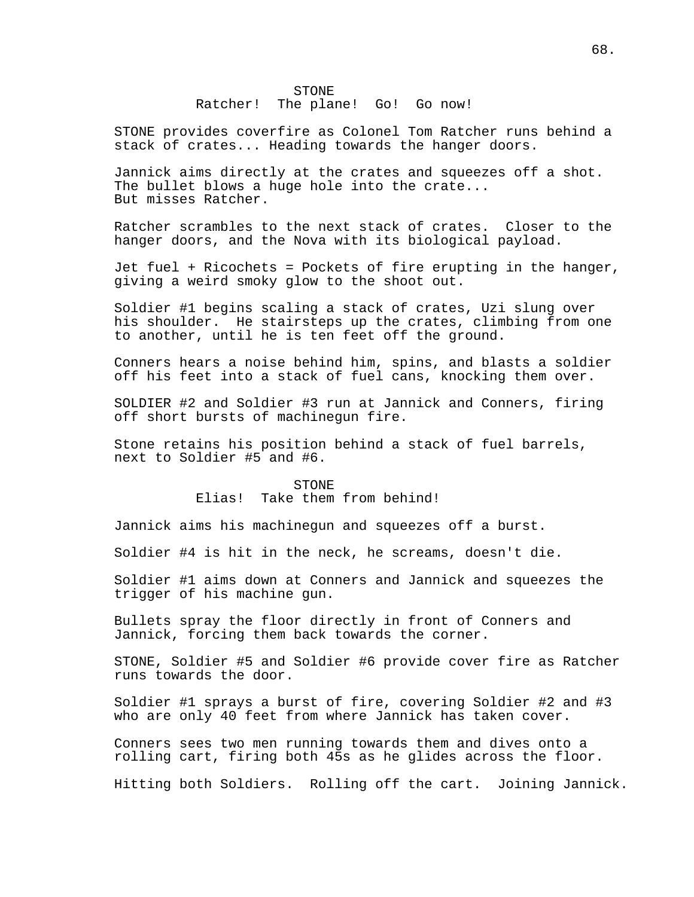## STONE Ratcher! The plane! Go! Go now!

STONE provides coverfire as Colonel Tom Ratcher runs behind a stack of crates... Heading towards the hanger doors.

Jannick aims directly at the crates and squeezes off a shot. The bullet blows a huge hole into the crate... But misses Ratcher.

Ratcher scrambles to the next stack of crates. Closer to the hanger doors, and the Nova with its biological payload.

Jet fuel + Ricochets = Pockets of fire erupting in the hanger, giving a weird smoky glow to the shoot out.

Soldier #1 begins scaling a stack of crates, Uzi slung over his shoulder. He stairsteps up the crates, climbing from one to another, until he is ten feet off the ground.

Conners hears a noise behind him, spins, and blasts a soldier off his feet into a stack of fuel cans, knocking them over.

SOLDIER #2 and Soldier #3 run at Jannick and Conners, firing off short bursts of machinegun fire.

Stone retains his position behind a stack of fuel barrels, next to Soldier #5 and #6.

### STONE

# Elias! Take them from behind!

Jannick aims his machinegun and squeezes off a burst.

Soldier #4 is hit in the neck, he screams, doesn't die.

Soldier #1 aims down at Conners and Jannick and squeezes the trigger of his machine gun.

Bullets spray the floor directly in front of Conners and Jannick, forcing them back towards the corner.

STONE, Soldier #5 and Soldier #6 provide cover fire as Ratcher runs towards the door.

Soldier #1 sprays a burst of fire, covering Soldier #2 and #3 who are only 40 feet from where Jannick has taken cover.

Conners sees two men running towards them and dives onto a rolling cart, firing both 45s as he glides across the floor.

Hitting both Soldiers. Rolling off the cart. Joining Jannick.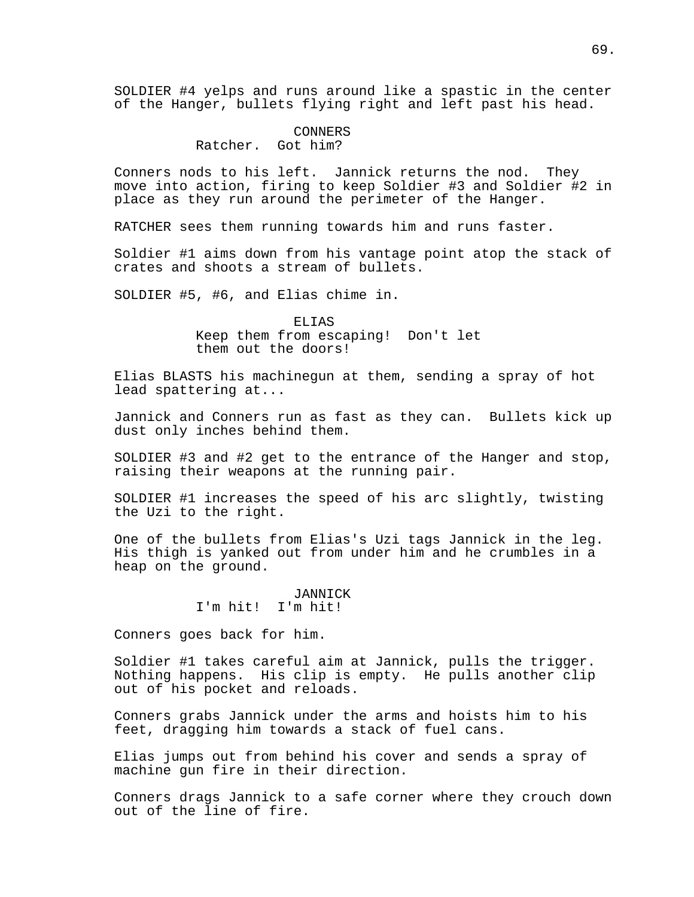SOLDIER #4 yelps and runs around like a spastic in the center of the Hanger, bullets flying right and left past his head.

## CONNERS Ratcher. Got him?

Conners nods to his left. Jannick returns the nod. They move into action, firing to keep Soldier #3 and Soldier #2 in place as they run around the perimeter of the Hanger.

RATCHER sees them running towards him and runs faster.

Soldier #1 aims down from his vantage point atop the stack of crates and shoots a stream of bullets.

SOLDIER #5, #6, and Elias chime in.

ELIAS Keep them from escaping! Don't let them out the doors!

Elias BLASTS his machinegun at them, sending a spray of hot lead spattering at...

Jannick and Conners run as fast as they can. Bullets kick up dust only inches behind them.

SOLDIER #3 and #2 get to the entrance of the Hanger and stop, raising their weapons at the running pair.

SOLDIER #1 increases the speed of his arc slightly, twisting the Uzi to the right.

One of the bullets from Elias's Uzi tags Jannick in the leg. His thigh is yanked out from under him and he crumbles in a heap on the ground.

> JANNICK I'm hit! I'm hit!

Conners goes back for him.

Soldier #1 takes careful aim at Jannick, pulls the trigger. Nothing happens. His clip is empty. He pulls another clip out of his pocket and reloads.

Conners grabs Jannick under the arms and hoists him to his feet, dragging him towards a stack of fuel cans.

Elias jumps out from behind his cover and sends a spray of machine gun fire in their direction.

Conners drags Jannick to a safe corner where they crouch down out of the line of fire.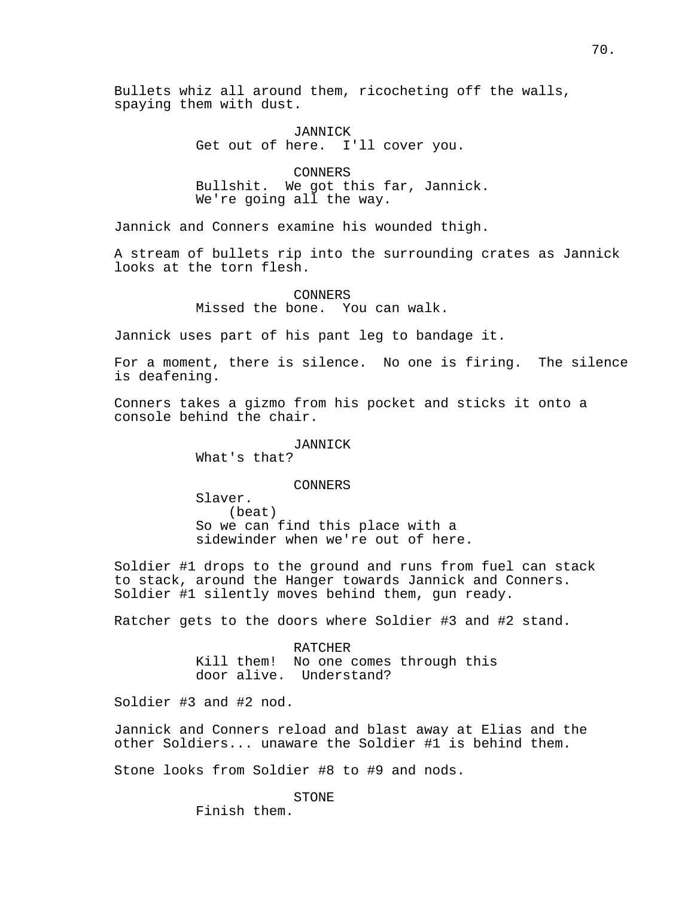Bullets whiz all around them, ricocheting off the walls, spaying them with dust.

> JANNICK Get out of here. I'll cover you.

CONNERS Bullshit. We got this far, Jannick. We're going all the way.

Jannick and Conners examine his wounded thigh.

A stream of bullets rip into the surrounding crates as Jannick looks at the torn flesh.

> CONNERS Missed the bone. You can walk.

Jannick uses part of his pant leg to bandage it.

For a moment, there is silence. No one is firing. The silence is deafening.

Conners takes a gizmo from his pocket and sticks it onto a console behind the chair.

JANNICK

What's that?

CONNERS

Slaver. (beat) So we can find this place with a sidewinder when we're out of here.

Soldier #1 drops to the ground and runs from fuel can stack to stack, around the Hanger towards Jannick and Conners. Soldier #1 silently moves behind them, gun ready.

Ratcher gets to the doors where Soldier #3 and #2 stand.

RATCHER Kill them! No one comes through this door alive. Understand?

Soldier #3 and #2 nod.

Jannick and Conners reload and blast away at Elias and the other Soldiers... unaware the Soldier #1 is behind them.

Stone looks from Soldier #8 to #9 and nods.

STONE Finish them.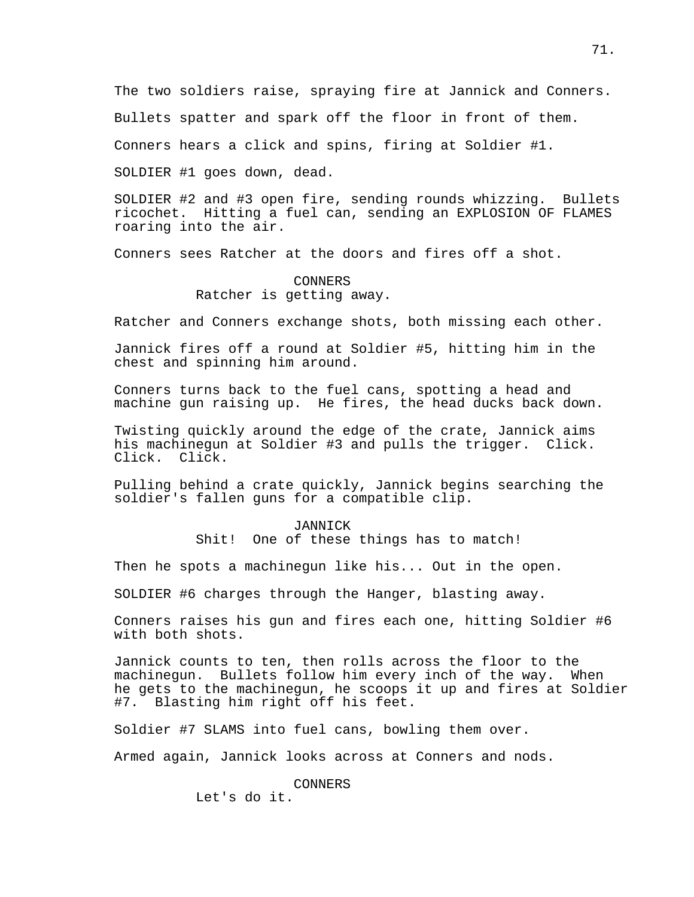The two soldiers raise, spraying fire at Jannick and Conners.

Bullets spatter and spark off the floor in front of them.

Conners hears a click and spins, firing at Soldier #1.

SOLDIER #1 goes down, dead.

SOLDIER #2 and #3 open fire, sending rounds whizzing. Bullets ricochet. Hitting a fuel can, sending an EXPLOSION OF FLAMES roaring into the air.

Conners sees Ratcher at the doors and fires off a shot.

CONNERS Ratcher is getting away.

Ratcher and Conners exchange shots, both missing each other.

Jannick fires off a round at Soldier #5, hitting him in the chest and spinning him around.

Conners turns back to the fuel cans, spotting a head and machine gun raising up. He fires, the head ducks back down.

Twisting quickly around the edge of the crate, Jannick aims his machinegun at Soldier #3 and pulls the trigger. Click. Click. Click.

Pulling behind a crate quickly, Jannick begins searching the soldier's fallen guns for a compatible clip.

> JANNICK Shit! One of these things has to match!

Then he spots a machinegun like his... Out in the open.

SOLDIER #6 charges through the Hanger, blasting away.

Conners raises his gun and fires each one, hitting Soldier #6 with both shots.

Jannick counts to ten, then rolls across the floor to the machinegun. Bullets follow him every inch of the way. When he gets to the machinegun, he scoops it up and fires at Soldier #7. Blasting him right off his feet.

Soldier #7 SLAMS into fuel cans, bowling them over.

Armed again, Jannick looks across at Conners and nods.

CONNERS

Let's do it.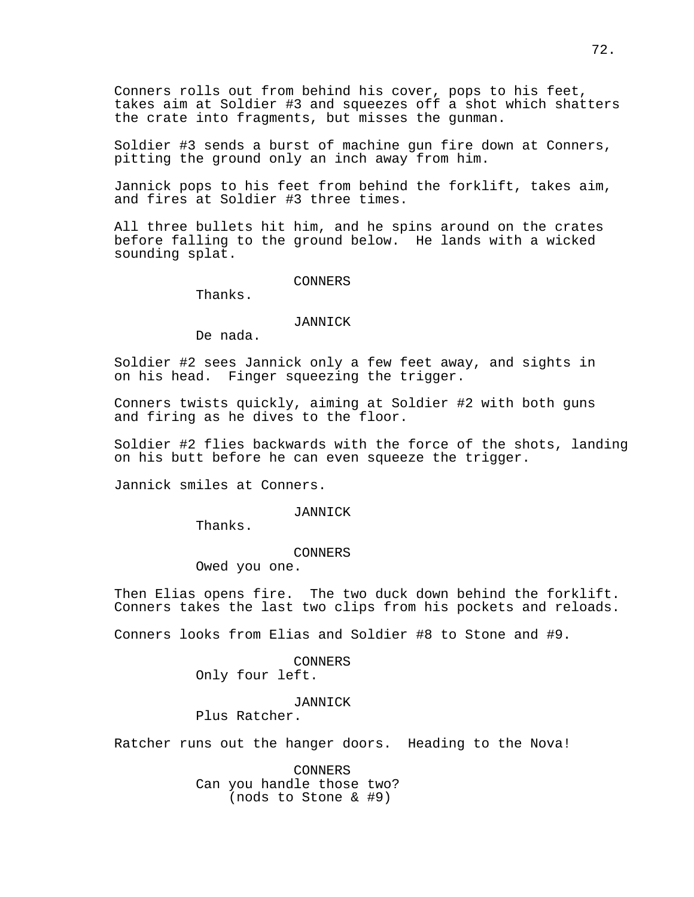Conners rolls out from behind his cover, pops to his feet, takes aim at Soldier #3 and squeezes off a shot which shatters the crate into fragments, but misses the gunman.

Soldier #3 sends a burst of machine gun fire down at Conners, pitting the ground only an inch away from him.

Jannick pops to his feet from behind the forklift, takes aim, and fires at Soldier #3 three times.

All three bullets hit him, and he spins around on the crates before falling to the ground below. He lands with a wicked sounding splat.

CONNERS

Thanks.

#### JANNICK

De nada.

Soldier #2 sees Jannick only a few feet away, and sights in on his head. Finger squeezing the trigger.

Conners twists quickly, aiming at Soldier #2 with both guns and firing as he dives to the floor.

Soldier #2 flies backwards with the force of the shots, landing on his butt before he can even squeeze the trigger.

Jannick smiles at Conners.

JANNICK

Thanks.

CONNERS

Owed you one.

Then Elias opens fire. The two duck down behind the forklift. Conners takes the last two clips from his pockets and reloads.

Conners looks from Elias and Soldier #8 to Stone and #9.

CONNERS Only four left.

JANNICK

Plus Ratcher.

Ratcher runs out the hanger doors. Heading to the Nova!

CONNERS Can you handle those two? (nods to Stone & #9)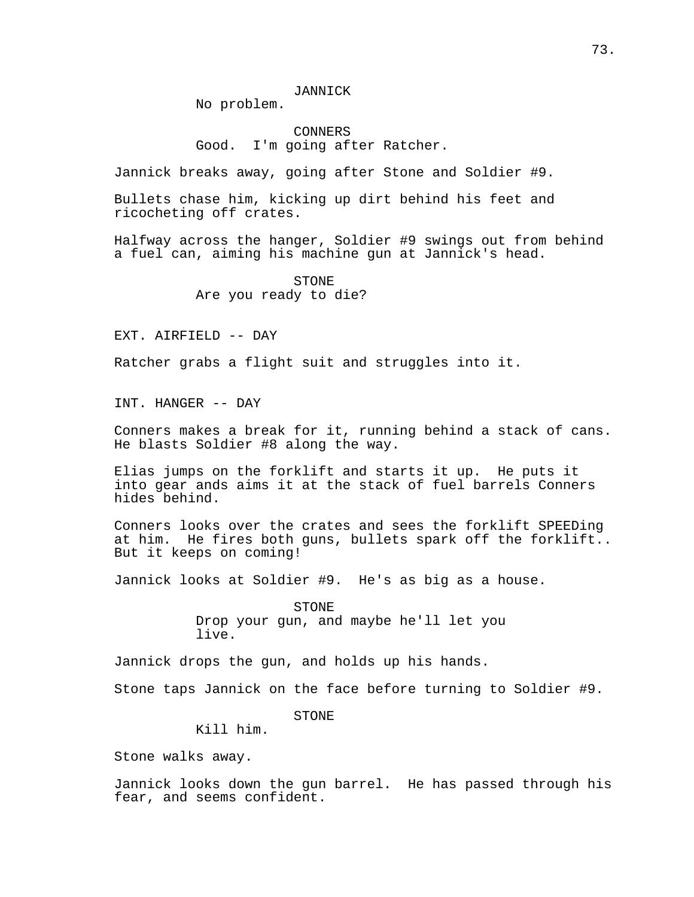No problem.

CONNERS Good. I'm going after Ratcher.

Jannick breaks away, going after Stone and Soldier #9.

Bullets chase him, kicking up dirt behind his feet and ricocheting off crates.

Halfway across the hanger, Soldier #9 swings out from behind a fuel can, aiming his machine gun at Jannick's head.

> STONE Are you ready to die?

EXT. AIRFIELD -- DAY

Ratcher grabs a flight suit and struggles into it.

INT. HANGER -- DAY

Conners makes a break for it, running behind a stack of cans. He blasts Soldier #8 along the way.

Elias jumps on the forklift and starts it up. He puts it into gear ands aims it at the stack of fuel barrels Conners hides behind.

Conners looks over the crates and sees the forklift SPEEDing at him. He fires both guns, bullets spark off the forklift.. But it keeps on coming!

Jannick looks at Soldier #9. He's as big as a house.

STONE Drop your gun, and maybe he'll let you live.

Jannick drops the gun, and holds up his hands.

Stone taps Jannick on the face before turning to Soldier #9.

STONE

Kill him.

Stone walks away.

Jannick looks down the gun barrel. He has passed through his fear, and seems confident.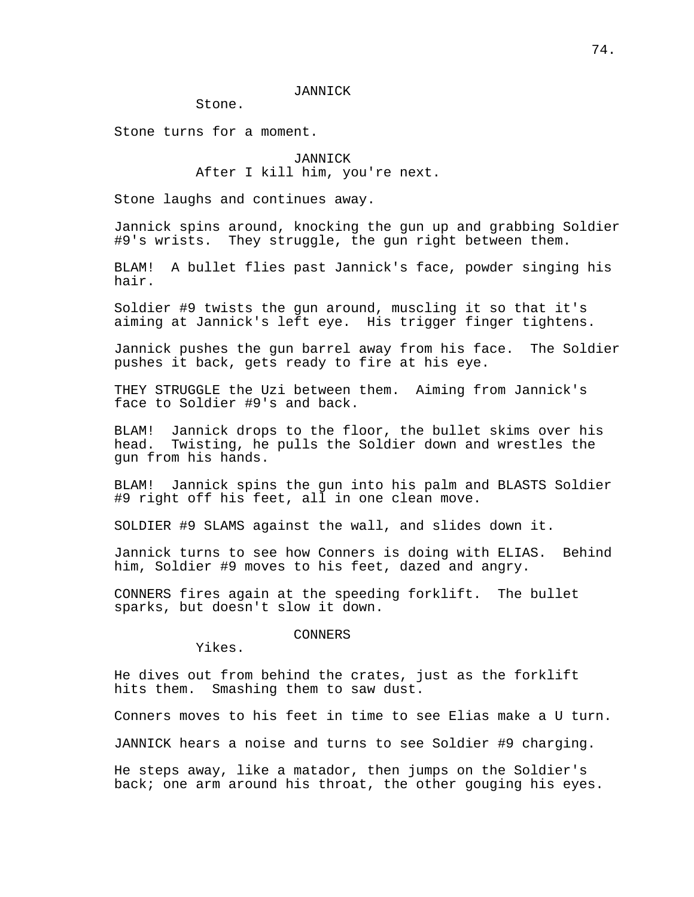## JANNICK

Stone.

Stone turns for a moment.

# JANNICK After I kill him, you're next.

Stone laughs and continues away.

Jannick spins around, knocking the gun up and grabbing Soldier #9's wrists. They struggle, the gun right between them.

BLAM! A bullet flies past Jannick's face, powder singing his hair.

Soldier #9 twists the gun around, muscling it so that it's aiming at Jannick's left eye. His trigger finger tightens.

Jannick pushes the gun barrel away from his face. The Soldier pushes it back, gets ready to fire at his eye.

THEY STRUGGLE the Uzi between them. Aiming from Jannick's face to Soldier #9's and back.

BLAM! Jannick drops to the floor, the bullet skims over his head. Twisting, he pulls the Soldier down and wrestles the gun from his hands.

BLAM! Jannick spins the gun into his palm and BLASTS Soldier #9 right off his feet, all in one clean move.

SOLDIER #9 SLAMS against the wall, and slides down it.

Jannick turns to see how Conners is doing with ELIAS. Behind him, Soldier #9 moves to his feet, dazed and angry.

CONNERS fires again at the speeding forklift. The bullet sparks, but doesn't slow it down.

# CONNERS

Yikes.

He dives out from behind the crates, just as the forklift hits them. Smashing them to saw dust.

Conners moves to his feet in time to see Elias make a U turn.

JANNICK hears a noise and turns to see Soldier #9 charging.

He steps away, like a matador, then jumps on the Soldier's back; one arm around his throat, the other gouging his eyes.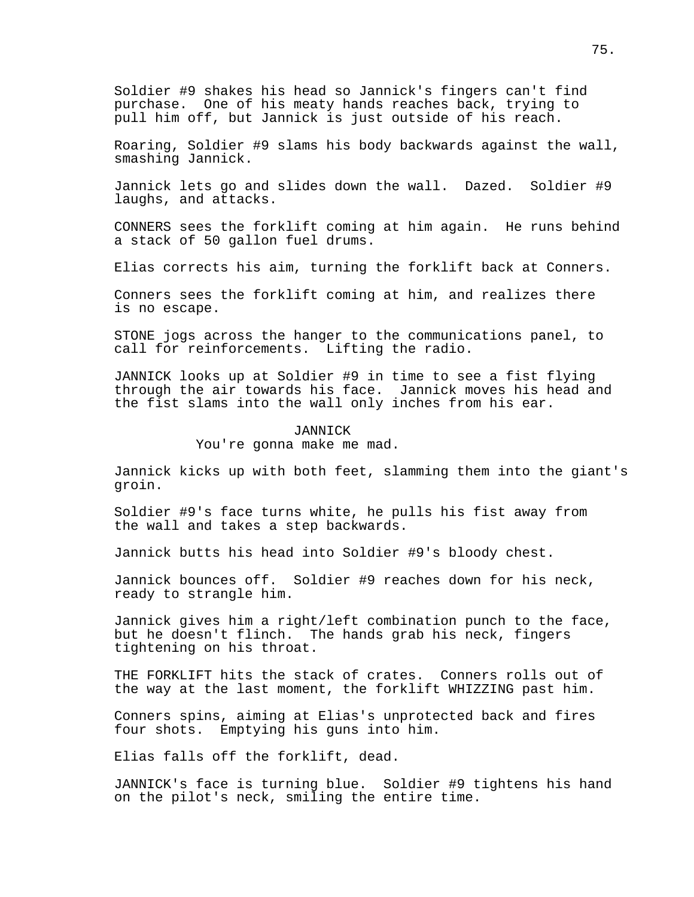Soldier #9 shakes his head so Jannick's fingers can't find purchase. One of his meaty hands reaches back, trying to pull him off, but Jannick is just outside of his reach.

Roaring, Soldier #9 slams his body backwards against the wall, smashing Jannick.

Jannick lets go and slides down the wall. Dazed. Soldier #9 laughs, and attacks.

CONNERS sees the forklift coming at him again. He runs behind a stack of 50 gallon fuel drums.

Elias corrects his aim, turning the forklift back at Conners.

Conners sees the forklift coming at him, and realizes there is no escape.

STONE jogs across the hanger to the communications panel, to call for reinforcements. Lifting the radio.

JANNICK looks up at Soldier #9 in time to see a fist flying through the air towards his face. Jannick moves his head and the fist slams into the wall only inches from his ear.

## JANNICK

You're gonna make me mad.

Jannick kicks up with both feet, slamming them into the giant's groin.

Soldier #9's face turns white, he pulls his fist away from the wall and takes a step backwards.

Jannick butts his head into Soldier #9's bloody chest.

Jannick bounces off. Soldier #9 reaches down for his neck, ready to strangle him.

Jannick gives him a right/left combination punch to the face, but he doesn't flinch. The hands grab his neck, fingers tightening on his throat.

THE FORKLIFT hits the stack of crates. Conners rolls out of the way at the last moment, the forklift WHIZZING past him.

Conners spins, aiming at Elias's unprotected back and fires four shots. Emptying his guns into him.

Elias falls off the forklift, dead.

JANNICK's face is turning blue. Soldier #9 tightens his hand on the pilot's neck, smiling the entire time.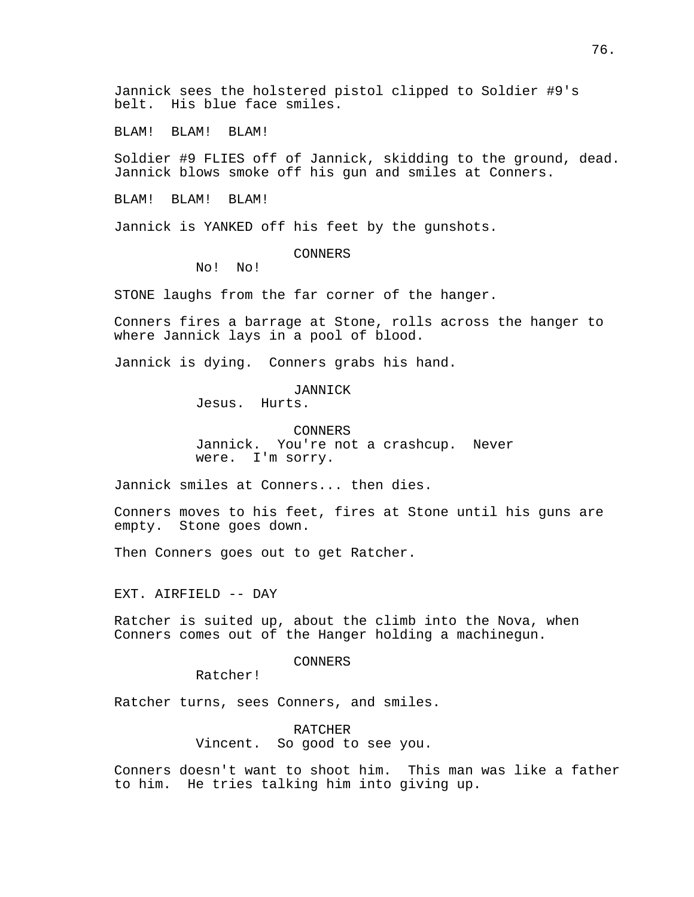Jannick sees the holstered pistol clipped to Soldier #9's belt. His blue face smiles.

BLAM! BLAM! BLAM!

Soldier #9 FLIES off of Jannick, skidding to the ground, dead. Jannick blows smoke off his gun and smiles at Conners.

BLAM! BLAM! BLAM!

Jannick is YANKED off his feet by the gunshots.

# CONNERS

No! No!

STONE laughs from the far corner of the hanger.

Conners fires a barrage at Stone, rolls across the hanger to where Jannick lays in a pool of blood.

Jannick is dying. Conners grabs his hand.

JANNICK Jesus. Hurts.

CONNERS Jannick. You're not a crashcup. Never were. I'm sorry.

Jannick smiles at Conners... then dies.

Conners moves to his feet, fires at Stone until his guns are empty. Stone goes down.

Then Conners goes out to get Ratcher.

EXT. AIRFIELD -- DAY

Ratcher is suited up, about the climb into the Nova, when Conners comes out of the Hanger holding a machinegun.

CONNERS

Ratcher!

Ratcher turns, sees Conners, and smiles.

RATCHER Vincent. So good to see you.

Conners doesn't want to shoot him. This man was like a father to him. He tries talking him into giving up.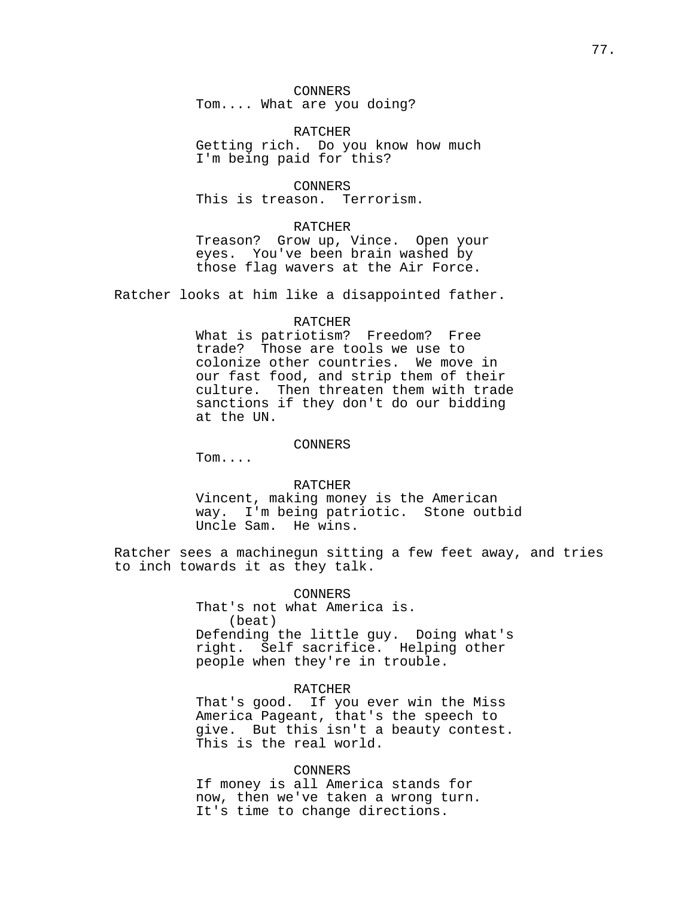CONNERS Tom.... What are you doing?

RATCHER Getting rich. Do you know how much I'm being paid for this?

CONNERS This is treason. Terrorism.

### RATCHER

Treason? Grow up, Vince. Open your eyes. You've been brain washed by those flag wavers at the Air Force.

Ratcher looks at him like a disappointed father.

### RATCHER

What is patriotism? Freedom? Free trade? Those are tools we use to colonize other countries. We move in our fast food, and strip them of their culture. Then threaten them with trade sanctions if they don't do our bidding at the UN.

#### CONNERS

Tom....

# RATCHER

Vincent, making money is the American way. I'm being patriotic. Stone outbid Uncle Sam. He wins.

Ratcher sees a machinegun sitting a few feet away, and tries to inch towards it as they talk.

#### CONNERS

That's not what America is. (beat) Defending the little guy. Doing what's right. Self sacrifice. Helping other people when they're in trouble.

## RATCHER

That's good. If you ever win the Miss America Pageant, that's the speech to give. But this isn't a beauty contest. This is the real world.

# CONNERS

If money is all America stands for now, then we've taken a wrong turn. It's time to change directions.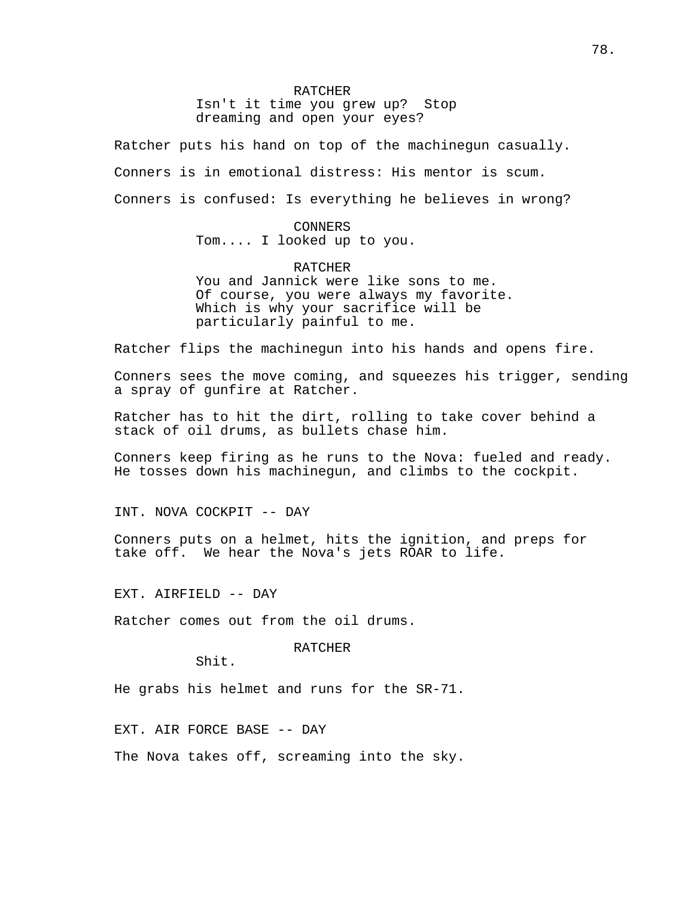#### RATCHER

Isn't it time you grew up? Stop dreaming and open your eyes?

Ratcher puts his hand on top of the machinegun casually.

Conners is in emotional distress: His mentor is scum.

Conners is confused: Is everything he believes in wrong?

# CONNERS

Tom.... I looked up to you.

# RATCHER

You and Jannick were like sons to me. Of course, you were always my favorite. Which is why your sacrifice will be particularly painful to me.

Ratcher flips the machinegun into his hands and opens fire.

Conners sees the move coming, and squeezes his trigger, sending a spray of gunfire at Ratcher.

Ratcher has to hit the dirt, rolling to take cover behind a stack of oil drums, as bullets chase him.

Conners keep firing as he runs to the Nova: fueled and ready. He tosses down his machinegun, and climbs to the cockpit.

INT. NOVA COCKPIT -- DAY

Conners puts on a helmet, hits the ignition, and preps for take off. We hear the Nova's jets ROAR to life.

EXT. AIRFIELD -- DAY

Ratcher comes out from the oil drums.

RATCHER

Shit.

He grabs his helmet and runs for the SR-71.

EXT. AIR FORCE BASE -- DAY

The Nova takes off, screaming into the sky.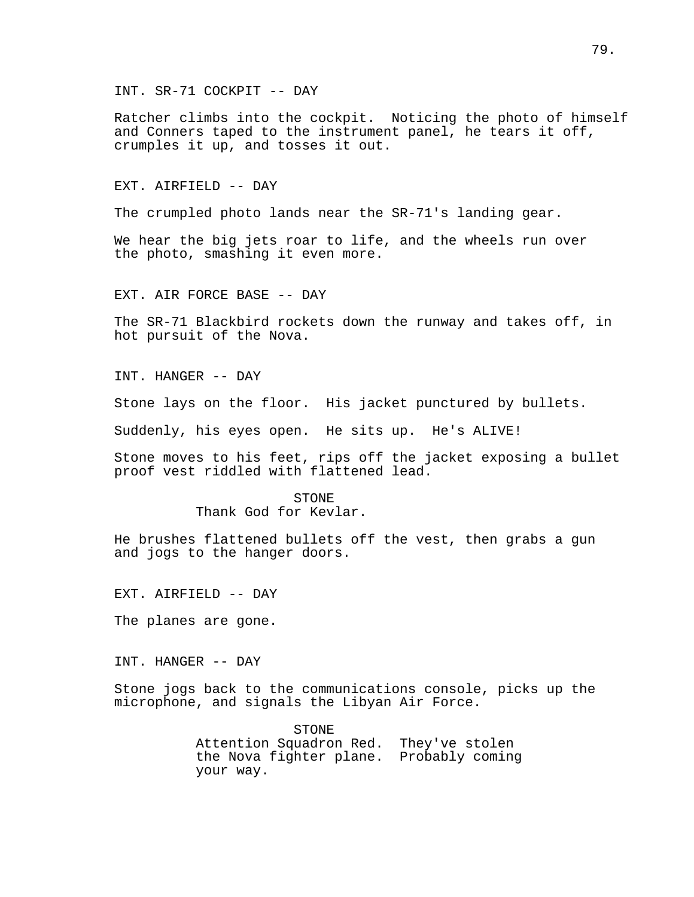INT. SR-71 COCKPIT -- DAY

Ratcher climbs into the cockpit. Noticing the photo of himself and Conners taped to the instrument panel, he tears it off, crumples it up, and tosses it out.

# EXT. AIRFIELD -- DAY

The crumpled photo lands near the SR-71's landing gear.

We hear the big jets roar to life, and the wheels run over the photo, smashing it even more.

EXT. AIR FORCE BASE -- DAY

The SR-71 Blackbird rockets down the runway and takes off, in hot pursuit of the Nova.

INT. HANGER -- DAY

Stone lays on the floor. His jacket punctured by bullets.

Suddenly, his eyes open. He sits up. He's ALIVE!

Stone moves to his feet, rips off the jacket exposing a bullet proof vest riddled with flattened lead.

### STONE

Thank God for Kevlar.

He brushes flattened bullets off the vest, then grabs a gun and jogs to the hanger doors.

EXT. AIRFIELD -- DAY

The planes are gone.

INT. HANGER -- DAY

Stone jogs back to the communications console, picks up the microphone, and signals the Libyan Air Force.

> STONE Attention Squadron Red. They've stolen the Nova fighter plane. Probably coming your way.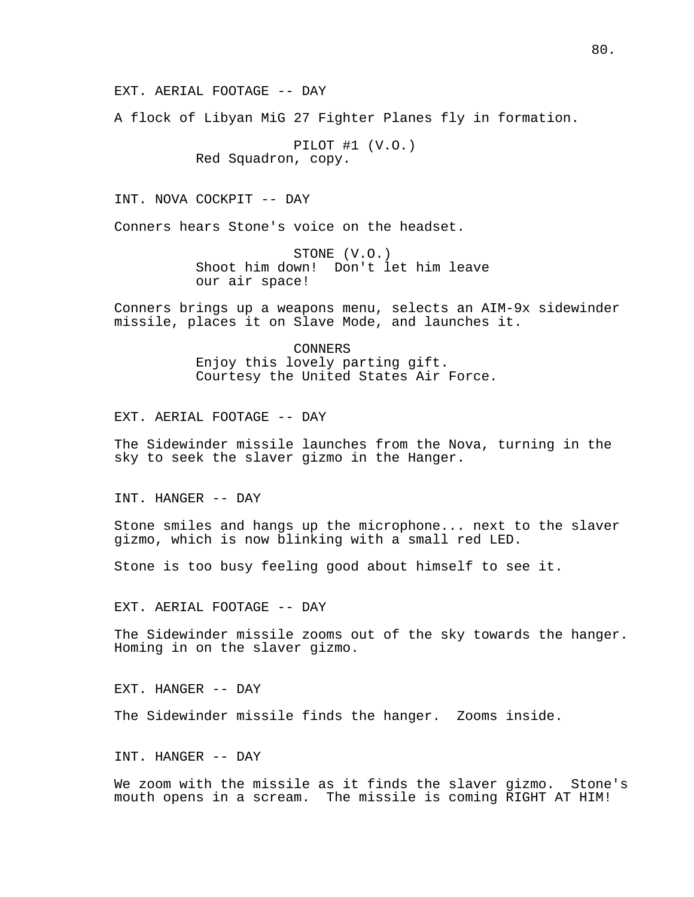A flock of Libyan MiG 27 Fighter Planes fly in formation.

PILOT #1 (V.O.) Red Squadron, copy.

INT. NOVA COCKPIT -- DAY

Conners hears Stone's voice on the headset.

STONE (V.O.) Shoot him down! Don't let him leave our air space!

Conners brings up a weapons menu, selects an AIM-9x sidewinder missile, places it on Slave Mode, and launches it.

> CONNERS Enjoy this lovely parting gift. Courtesy the United States Air Force.

EXT. AERIAL FOOTAGE -- DAY

The Sidewinder missile launches from the Nova, turning in the sky to seek the slaver gizmo in the Hanger.

INT. HANGER -- DAY

Stone smiles and hangs up the microphone... next to the slaver gizmo, which is now blinking with a small red LED.

Stone is too busy feeling good about himself to see it.

EXT. AERIAL FOOTAGE -- DAY

The Sidewinder missile zooms out of the sky towards the hanger. Homing in on the slaver gizmo.

EXT. HANGER -- DAY

The Sidewinder missile finds the hanger. Zooms inside.

INT. HANGER -- DAY

We zoom with the missile as it finds the slaver gizmo. Stone's mouth opens in a scream. The missile is coming RIGHT AT HIM!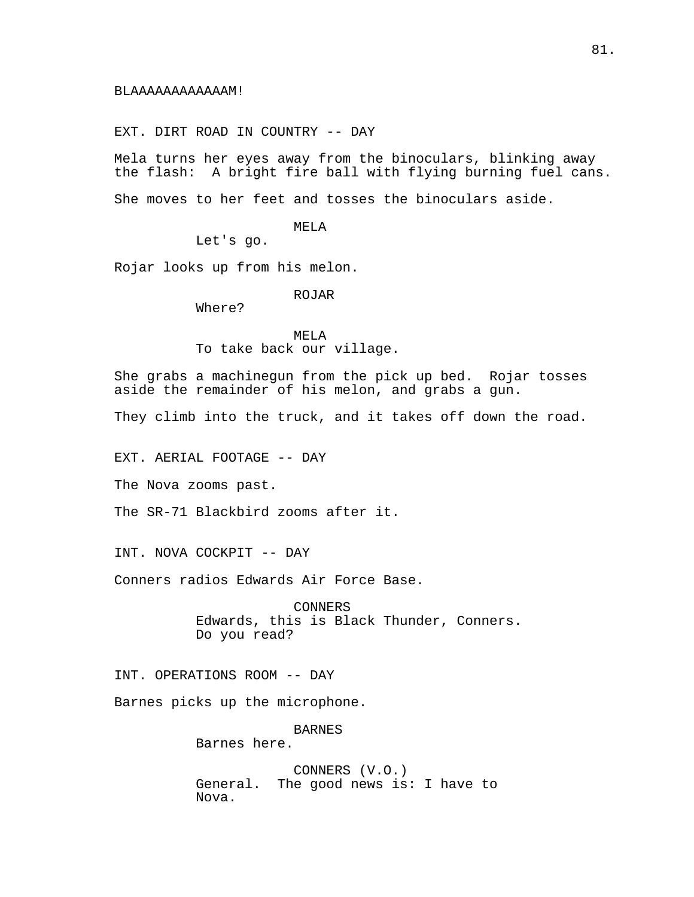EXT. DIRT ROAD IN COUNTRY -- DAY

Mela turns her eyes away from the binoculars, blinking away the flash: A bright fire ball with flying burning fuel cans.

She moves to her feet and tosses the binoculars aside.

MELA

Let's go.

Rojar looks up from his melon.

ROJAR

Where?

MELA To take back our village.

She grabs a machinegun from the pick up bed. Rojar tosses aside the remainder of his melon, and grabs a gun.

They climb into the truck, and it takes off down the road.

EXT. AERIAL FOOTAGE -- DAY

The Nova zooms past.

The SR-71 Blackbird zooms after it.

INT. NOVA COCKPIT -- DAY

Conners radios Edwards Air Force Base.

CONNERS Edwards, this is Black Thunder, Conners. Do you read?

INT. OPERATIONS ROOM -- DAY

Barnes picks up the microphone.

BARNES Barnes here.

CONNERS (V.O.) General. The good news is: I have to Nova.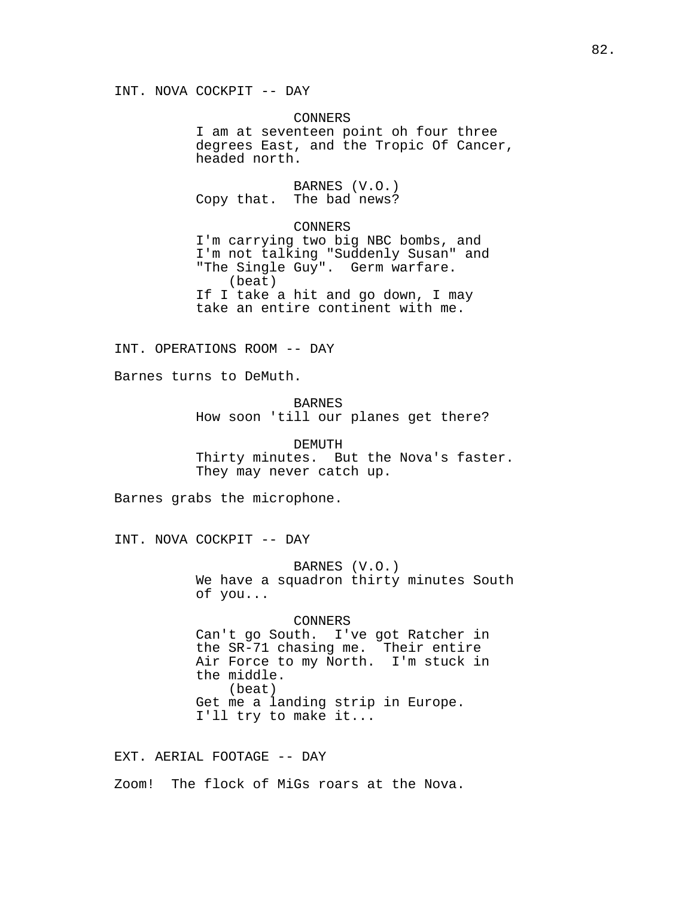INT. NOVA COCKPIT -- DAY

CONNERS I am at seventeen point oh four three degrees East, and the Tropic Of Cancer, headed north.

BARNES (V.O.) Copy that. The bad news?

CONNERS I'm carrying two big NBC bombs, and I'm not talking "Suddenly Susan" and "The Single Guy". Germ warfare. (beat) If I take a hit and go down, I may take an entire continent with me.

INT. OPERATIONS ROOM -- DAY

Barnes turns to DeMuth.

BARNES How soon 'till our planes get there?

DEMUTH Thirty minutes. But the Nova's faster. They may never catch up.

Barnes grabs the microphone.

INT. NOVA COCKPIT -- DAY

BARNES (V.O.) We have a squadron thirty minutes South of you...

CONNERS

Can't go South. I've got Ratcher in the SR-71 chasing me. Their entire Air Force to my North. I'm stuck in the middle. (beat) Get me a landing strip in Europe. I'll try to make it...

EXT. AERIAL FOOTAGE -- DAY

Zoom! The flock of MiGs roars at the Nova.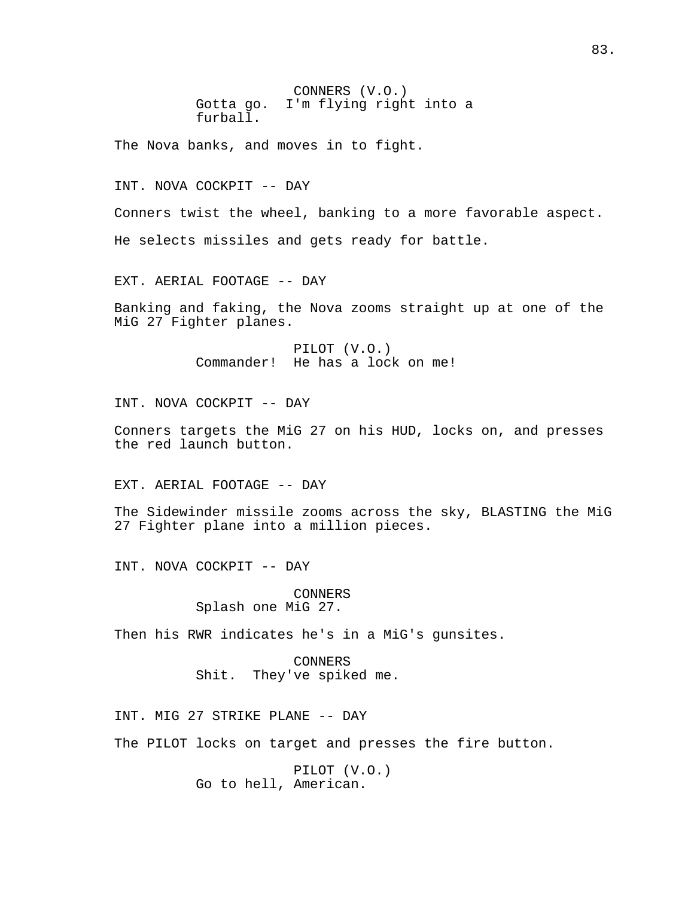CONNERS (V.O.) Gotta go. I'm flying right into a furball.

The Nova banks, and moves in to fight.

INT. NOVA COCKPIT -- DAY

Conners twist the wheel, banking to a more favorable aspect.

He selects missiles and gets ready for battle.

EXT. AERIAL FOOTAGE -- DAY

Banking and faking, the Nova zooms straight up at one of the MiG 27 Fighter planes.

> PILOT (V.O.) Commander! He has a lock on me!

INT. NOVA COCKPIT -- DAY

Conners targets the MiG 27 on his HUD, locks on, and presses the red launch button.

EXT. AERIAL FOOTAGE -- DAY

The Sidewinder missile zooms across the sky, BLASTING the MiG 27 Fighter plane into a million pieces.

INT. NOVA COCKPIT -- DAY

CONNERS Splash one MiG 27.

Then his RWR indicates he's in a MiG's gunsites.

CONNERS Shit. They've spiked me.

INT. MIG 27 STRIKE PLANE -- DAY

The PILOT locks on target and presses the fire button.

PILOT (V.O.) Go to hell, American.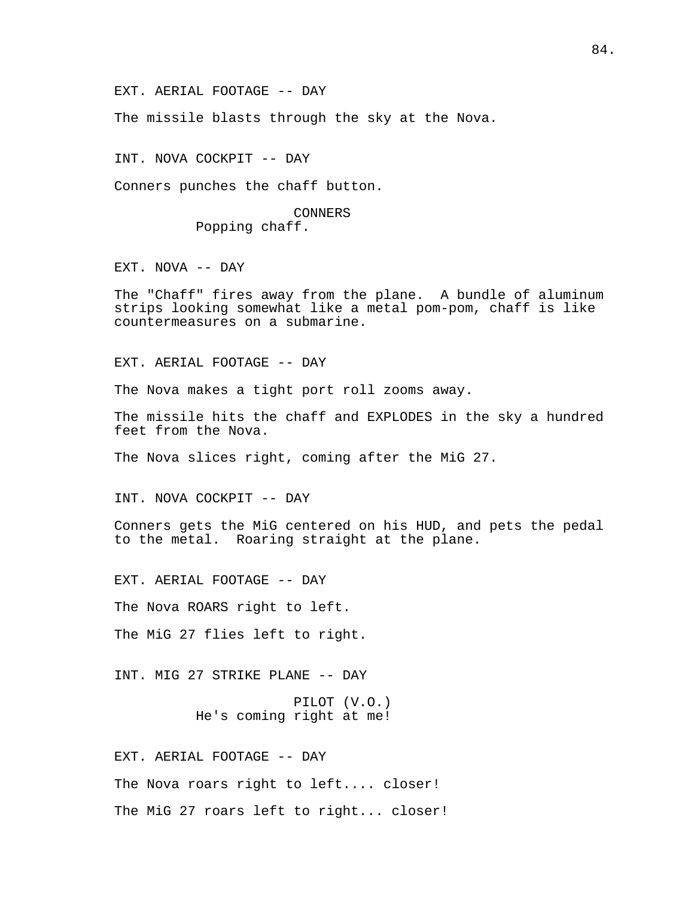The missile blasts through the sky at the Nova.

INT. NOVA COCKPIT -- DAY

Conners punches the chaff button.

CONNERS Popping chaff.

EXT. NOVA -- DAY

The "Chaff" fires away from the plane. A bundle of aluminum strips looking somewhat like a metal pom-pom, chaff is like countermeasures on a submarine.

EXT. AERIAL FOOTAGE -- DAY

The Nova makes a tight port roll zooms away.

The missile hits the chaff and EXPLODES in the sky a hundred feet from the Nova.

The Nova slices right, coming after the MiG 27.

INT. NOVA COCKPIT -- DAY

Conners gets the MiG centered on his HUD, and pets the pedal to the metal. Roaring straight at the plane.

EXT. AERIAL FOOTAGE -- DAY

The Nova ROARS right to left.

The MiG 27 flies left to right.

INT. MIG 27 STRIKE PLANE -- DAY

PILOT (V.O.) He's coming right at me!

EXT. AERIAL FOOTAGE -- DAY

The Nova roars right to left.... closer!

The MiG 27 roars left to right... closer!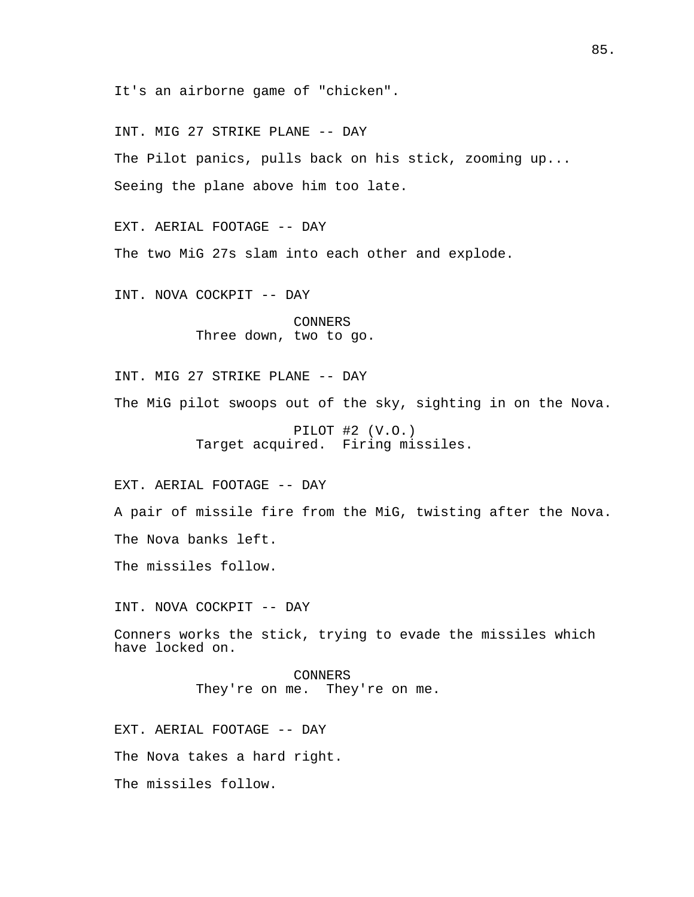It's an airborne game of "chicken".

INT. MIG 27 STRIKE PLANE -- DAY

The Pilot panics, pulls back on his stick, zooming up... Seeing the plane above him too late.

EXT. AERIAL FOOTAGE -- DAY The two MiG 27s slam into each other and explode.

INT. NOVA COCKPIT -- DAY

CONNERS Three down, two to go.

INT. MIG 27 STRIKE PLANE -- DAY

The MiG pilot swoops out of the sky, sighting in on the Nova.

PILOT #2 (V.O.) Target acquired. Firing missiles.

EXT. AERIAL FOOTAGE -- DAY

A pair of missile fire from the MiG, twisting after the Nova.

The Nova banks left.

The missiles follow.

INT. NOVA COCKPIT -- DAY

Conners works the stick, trying to evade the missiles which have locked on.

> CONNERS They're on me. They're on me.

EXT. AERIAL FOOTAGE -- DAY The Nova takes a hard right. The missiles follow.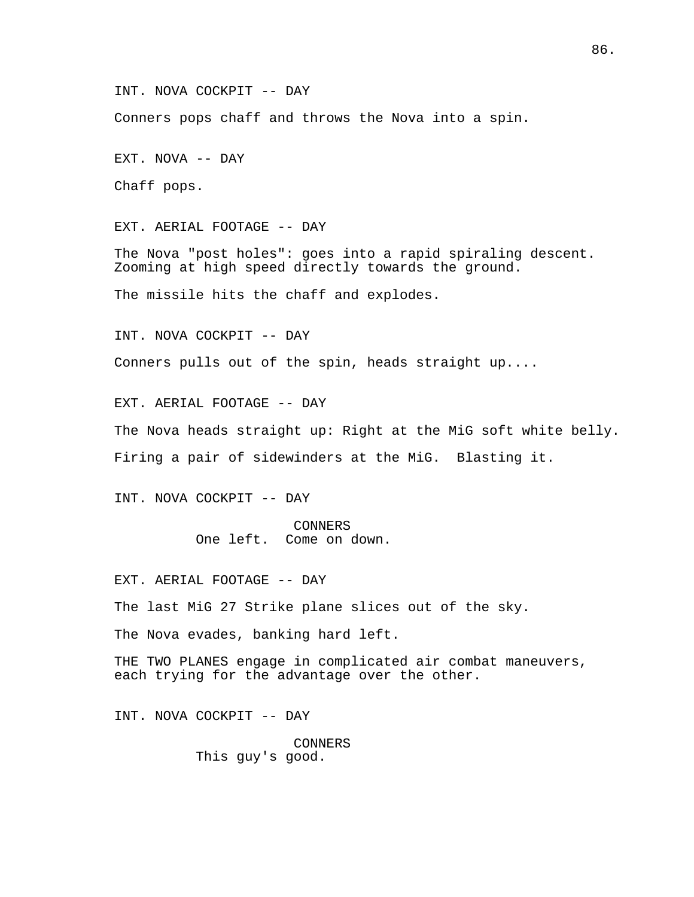INT. NOVA COCKPIT -- DAY

Conners pops chaff and throws the Nova into a spin.

EXT. NOVA -- DAY

Chaff pops.

EXT. AERIAL FOOTAGE -- DAY

The Nova "post holes": goes into a rapid spiraling descent. Zooming at high speed directly towards the ground.

The missile hits the chaff and explodes.

INT. NOVA COCKPIT -- DAY

Conners pulls out of the spin, heads straight up....

EXT. AERIAL FOOTAGE -- DAY

The Nova heads straight up: Right at the MiG soft white belly.

Firing a pair of sidewinders at the MiG. Blasting it.

INT. NOVA COCKPIT -- DAY

CONNERS One left. Come on down.

EXT. AERIAL FOOTAGE -- DAY

The last MiG 27 Strike plane slices out of the sky.

The Nova evades, banking hard left.

THE TWO PLANES engage in complicated air combat maneuvers, each trying for the advantage over the other.

INT. NOVA COCKPIT -- DAY

CONNERS This guy's good.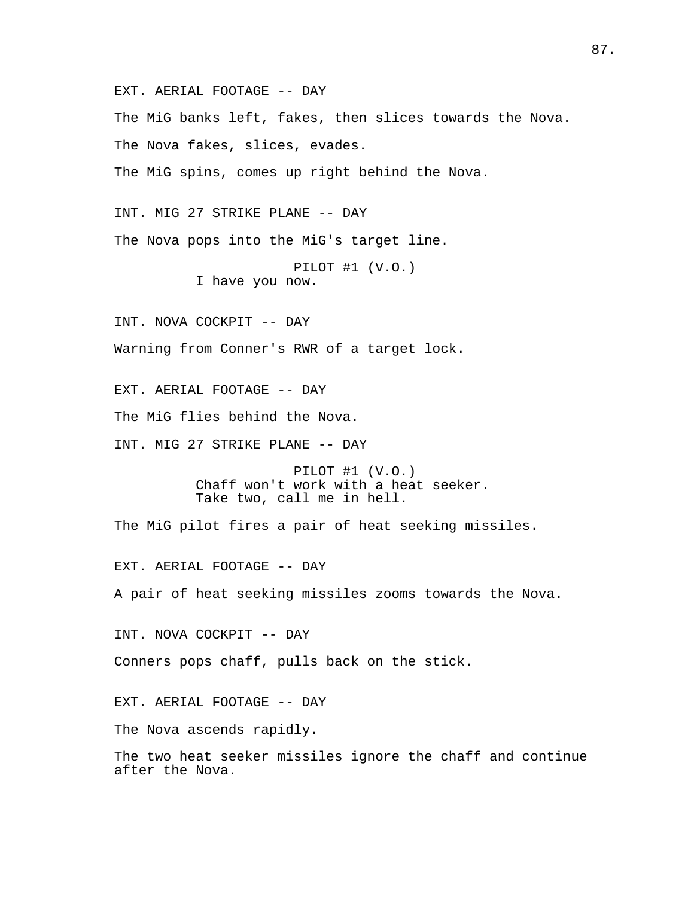EXT. AERIAL FOOTAGE -- DAY The MiG banks left, fakes, then slices towards the Nova. The Nova fakes, slices, evades. The MiG spins, comes up right behind the Nova. INT. MIG 27 STRIKE PLANE -- DAY The Nova pops into the MiG's target line. PILOT #1 (V.O.) I have you now. INT. NOVA COCKPIT -- DAY Warning from Conner's RWR of a target lock. EXT. AERIAL FOOTAGE -- DAY The MiG flies behind the Nova. INT. MIG 27 STRIKE PLANE -- DAY PILOT #1 (V.O.) Chaff won't work with a heat seeker. Take two, call me in hell. The MiG pilot fires a pair of heat seeking missiles. EXT. AERIAL FOOTAGE -- DAY A pair of heat seeking missiles zooms towards the Nova. INT. NOVA COCKPIT -- DAY Conners pops chaff, pulls back on the stick. EXT. AERIAL FOOTAGE -- DAY The Nova ascends rapidly. The two heat seeker missiles ignore the chaff and continue after the Nova.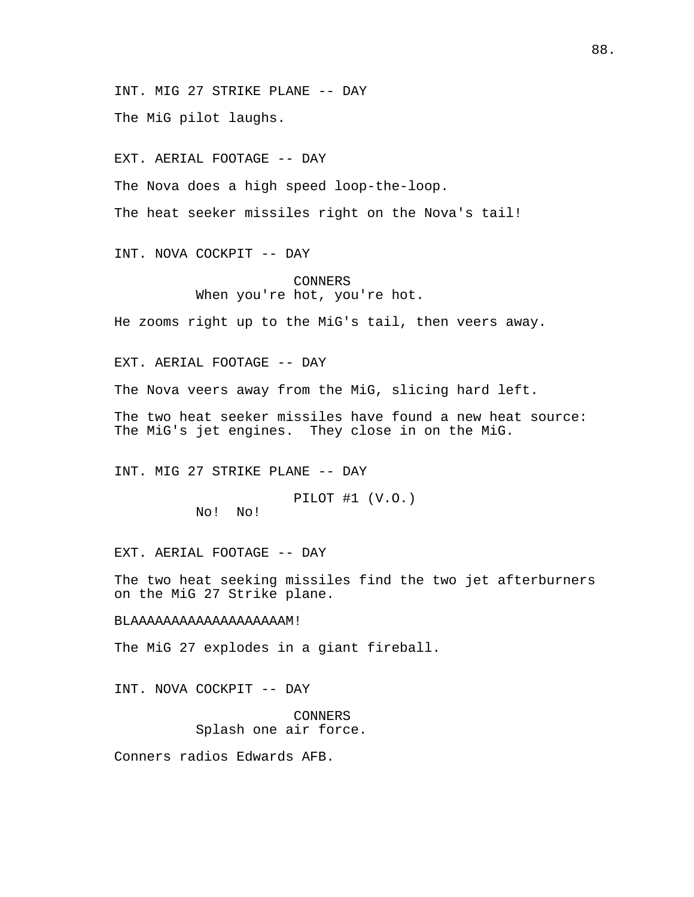INT. MIG 27 STRIKE PLANE -- DAY

The MiG pilot laughs.

EXT. AERIAL FOOTAGE -- DAY

The Nova does a high speed loop-the-loop.

The heat seeker missiles right on the Nova's tail!

INT. NOVA COCKPIT -- DAY

CONNERS When you're hot, you're hot.

He zooms right up to the MiG's tail, then veers away.

EXT. AERIAL FOOTAGE -- DAY

The Nova veers away from the MiG, slicing hard left.

The two heat seeker missiles have found a new heat source: The MiG's jet engines. They close in on the MiG.

INT. MIG 27 STRIKE PLANE -- DAY

PILOT #1 (V.O.) No! No!

EXT. AERIAL FOOTAGE -- DAY

The two heat seeking missiles find the two jet afterburners on the MiG 27 Strike plane.

#### BLAAAAAAAAAAAAAAAAAAAM!

The MiG 27 explodes in a giant fireball.

INT. NOVA COCKPIT -- DAY

CONNERS Splash one air force.

Conners radios Edwards AFB.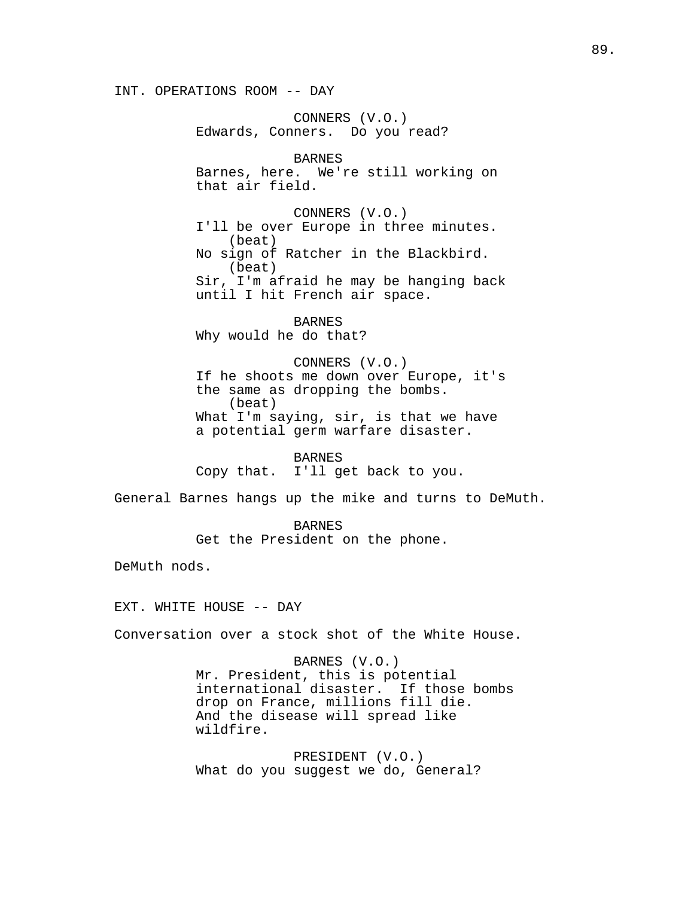INT. OPERATIONS ROOM -- DAY

CONNERS (V.O.) Edwards, Conners. Do you read? BARNES Barnes, here. We're still working on that air field. CONNERS (V.O.) I'll be over Europe in three minutes. (beat) No sign of Ratcher in the Blackbird. (beat)

Sir, I'm afraid he may be hanging back until I hit French air space.

BARNES Why would he do that?

CONNERS (V.O.) If he shoots me down over Europe, it's the same as dropping the bombs. (beat) What I'm saying, sir, is that we have a potential germ warfare disaster.

#### **BARNES**

Copy that. I'll get back to you.

General Barnes hangs up the mike and turns to DeMuth.

BARNES Get the President on the phone.

DeMuth nods.

EXT. WHITE HOUSE -- DAY

Conversation over a stock shot of the White House.

BARNES (V.O.) Mr. President, this is potential international disaster. If those bombs drop on France, millions fill die. And the disease will spread like wildfire.

PRESIDENT (V.O.) What do you suggest we do, General?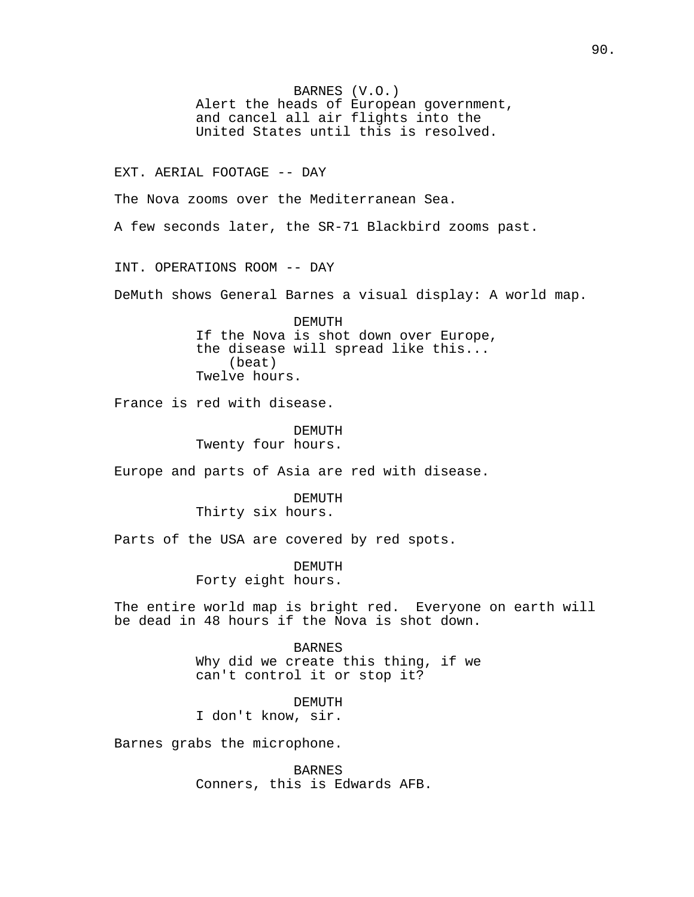BARNES (V.O.) Alert the heads of European government, and cancel all air flights into the United States until this is resolved. EXT. AERIAL FOOTAGE -- DAY The Nova zooms over the Mediterranean Sea. A few seconds later, the SR-71 Blackbird zooms past. INT. OPERATIONS ROOM -- DAY DeMuth shows General Barnes a visual display: A world map. DEMUTH If the Nova is shot down over Europe, the disease will spread like this... (beat) Twelve hours. France is red with disease. DEMUTH Twenty four hours. Europe and parts of Asia are red with disease. DEMUTH Thirty six hours. Parts of the USA are covered by red spots. DEMUTH Forty eight hours. The entire world map is bright red. Everyone on earth will be dead in 48 hours if the Nova is shot down. BARNES Why did we create this thing, if we can't control it or stop it? DEMUTH I don't know, sir. Barnes grabs the microphone.

> BARNES Conners, this is Edwards AFB.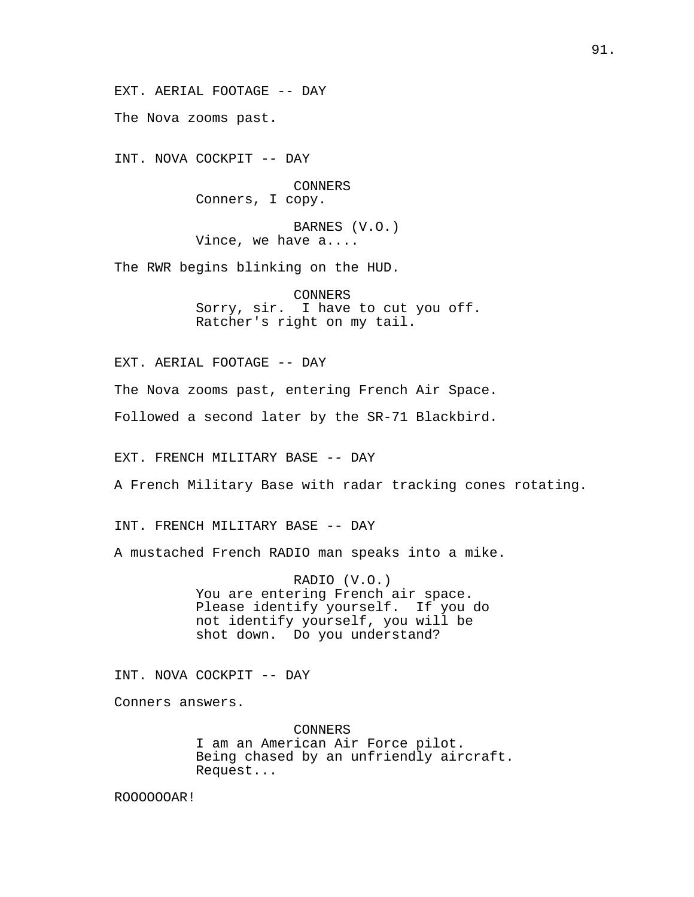The Nova zooms past.

INT. NOVA COCKPIT -- DAY

CONNERS Conners, I copy.

BARNES (V.O.) Vince, we have a....

The RWR begins blinking on the HUD.

CONNERS Sorry, sir. I have to cut you off. Ratcher's right on my tail.

EXT. AERIAL FOOTAGE -- DAY

The Nova zooms past, entering French Air Space.

Followed a second later by the SR-71 Blackbird.

EXT. FRENCH MILITARY BASE -- DAY

A French Military Base with radar tracking cones rotating.

INT. FRENCH MILITARY BASE -- DAY

A mustached French RADIO man speaks into a mike.

RADIO (V.O.) You are entering French air space. Please identify yourself. If you do not identify yourself, you will be shot down. Do you understand?

INT. NOVA COCKPIT -- DAY

Conners answers.

CONNERS I am an American Air Force pilot. Being chased by an unfriendly aircraft. Request...

ROOOOOOAR!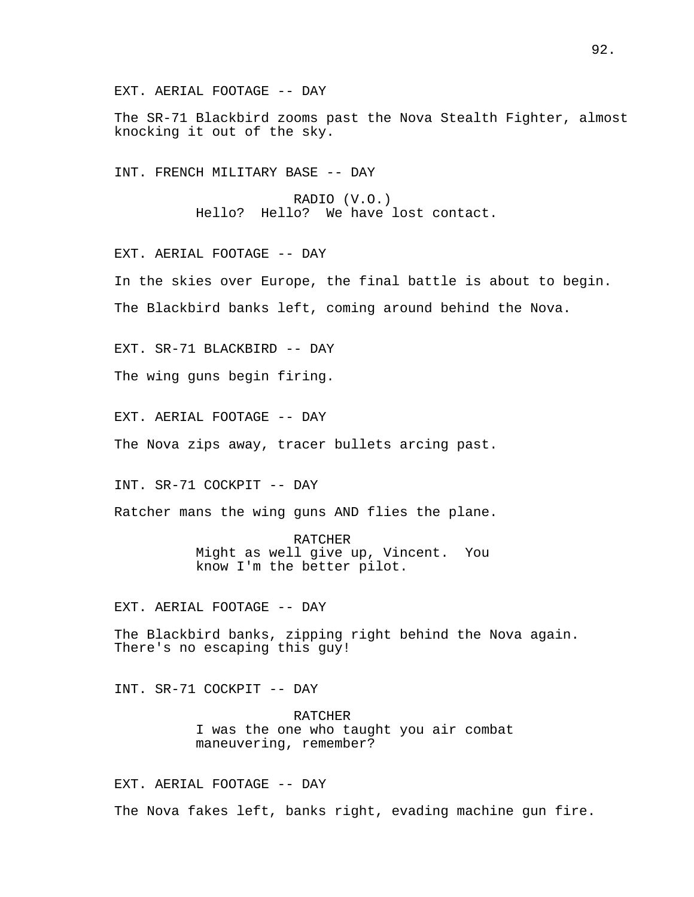The SR-71 Blackbird zooms past the Nova Stealth Fighter, almost knocking it out of the sky.

INT. FRENCH MILITARY BASE -- DAY

RADIO (V.O.) Hello? Hello? We have lost contact.

EXT. AERIAL FOOTAGE -- DAY

In the skies over Europe, the final battle is about to begin. The Blackbird banks left, coming around behind the Nova.

EXT. SR-71 BLACKBIRD -- DAY

The wing guns begin firing.

EXT. AERIAL FOOTAGE -- DAY

The Nova zips away, tracer bullets arcing past.

INT. SR-71 COCKPIT -- DAY

Ratcher mans the wing guns AND flies the plane.

RATCHER Might as well give up, Vincent. You know I'm the better pilot.

EXT. AERIAL FOOTAGE -- DAY

The Blackbird banks, zipping right behind the Nova again. There's no escaping this guy!

INT. SR-71 COCKPIT -- DAY

RATCHER I was the one who taught you air combat maneuvering, remember?

EXT. AERIAL FOOTAGE -- DAY The Nova fakes left, banks right, evading machine gun fire.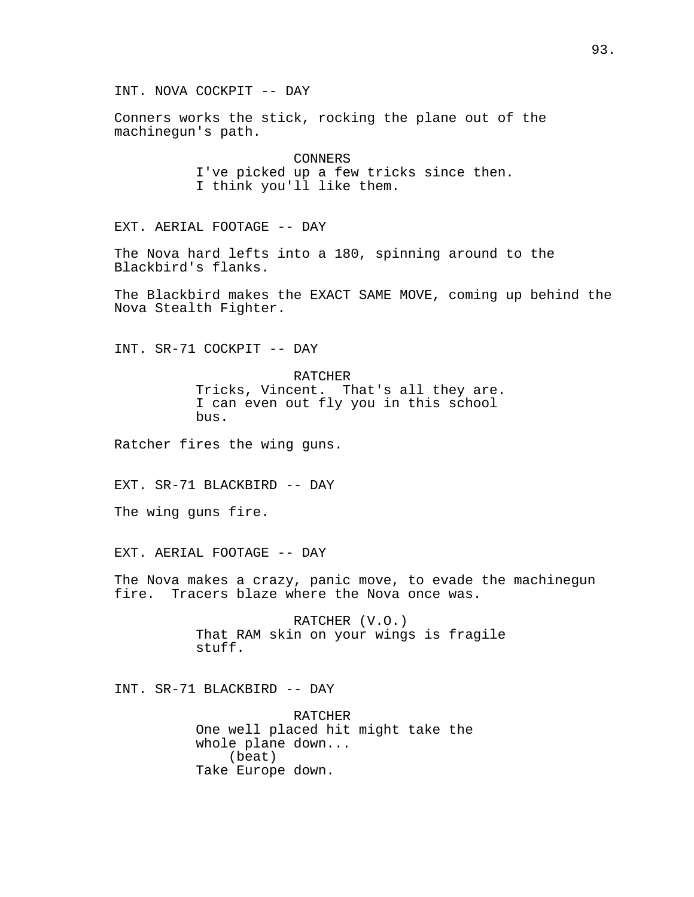INT. NOVA COCKPIT -- DAY

Conners works the stick, rocking the plane out of the machinegun's path.

> CONNERS I've picked up a few tricks since then. I think you'll like them.

EXT. AERIAL FOOTAGE -- DAY

The Nova hard lefts into a 180, spinning around to the Blackbird's flanks.

The Blackbird makes the EXACT SAME MOVE, coming up behind the Nova Stealth Fighter.

INT. SR-71 COCKPIT -- DAY

RATCHER Tricks, Vincent. That's all they are. I can even out fly you in this school bus.

Ratcher fires the wing guns.

EXT. SR-71 BLACKBIRD -- DAY

The wing guns fire.

EXT. AERIAL FOOTAGE -- DAY

The Nova makes a crazy, panic move, to evade the machinegun fire. Tracers blaze where the Nova once was.

> RATCHER (V.O.) That RAM skin on your wings is fragile stuff.

INT. SR-71 BLACKBIRD -- DAY

RATCHER One well placed hit might take the whole plane down... (beat) Take Europe down.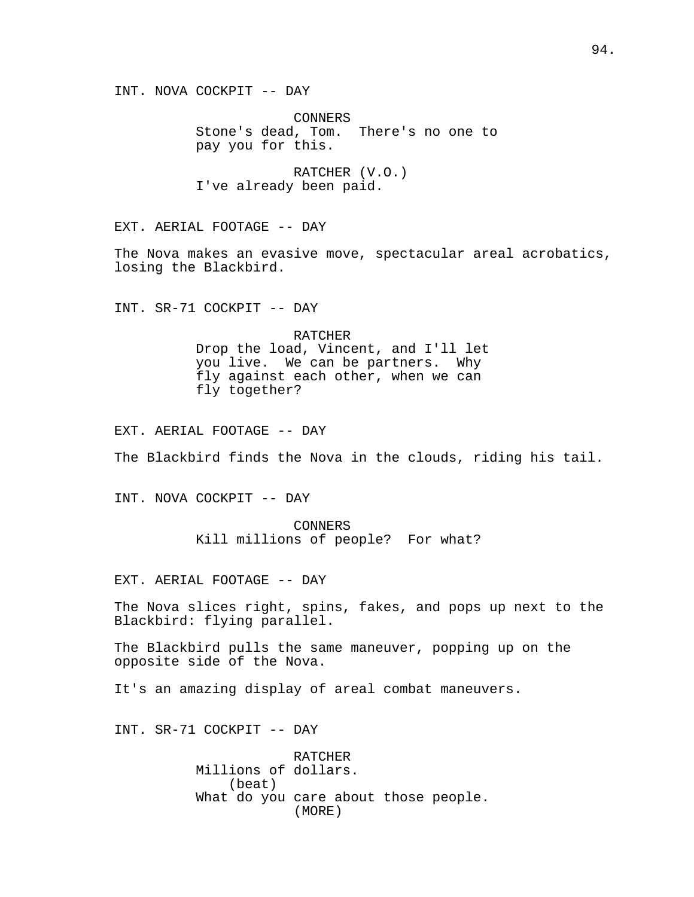INT. NOVA COCKPIT -- DAY

CONNERS Stone's dead, Tom. There's no one to pay you for this.

RATCHER (V.O.) I've already been paid.

EXT. AERIAL FOOTAGE -- DAY

The Nova makes an evasive move, spectacular areal acrobatics, losing the Blackbird.

INT. SR-71 COCKPIT -- DAY

RATCHER Drop the load, Vincent, and I'll let you live. We can be partners. Why fly against each other, when we can fly together?

EXT. AERIAL FOOTAGE -- DAY

The Blackbird finds the Nova in the clouds, riding his tail.

INT. NOVA COCKPIT -- DAY

CONNERS Kill millions of people? For what?

EXT. AERIAL FOOTAGE -- DAY

The Nova slices right, spins, fakes, and pops up next to the Blackbird: flying parallel.

The Blackbird pulls the same maneuver, popping up on the opposite side of the Nova.

It's an amazing display of areal combat maneuvers.

INT. SR-71 COCKPIT -- DAY

**RATCHER** Millions of dollars. (beat) What do you care about those people. (MORE)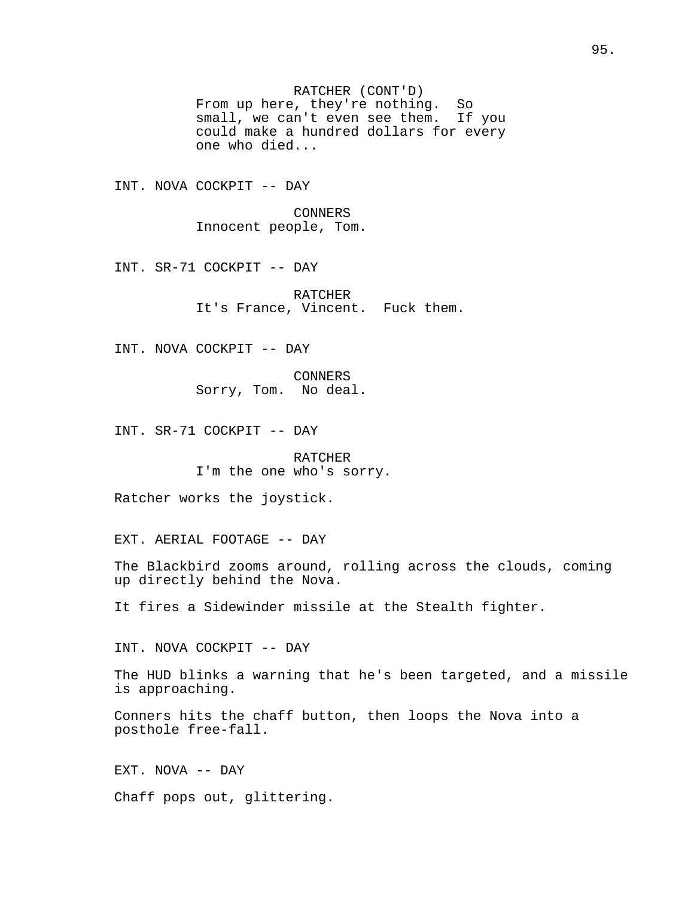RATCHER (CONT'D) From up here, they're nothing. So small, we can't even see them. If you could make a hundred dollars for every one who died...

INT. NOVA COCKPIT -- DAY

CONNERS Innocent people, Tom.

INT. SR-71 COCKPIT -- DAY

RATCHER It's France, Vincent. Fuck them.

INT. NOVA COCKPIT -- DAY

CONNERS Sorry, Tom. No deal.

INT. SR-71 COCKPIT -- DAY

RATCHER I'm the one who's sorry.

Ratcher works the joystick.

EXT. AERIAL FOOTAGE -- DAY

The Blackbird zooms around, rolling across the clouds, coming up directly behind the Nova.

It fires a Sidewinder missile at the Stealth fighter.

INT. NOVA COCKPIT -- DAY

The HUD blinks a warning that he's been targeted, and a missile is approaching.

Conners hits the chaff button, then loops the Nova into a posthole free-fall.

EXT. NOVA -- DAY

Chaff pops out, glittering.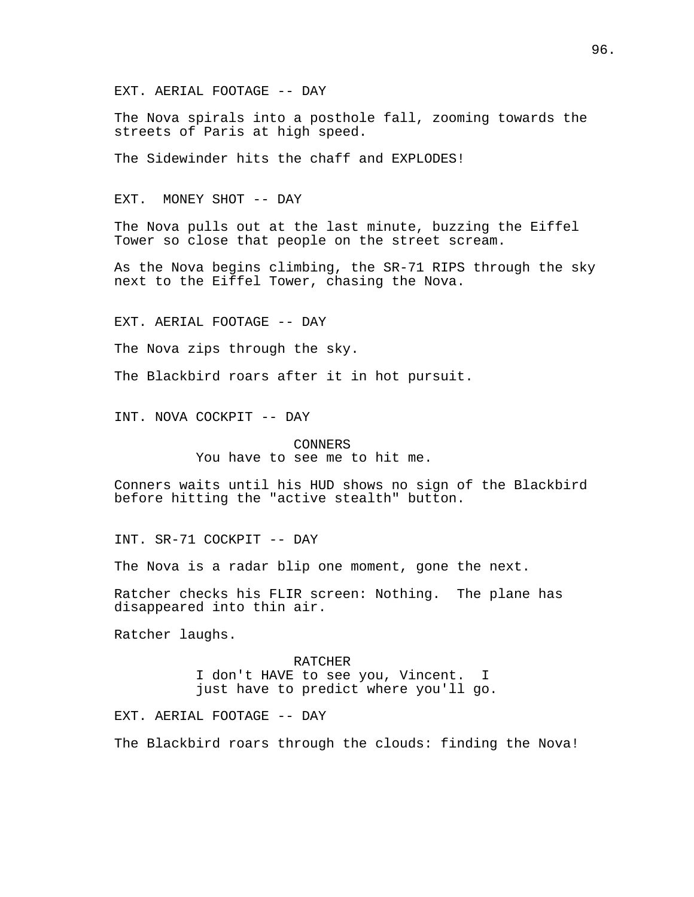The Nova spirals into a posthole fall, zooming towards the streets of Paris at high speed.

The Sidewinder hits the chaff and EXPLODES!

EXT. MONEY SHOT -- DAY

The Nova pulls out at the last minute, buzzing the Eiffel Tower so close that people on the street scream.

As the Nova begins climbing, the SR-71 RIPS through the sky next to the Eiffel Tower, chasing the Nova.

EXT. AERIAL FOOTAGE -- DAY

The Nova zips through the sky.

The Blackbird roars after it in hot pursuit.

INT. NOVA COCKPIT -- DAY

CONNERS You have to see me to hit me.

Conners waits until his HUD shows no sign of the Blackbird before hitting the "active stealth" button.

INT. SR-71 COCKPIT -- DAY

The Nova is a radar blip one moment, gone the next.

Ratcher checks his FLIR screen: Nothing. The plane has disappeared into thin air.

Ratcher laughs.

RATCHER I don't HAVE to see you, Vincent. I just have to predict where you'll go.

EXT. AERIAL FOOTAGE -- DAY

The Blackbird roars through the clouds: finding the Nova!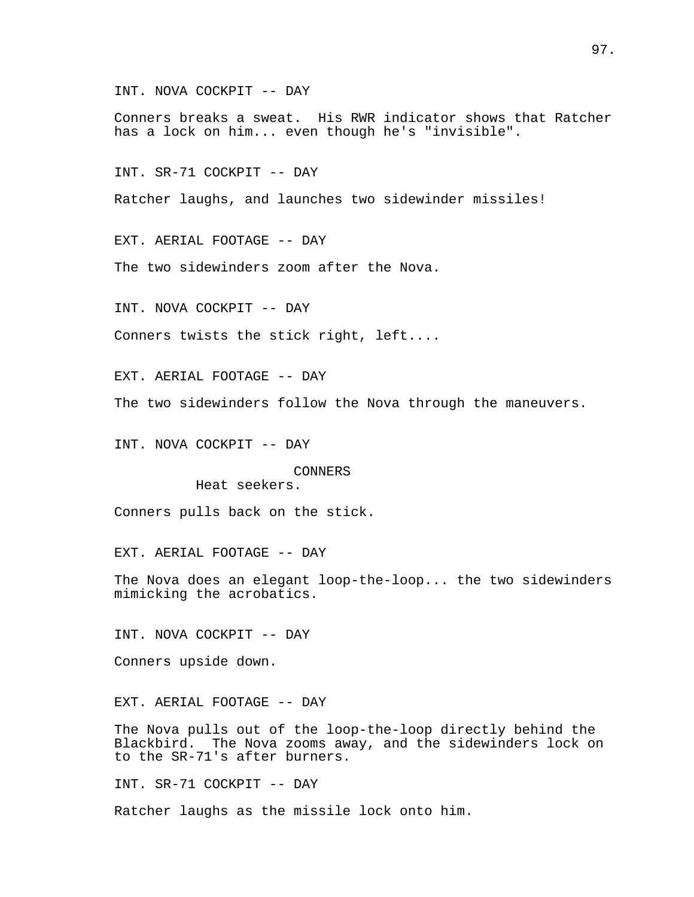INT. NOVA COCKPIT -- DAY

Conners breaks a sweat. His RWR indicator shows that Ratcher has a lock on him... even though he's "invisible".

INT. SR-71 COCKPIT -- DAY

Ratcher laughs, and launches two sidewinder missiles!

EXT. AERIAL FOOTAGE -- DAY

The two sidewinders zoom after the Nova.

INT. NOVA COCKPIT -- DAY

Conners twists the stick right, left....

EXT. AERIAL FOOTAGE -- DAY

The two sidewinders follow the Nova through the maneuvers.

INT. NOVA COCKPIT -- DAY

CONNERS Heat seekers.

Conners pulls back on the stick.

EXT. AERIAL FOOTAGE -- DAY

The Nova does an elegant loop-the-loop... the two sidewinders mimicking the acrobatics.

INT. NOVA COCKPIT -- DAY

Conners upside down.

EXT. AERIAL FOOTAGE -- DAY

The Nova pulls out of the loop-the-loop directly behind the Blackbird. The Nova zooms away, and the sidewinders lock on to the SR-71's after burners.

INT. SR-71 COCKPIT -- DAY

Ratcher laughs as the missile lock onto him.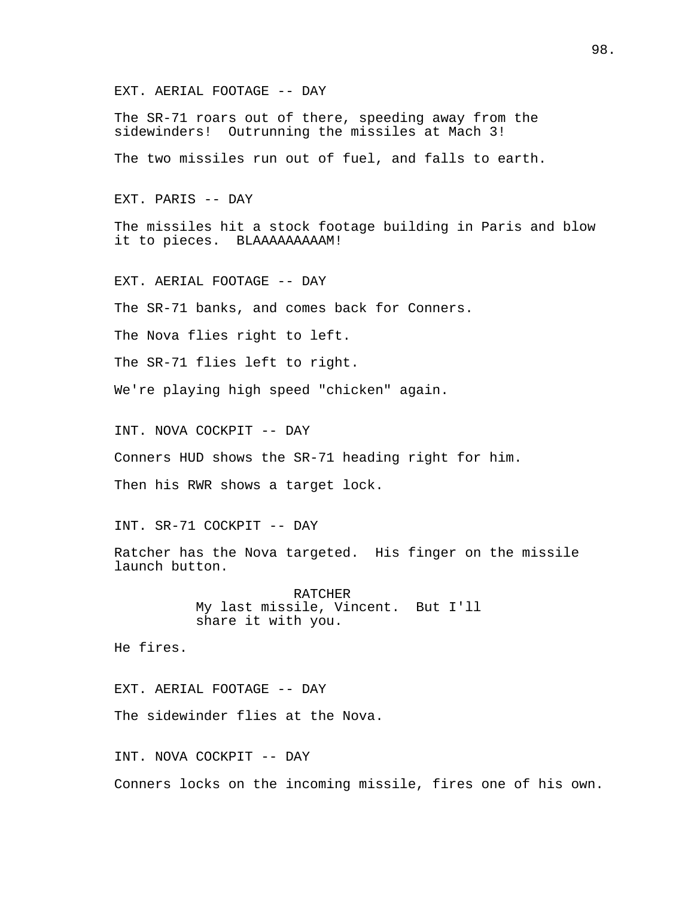The SR-71 roars out of there, speeding away from the sidewinders! Outrunning the missiles at Mach 3!

The two missiles run out of fuel, and falls to earth.

EXT. PARIS -- DAY

The missiles hit a stock footage building in Paris and blow it to pieces. BLAAAAAAAAAM!

EXT. AERIAL FOOTAGE -- DAY

The SR-71 banks, and comes back for Conners.

The Nova flies right to left.

The SR-71 flies left to right.

We're playing high speed "chicken" again.

INT. NOVA COCKPIT -- DAY

Conners HUD shows the SR-71 heading right for him.

Then his RWR shows a target lock.

INT. SR-71 COCKPIT -- DAY

Ratcher has the Nova targeted. His finger on the missile launch button.

> RATCHER My last missile, Vincent. But I'll share it with you.

He fires.

EXT. AERIAL FOOTAGE -- DAY

The sidewinder flies at the Nova.

INT. NOVA COCKPIT -- DAY

Conners locks on the incoming missile, fires one of his own.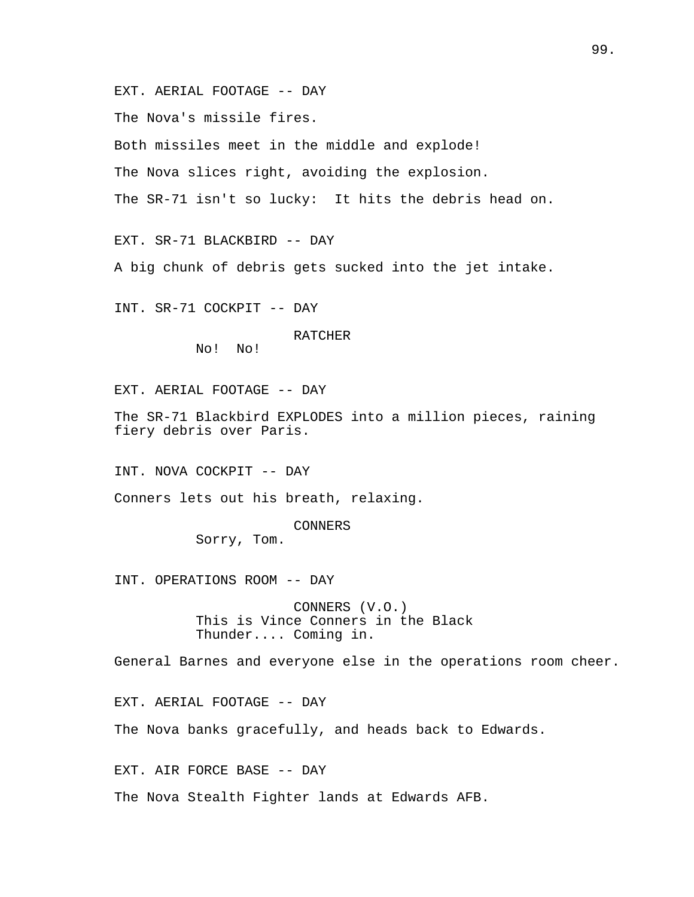The Nova's missile fires.

Both missiles meet in the middle and explode!

The Nova slices right, avoiding the explosion.

The SR-71 isn't so lucky: It hits the debris head on.

EXT. SR-71 BLACKBIRD -- DAY

A big chunk of debris gets sucked into the jet intake.

INT. SR-71 COCKPIT -- DAY

RATCHER

No! No!

EXT. AERIAL FOOTAGE -- DAY

The SR-71 Blackbird EXPLODES into a million pieces, raining fiery debris over Paris.

INT. NOVA COCKPIT -- DAY

Conners lets out his breath, relaxing.

# CONNERS

Sorry, Tom.

INT. OPERATIONS ROOM -- DAY

CONNERS (V.O.) This is Vince Conners in the Black Thunder.... Coming in.

General Barnes and everyone else in the operations room cheer.

EXT. AERIAL FOOTAGE -- DAY

The Nova banks gracefully, and heads back to Edwards.

EXT. AIR FORCE BASE -- DAY

The Nova Stealth Fighter lands at Edwards AFB.